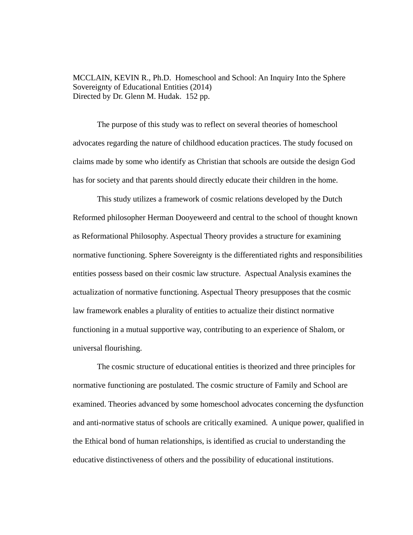MCCLAIN, KEVIN R., Ph.D. Homeschool and School: An Inquiry Into the Sphere Sovereignty of Educational Entities (2014) Directed by Dr. Glenn M. Hudak. 152 pp.

 The purpose of this study was to reflect on several theories of homeschool advocates regarding the nature of childhood education practices. The study focused on claims made by some who identify as Christian that schools are outside the design God has for society and that parents should directly educate their children in the home.

 This study utilizes a framework of cosmic relations developed by the Dutch Reformed philosopher Herman Dooyeweerd and central to the school of thought known as Reformational Philosophy. Aspectual Theory provides a structure for examining normative functioning. Sphere Sovereignty is the differentiated rights and responsibilities entities possess based on their cosmic law structure. Aspectual Analysis examines the actualization of normative functioning. Aspectual Theory presupposes that the cosmic law framework enables a plurality of entities to actualize their distinct normative functioning in a mutual supportive way, contributing to an experience of Shalom, or universal flourishing.

 The cosmic structure of educational entities is theorized and three principles for normative functioning are postulated. The cosmic structure of Family and School are examined. Theories advanced by some homeschool advocates concerning the dysfunction and anti-normative status of schools are critically examined. A unique power, qualified in the Ethical bond of human relationships, is identified as crucial to understanding the educative distinctiveness of others and the possibility of educational institutions.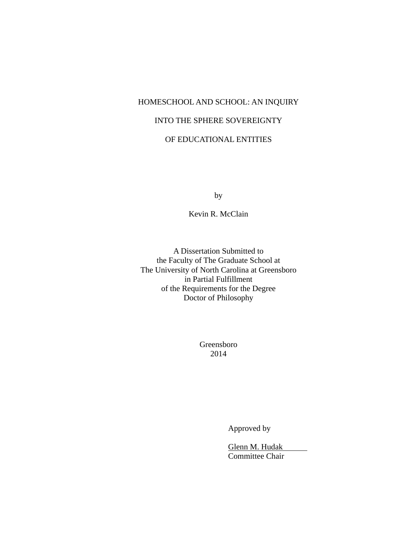# HOMESCHOOL AND SCHOOL: AN INQUIRY INTO THE SPHERE SOVEREIGNTY OF EDUCATIONAL ENTITIES

by

Kevin R. McClain

A Dissertation Submitted to the Faculty of The Graduate School at The University of North Carolina at Greensboro in Partial Fulfillment of the Requirements for the Degree Doctor of Philosophy

> Greensboro 2014

> > Approved by

 Glenn M. Hudak Committee Chair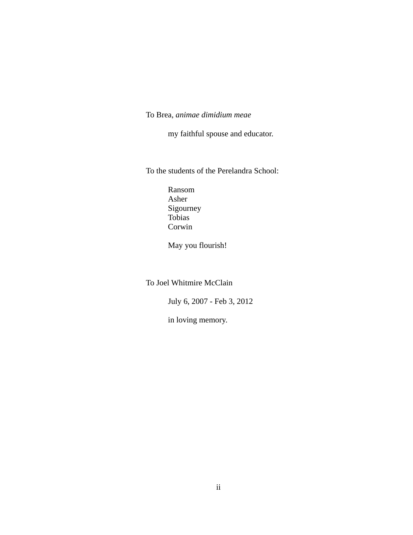## To Brea, *animae dimidium meae*

my faithful spouse and educator.

To the students of the Perelandra School:

 Ransom Asher Sigourney Tobias Corwin

May you flourish!

To Joel Whitmire McClain

July 6, 2007 - Feb 3, 2012

in loving memory.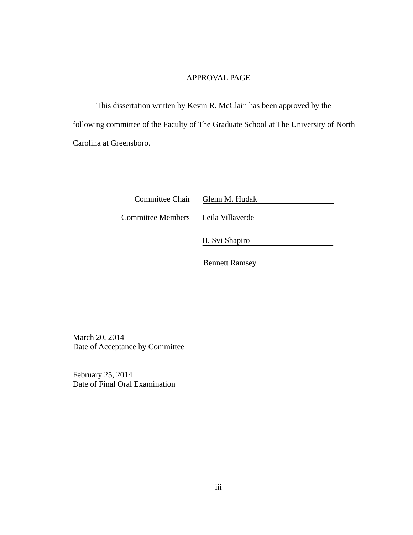#### APPROVAL PAGE

 This dissertation written by Kevin R. McClain has been approved by the following committee of the Faculty of The Graduate School at The University of North Carolina at Greensboro.

| Committee Chair | Glenn M. Hudak |
|-----------------|----------------|
|                 |                |

Committee Members Leila Villaverde

H. Svi Shapiro

Bennett Ramsey

March 20, 2014 Date of Acceptance by Committee

February 25, 2014 Date of Final Oral Examination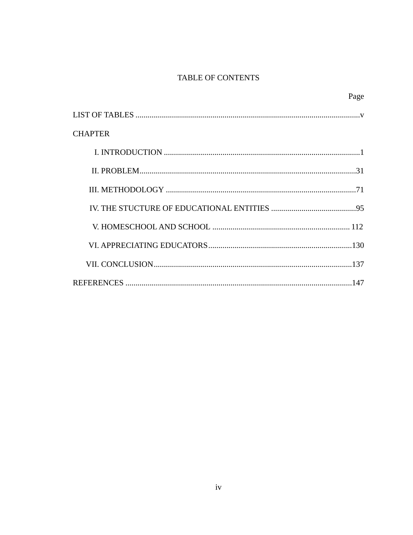## TABLE OF CONTENTS

|                | Page |
|----------------|------|
|                |      |
| <b>CHAPTER</b> |      |
|                |      |
|                |      |
|                |      |
|                |      |
|                |      |
|                |      |
|                |      |
|                |      |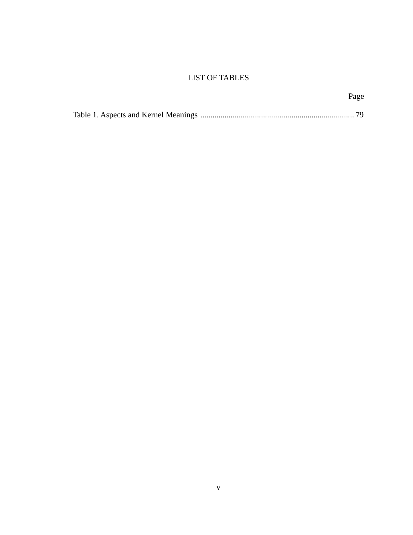## LIST OF TABLES

Page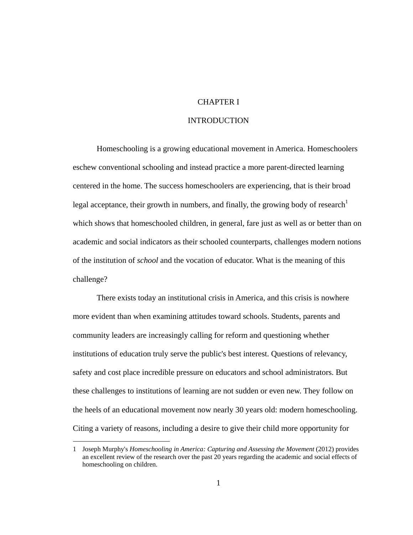### CHAPTER I

### INTRODUCTION

 Homeschooling is a growing educational movement in America. Homeschoolers eschew conventional schooling and instead practice a more parent-directed learning centered in the home. The success homeschoolers are experiencing, that is their broad legal acceptance, their growth in numbers, and finally, the growing body of research<sup>1</sup> which shows that homeschooled children, in general, fare just as well as or better than on academic and social indicators as their schooled counterparts, challenges modern notions of the institution of *school* and the vocation of educator. What is the meaning of this challenge?

 There exists today an institutional crisis in America, and this crisis is nowhere more evident than when examining attitudes toward schools. Students, parents and community leaders are increasingly calling for reform and questioning whether institutions of education truly serve the public's best interest. Questions of relevancy, safety and cost place incredible pressure on educators and school administrators. But these challenges to institutions of learning are not sudden or even new. They follow on the heels of an educational movement now nearly 30 years old: modern homeschooling. Citing a variety of reasons, including a desire to give their child more opportunity for

<sup>1</sup> Joseph Murphy's *Homeschooling in America: Capturing and Assessing the Movement* (2012) provides an excellent review of the research over the past 20 years regarding the academic and social effects of homeschooling on children.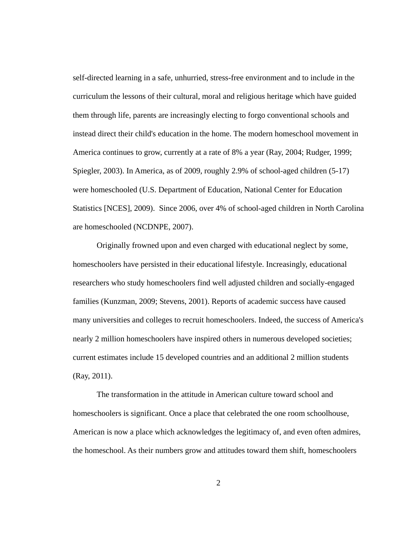self-directed learning in a safe, unhurried, stress-free environment and to include in the curriculum the lessons of their cultural, moral and religious heritage which have guided them through life, parents are increasingly electing to forgo conventional schools and instead direct their child's education in the home. The modern homeschool movement in America continues to grow, currently at a rate of 8% a year (Ray, 2004; Rudger, 1999; Spiegler, 2003). In America, as of 2009, roughly 2.9% of school-aged children (5-17) were homeschooled (U.S. Department of Education, National Center for Education Statistics [NCES], 2009). Since 2006, over 4% of school-aged children in North Carolina are homeschooled (NCDNPE, 2007).

 Originally frowned upon and even charged with educational neglect by some, homeschoolers have persisted in their educational lifestyle. Increasingly, educational researchers who study homeschoolers find well adjusted children and socially-engaged families (Kunzman, 2009; Stevens, 2001). Reports of academic success have caused many universities and colleges to recruit homeschoolers. Indeed, the success of America's nearly 2 million homeschoolers have inspired others in numerous developed societies; current estimates include 15 developed countries and an additional 2 million students (Ray, 2011).

 The transformation in the attitude in American culture toward school and homeschoolers is significant. Once a place that celebrated the one room schoolhouse, American is now a place which acknowledges the legitimacy of, and even often admires, the homeschool. As their numbers grow and attitudes toward them shift, homeschoolers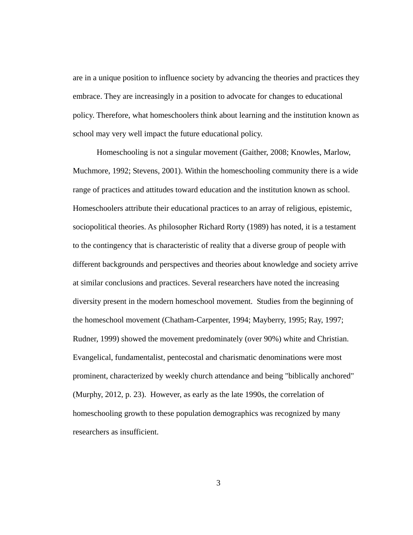are in a unique position to influence society by advancing the theories and practices they embrace. They are increasingly in a position to advocate for changes to educational policy. Therefore, what homeschoolers think about learning and the institution known as school may very well impact the future educational policy.

 Homeschooling is not a singular movement (Gaither, 2008; Knowles, Marlow, Muchmore, 1992; Stevens, 2001). Within the homeschooling community there is a wide range of practices and attitudes toward education and the institution known as school. Homeschoolers attribute their educational practices to an array of religious, epistemic, sociopolitical theories. As philosopher Richard Rorty (1989) has noted, it is a testament to the contingency that is characteristic of reality that a diverse group of people with different backgrounds and perspectives and theories about knowledge and society arrive at similar conclusions and practices. Several researchers have noted the increasing diversity present in the modern homeschool movement. Studies from the beginning of the homeschool movement (Chatham-Carpenter, 1994; Mayberry, 1995; Ray, 1997; Rudner, 1999) showed the movement predominately (over 90%) white and Christian. Evangelical, fundamentalist, pentecostal and charismatic denominations were most prominent, characterized by weekly church attendance and being "biblically anchored" (Murphy, 2012, p. 23). However, as early as the late 1990s, the correlation of homeschooling growth to these population demographics was recognized by many researchers as insufficient.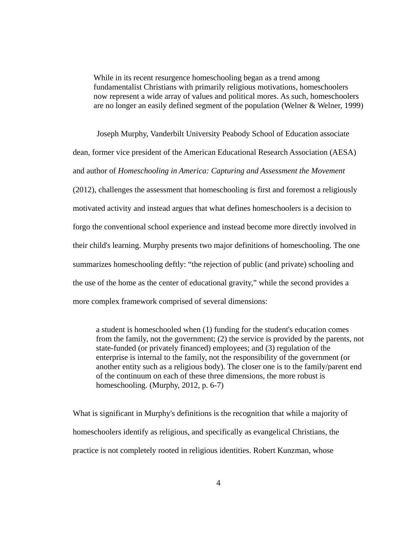While in its recent resurgence homeschooling began as a trend among fundamentalist Christians with primarily religious motivations, homeschoolers now represent a wide array of values and political mores. As such, homeschoolers are no longer an easily defined segment of the population (Welner & Welner, 1999)

 Joseph Murphy, Vanderbilt University Peabody School of Education associate dean, former vice president of the American Educational Research Association (AESA) and author of *Homeschooling in America: Capturing and Assessment the Movement* (2012), challenges the assessment that homeschooling is first and foremost a religiously motivated activity and instead argues that what defines homeschoolers is a decision to forgo the conventional school experience and instead become more directly involved in their child's learning. Murphy presents two major definitions of homeschooling. The one summarizes homeschooling deftly: "the rejection of public (and private) schooling and the use of the home as the center of educational gravity," while the second provides a more complex framework comprised of several dimensions:

a student is homeschooled when (1) funding for the student's education comes from the family, not the government; (2) the service is provided by the parents, not state-funded (or privately financed) employees; and (3) regulation of the enterprise is internal to the family, not the responsibility of the government (or another entity such as a religious body). The closer one is to the family/parent end of the continuum on each of these three dimensions, the more robust is homeschooling. (Murphy, 2012, p. 6-7)

What is significant in Murphy's definitions is the recognition that while a majority of homeschoolers identify as religious, and specifically as evangelical Christians, the practice is not completely rooted in religious identities. Robert Kunzman, whose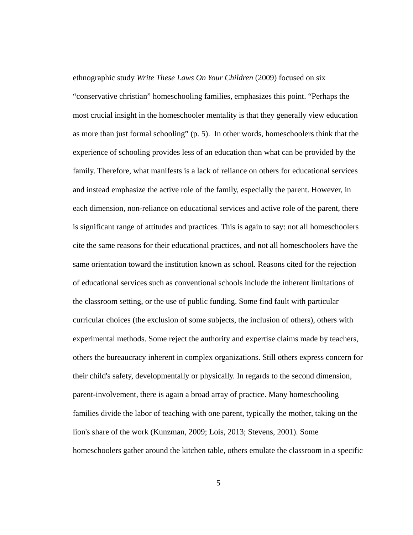ethnographic study *Write These Laws On Your Children* (2009) focused on six "conservative christian" homeschooling families, emphasizes this point. "Perhaps the most crucial insight in the homeschooler mentality is that they generally view education as more than just formal schooling" (p. 5). In other words, homeschoolers think that the experience of schooling provides less of an education than what can be provided by the family. Therefore, what manifests is a lack of reliance on others for educational services and instead emphasize the active role of the family, especially the parent. However, in each dimension, non-reliance on educational services and active role of the parent, there is significant range of attitudes and practices. This is again to say: not all homeschoolers cite the same reasons for their educational practices, and not all homeschoolers have the same orientation toward the institution known as school. Reasons cited for the rejection of educational services such as conventional schools include the inherent limitations of the classroom setting, or the use of public funding. Some find fault with particular curricular choices (the exclusion of some subjects, the inclusion of others), others with experimental methods. Some reject the authority and expertise claims made by teachers, others the bureaucracy inherent in complex organizations. Still others express concern for their child's safety, developmentally or physically. In regards to the second dimension, parent-involvement, there is again a broad array of practice. Many homeschooling families divide the labor of teaching with one parent, typically the mother, taking on the lion's share of the work (Kunzman, 2009; Lois, 2013; Stevens, 2001). Some homeschoolers gather around the kitchen table, others emulate the classroom in a specific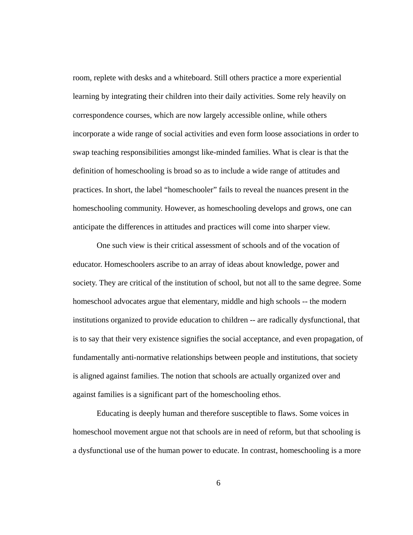room, replete with desks and a whiteboard. Still others practice a more experiential learning by integrating their children into their daily activities. Some rely heavily on correspondence courses, which are now largely accessible online, while others incorporate a wide range of social activities and even form loose associations in order to swap teaching responsibilities amongst like-minded families. What is clear is that the definition of homeschooling is broad so as to include a wide range of attitudes and practices. In short, the label "homeschooler" fails to reveal the nuances present in the homeschooling community. However, as homeschooling develops and grows, one can anticipate the differences in attitudes and practices will come into sharper view.

 One such view is their critical assessment of schools and of the vocation of educator. Homeschoolers ascribe to an array of ideas about knowledge, power and society. They are critical of the institution of school, but not all to the same degree. Some homeschool advocates argue that elementary, middle and high schools -- the modern institutions organized to provide education to children -- are radically dysfunctional, that is to say that their very existence signifies the social acceptance, and even propagation, of fundamentally anti-normative relationships between people and institutions, that society is aligned against families. The notion that schools are actually organized over and against families is a significant part of the homeschooling ethos.

 Educating is deeply human and therefore susceptible to flaws. Some voices in homeschool movement argue not that schools are in need of reform, but that schooling is a dysfunctional use of the human power to educate. In contrast, homeschooling is a more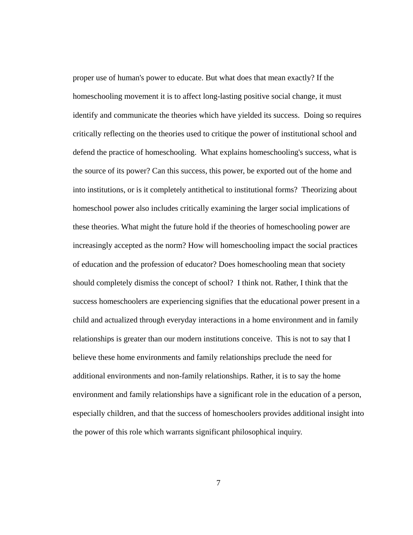proper use of human's power to educate. But what does that mean exactly? If the homeschooling movement it is to affect long-lasting positive social change, it must identify and communicate the theories which have yielded its success. Doing so requires critically reflecting on the theories used to critique the power of institutional school and defend the practice of homeschooling. What explains homeschooling's success, what is the source of its power? Can this success, this power, be exported out of the home and into institutions, or is it completely antithetical to institutional forms? Theorizing about homeschool power also includes critically examining the larger social implications of these theories. What might the future hold if the theories of homeschooling power are increasingly accepted as the norm? How will homeschooling impact the social practices of education and the profession of educator? Does homeschooling mean that society should completely dismiss the concept of school? I think not. Rather, I think that the success homeschoolers are experiencing signifies that the educational power present in a child and actualized through everyday interactions in a home environment and in family relationships is greater than our modern institutions conceive. This is not to say that I believe these home environments and family relationships preclude the need for additional environments and non-family relationships. Rather, it is to say the home environment and family relationships have a significant role in the education of a person, especially children, and that the success of homeschoolers provides additional insight into the power of this role which warrants significant philosophical inquiry.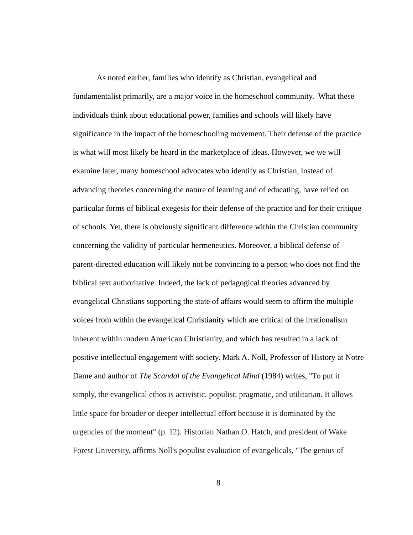As noted earlier, families who identify as Christian, evangelical and fundamentalist primarily, are a major voice in the homeschool community. What these individuals think about educational power, families and schools will likely have significance in the impact of the homeschooling movement. Their defense of the practice is what will most likely be heard in the marketplace of ideas. However, we we will examine later, many homeschool advocates who identify as Christian, instead of advancing theories concerning the nature of learning and of educating, have relied on particular forms of biblical exegesis for their defense of the practice and for their critique of schools. Yet, there is obviously significant difference within the Christian community concerning the validity of particular hermeneutics. Moreover, a biblical defense of parent-directed education will likely not be convincing to a person who does not find the biblical text authoritative. Indeed, the lack of pedagogical theories advanced by evangelical Christians supporting the state of affairs would seem to affirm the multiple voices from within the evangelical Christianity which are critical of the irrationalism inherent within modern American Christianity, and which has resulted in a lack of positive intellectual engagement with society. Mark A. Noll, Professor of History at Notre Dame and author of *The Scandal of the Evangelical Mind* (1984) writes, "To put it simply, the evangelical ethos is activistic, populist, pragmatic, and utilitarian. It allows little space for broader or deeper intellectual effort because it is dominated by the urgencies of the moment" (p. 12). Historian Nathan O. Hatch, and president of Wake Forest University, affirms Noll's populist evaluation of evangelicals, "The genius of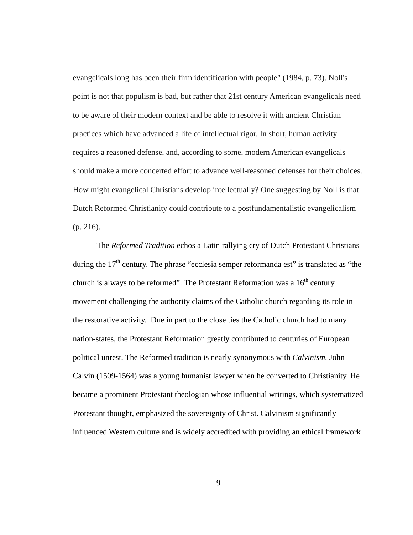evangelicals long has been their firm identification with people" (1984, p. 73). Noll's point is not that populism is bad, but rather that 21st century American evangelicals need to be aware of their modern context and be able to resolve it with ancient Christian practices which have advanced a life of intellectual rigor. In short, human activity requires a reasoned defense, and, according to some, modern American evangelicals should make a more concerted effort to advance well-reasoned defenses for their choices. How might evangelical Christians develop intellectually? One suggesting by Noll is that Dutch Reformed Christianity could contribute to a postfundamentalistic evangelicalism (p. 216).

 The *Reformed Tradition* echos a Latin rallying cry of Dutch Protestant Christians during the  $17<sup>th</sup>$  century. The phrase "ecclesia semper reformanda est" is translated as "the church is always to be reformed". The Protestant Reformation was a  $16<sup>th</sup>$  century movement challenging the authority claims of the Catholic church regarding its role in the restorative activity. Due in part to the close ties the Catholic church had to many nation-states, the Protestant Reformation greatly contributed to centuries of European political unrest. The Reformed tradition is nearly synonymous with *Calvinism.* John Calvin (1509-1564) was a young humanist lawyer when he converted to Christianity. He became a prominent Protestant theologian whose influential writings, which systematized Protestant thought, emphasized the sovereignty of Christ. Calvinism significantly influenced Western culture and is widely accredited with providing an ethical framework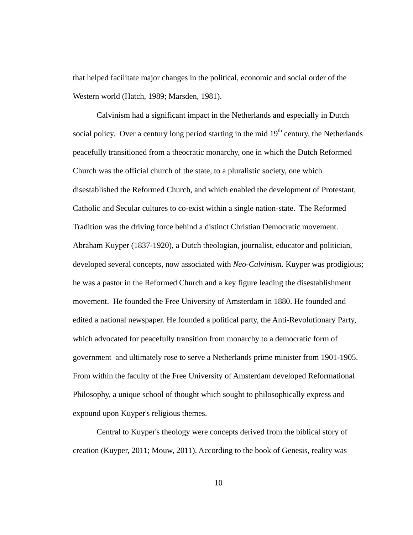that helped facilitate major changes in the political, economic and social order of the Western world (Hatch, 1989; Marsden, 1981).

 Calvinism had a significant impact in the Netherlands and especially in Dutch social policy. Over a century long period starting in the mid  $19<sup>th</sup>$  century, the Netherlands peacefully transitioned from a theocratic monarchy, one in which the Dutch Reformed Church was the official church of the state, to a pluralistic society, one which disestablished the Reformed Church, and which enabled the development of Protestant, Catholic and Secular cultures to co-exist within a single nation-state. The Reformed Tradition was the driving force behind a distinct Christian Democratic movement. Abraham Kuyper (1837-1920), a Dutch theologian, journalist, educator and politician, developed several concepts, now associated with *Neo-Calvinism.* Kuyper was prodigious; he was a pastor in the Reformed Church and a key figure leading the disestablishment movement. He founded the Free University of Amsterdam in 1880. He founded and edited a national newspaper. He founded a political party, the Anti-Revolutionary Party, which advocated for peacefully transition from monarchy to a democratic form of government and ultimately rose to serve a Netherlands prime minister from 1901-1905. From within the faculty of the Free University of Amsterdam developed Reformational Philosophy, a unique school of thought which sought to philosophically express and expound upon Kuyper's religious themes.

 Central to Kuyper's theology were concepts derived from the biblical story of creation (Kuyper, 2011; Mouw, 2011). According to the book of Genesis, reality was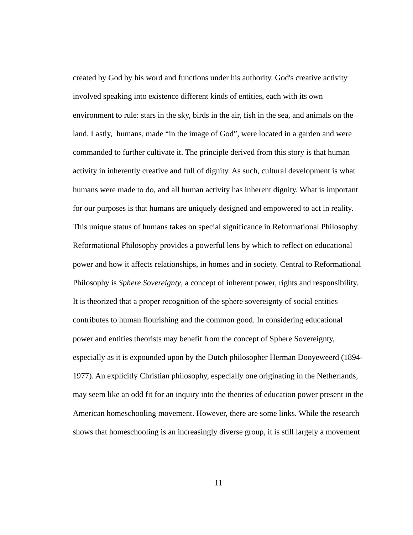created by God by his word and functions under his authority. God's creative activity involved speaking into existence different kinds of entities, each with its own environment to rule: stars in the sky, birds in the air, fish in the sea, and animals on the land. Lastly, humans, made "in the image of God", were located in a garden and were commanded to further cultivate it. The principle derived from this story is that human activity in inherently creative and full of dignity. As such, cultural development is what humans were made to do, and all human activity has inherent dignity. What is important for our purposes is that humans are uniquely designed and empowered to act in reality. This unique status of humans takes on special significance in Reformational Philosophy. Reformational Philosophy provides a powerful lens by which to reflect on educational power and how it affects relationships, in homes and in society. Central to Reformational Philosophy is *Sphere Sovereignty*, a concept of inherent power, rights and responsibility. It is theorized that a proper recognition of the sphere sovereignty of social entities contributes to human flourishing and the common good. In considering educational power and entities theorists may benefit from the concept of Sphere Sovereignty, especially as it is expounded upon by the Dutch philosopher Herman Dooyeweerd (1894- 1977). An explicitly Christian philosophy, especially one originating in the Netherlands, may seem like an odd fit for an inquiry into the theories of education power present in the American homeschooling movement. However, there are some links. While the research shows that homeschooling is an increasingly diverse group, it is still largely a movement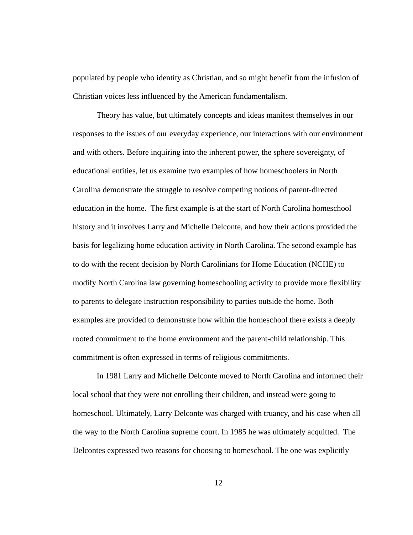populated by people who identity as Christian, and so might benefit from the infusion of Christian voices less influenced by the American fundamentalism.

 Theory has value, but ultimately concepts and ideas manifest themselves in our responses to the issues of our everyday experience, our interactions with our environment and with others. Before inquiring into the inherent power, the sphere sovereignty, of educational entities, let us examine two examples of how homeschoolers in North Carolina demonstrate the struggle to resolve competing notions of parent-directed education in the home. The first example is at the start of North Carolina homeschool history and it involves Larry and Michelle Delconte, and how their actions provided the basis for legalizing home education activity in North Carolina. The second example has to do with the recent decision by North Carolinians for Home Education (NCHE) to modify North Carolina law governing homeschooling activity to provide more flexibility to parents to delegate instruction responsibility to parties outside the home. Both examples are provided to demonstrate how within the homeschool there exists a deeply rooted commitment to the home environment and the parent-child relationship. This commitment is often expressed in terms of religious commitments.

 In 1981 Larry and Michelle Delconte moved to North Carolina and informed their local school that they were not enrolling their children, and instead were going to homeschool. Ultimately, Larry Delconte was charged with truancy, and his case when all the way to the North Carolina supreme court. In 1985 he was ultimately acquitted. The Delcontes expressed two reasons for choosing to homeschool. The one was explicitly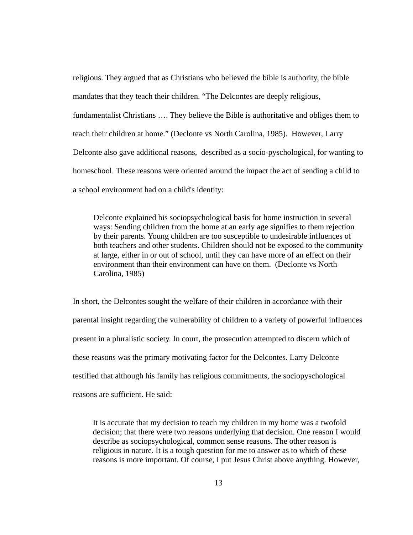religious. They argued that as Christians who believed the bible is authority, the bible mandates that they teach their children. "The Delcontes are deeply religious, fundamentalist Christians …. They believe the Bible is authoritative and obliges them to teach their children at home." (Declonte vs North Carolina, 1985). However, Larry Delconte also gave additional reasons, described as a socio-pyschological, for wanting to homeschool. These reasons were oriented around the impact the act of sending a child to a school environment had on a child's identity:

Delconte explained his sociopsychological basis for home instruction in several ways: Sending children from the home at an early age signifies to them rejection by their parents. Young children are too susceptible to undesirable influences of both teachers and other students. Children should not be exposed to the community at large, either in or out of school, until they can have more of an effect on their environment than their environment can have on them. (Declonte vs North Carolina, 1985)

In short, the Delcontes sought the welfare of their children in accordance with their parental insight regarding the vulnerability of children to a variety of powerful influences present in a pluralistic society. In court, the prosecution attempted to discern which of these reasons was the primary motivating factor for the Delcontes. Larry Delconte testified that although his family has religious commitments, the sociopyschological reasons are sufficient. He said:

It is accurate that my decision to teach my children in my home was a twofold decision; that there were two reasons underlying that decision. One reason I would describe as sociopsychological, common sense reasons. The other reason is religious in nature. It is a tough question for me to answer as to which of these reasons is more important. Of course, I put Jesus Christ above anything. However,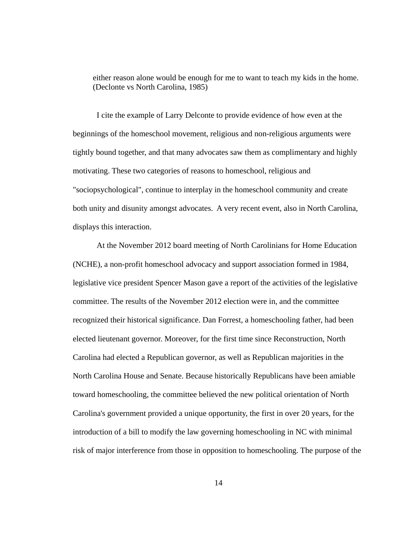either reason alone would be enough for me to want to teach my kids in the home. (Declonte vs North Carolina, 1985)

 I cite the example of Larry Delconte to provide evidence of how even at the beginnings of the homeschool movement, religious and non-religious arguments were tightly bound together, and that many advocates saw them as complimentary and highly motivating. These two categories of reasons to homeschool, religious and "sociopsychological", continue to interplay in the homeschool community and create both unity and disunity amongst advocates. A very recent event, also in North Carolina, displays this interaction.

 At the November 2012 board meeting of North Carolinians for Home Education (NCHE), a non-profit homeschool advocacy and support association formed in 1984, legislative vice president Spencer Mason gave a report of the activities of the legislative committee. The results of the November 2012 election were in, and the committee recognized their historical significance. Dan Forrest, a homeschooling father, had been elected lieutenant governor. Moreover, for the first time since Reconstruction, North Carolina had elected a Republican governor, as well as Republican majorities in the North Carolina House and Senate. Because historically Republicans have been amiable toward homeschooling, the committee believed the new political orientation of North Carolina's government provided a unique opportunity, the first in over 20 years, for the introduction of a bill to modify the law governing homeschooling in NC with minimal risk of major interference from those in opposition to homeschooling. The purpose of the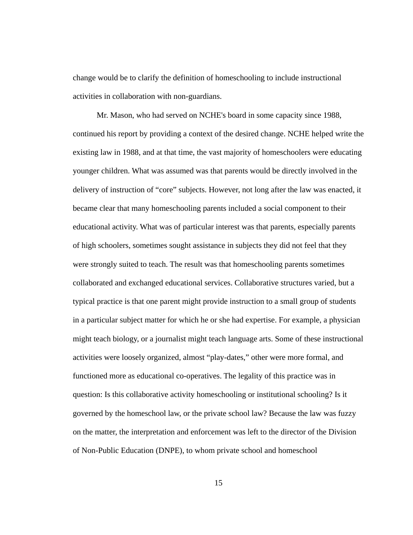change would be to clarify the definition of homeschooling to include instructional activities in collaboration with non-guardians.

 Mr. Mason, who had served on NCHE's board in some capacity since 1988, continued his report by providing a context of the desired change. NCHE helped write the existing law in 1988, and at that time, the vast majority of homeschoolers were educating younger children. What was assumed was that parents would be directly involved in the delivery of instruction of "core" subjects. However, not long after the law was enacted, it became clear that many homeschooling parents included a social component to their educational activity. What was of particular interest was that parents, especially parents of high schoolers, sometimes sought assistance in subjects they did not feel that they were strongly suited to teach. The result was that homeschooling parents sometimes collaborated and exchanged educational services. Collaborative structures varied, but a typical practice is that one parent might provide instruction to a small group of students in a particular subject matter for which he or she had expertise. For example, a physician might teach biology, or a journalist might teach language arts. Some of these instructional activities were loosely organized, almost "play-dates," other were more formal, and functioned more as educational co-operatives. The legality of this practice was in question: Is this collaborative activity homeschooling or institutional schooling? Is it governed by the homeschool law, or the private school law? Because the law was fuzzy on the matter, the interpretation and enforcement was left to the director of the Division of Non-Public Education (DNPE), to whom private school and homeschool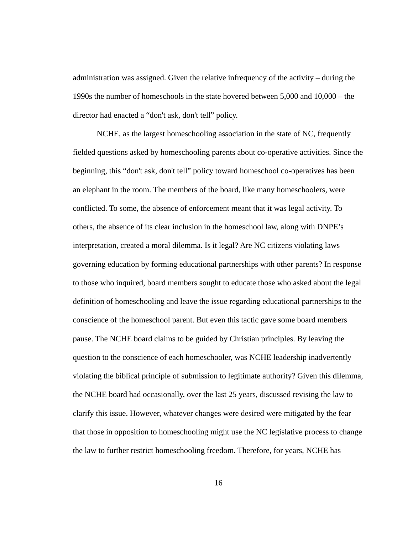administration was assigned. Given the relative infrequency of the activity – during the 1990s the number of homeschools in the state hovered between 5,000 and 10,000 – the director had enacted a "don't ask, don't tell" policy.

 NCHE, as the largest homeschooling association in the state of NC, frequently fielded questions asked by homeschooling parents about co-operative activities. Since the beginning, this "don't ask, don't tell" policy toward homeschool co-operatives has been an elephant in the room. The members of the board, like many homeschoolers, were conflicted. To some, the absence of enforcement meant that it was legal activity. To others, the absence of its clear inclusion in the homeschool law, along with DNPE's interpretation, created a moral dilemma. Is it legal? Are NC citizens violating laws governing education by forming educational partnerships with other parents? In response to those who inquired, board members sought to educate those who asked about the legal definition of homeschooling and leave the issue regarding educational partnerships to the conscience of the homeschool parent. But even this tactic gave some board members pause. The NCHE board claims to be guided by Christian principles. By leaving the question to the conscience of each homeschooler, was NCHE leadership inadvertently violating the biblical principle of submission to legitimate authority? Given this dilemma, the NCHE board had occasionally, over the last 25 years, discussed revising the law to clarify this issue. However, whatever changes were desired were mitigated by the fear that those in opposition to homeschooling might use the NC legislative process to change the law to further restrict homeschooling freedom. Therefore, for years, NCHE has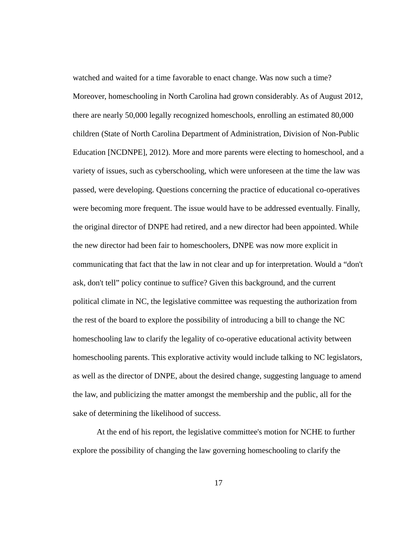watched and waited for a time favorable to enact change. Was now such a time? Moreover, homeschooling in North Carolina had grown considerably. As of August 2012, there are nearly 50,000 legally recognized homeschools, enrolling an estimated 80,000 children (State of North Carolina Department of Administration, Division of Non-Public Education [NCDNPE], 2012). More and more parents were electing to homeschool, and a variety of issues, such as cyberschooling, which were unforeseen at the time the law was passed, were developing. Questions concerning the practice of educational co-operatives were becoming more frequent. The issue would have to be addressed eventually. Finally, the original director of DNPE had retired, and a new director had been appointed. While the new director had been fair to homeschoolers, DNPE was now more explicit in communicating that fact that the law in not clear and up for interpretation. Would a "don't ask, don't tell" policy continue to suffice? Given this background, and the current political climate in NC, the legislative committee was requesting the authorization from the rest of the board to explore the possibility of introducing a bill to change the NC homeschooling law to clarify the legality of co-operative educational activity between homeschooling parents. This explorative activity would include talking to NC legislators, as well as the director of DNPE, about the desired change, suggesting language to amend the law, and publicizing the matter amongst the membership and the public, all for the sake of determining the likelihood of success.

 At the end of his report, the legislative committee's motion for NCHE to further explore the possibility of changing the law governing homeschooling to clarify the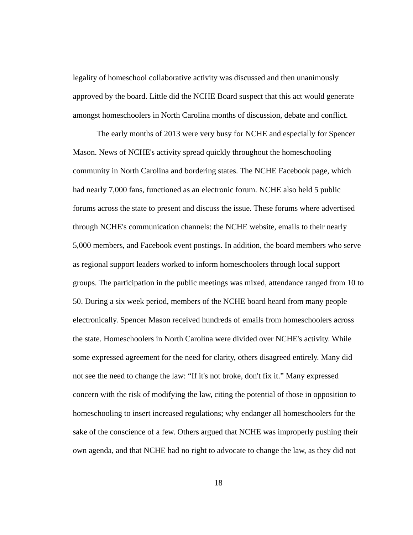legality of homeschool collaborative activity was discussed and then unanimously approved by the board. Little did the NCHE Board suspect that this act would generate amongst homeschoolers in North Carolina months of discussion, debate and conflict.

 The early months of 2013 were very busy for NCHE and especially for Spencer Mason. News of NCHE's activity spread quickly throughout the homeschooling community in North Carolina and bordering states. The NCHE Facebook page, which had nearly 7,000 fans, functioned as an electronic forum. NCHE also held 5 public forums across the state to present and discuss the issue. These forums where advertised through NCHE's communication channels: the NCHE website, emails to their nearly 5,000 members, and Facebook event postings. In addition, the board members who serve as regional support leaders worked to inform homeschoolers through local support groups. The participation in the public meetings was mixed, attendance ranged from 10 to 50. During a six week period, members of the NCHE board heard from many people electronically. Spencer Mason received hundreds of emails from homeschoolers across the state. Homeschoolers in North Carolina were divided over NCHE's activity. While some expressed agreement for the need for clarity, others disagreed entirely. Many did not see the need to change the law: "If it's not broke, don't fix it." Many expressed concern with the risk of modifying the law, citing the potential of those in opposition to homeschooling to insert increased regulations; why endanger all homeschoolers for the sake of the conscience of a few. Others argued that NCHE was improperly pushing their own agenda, and that NCHE had no right to advocate to change the law, as they did not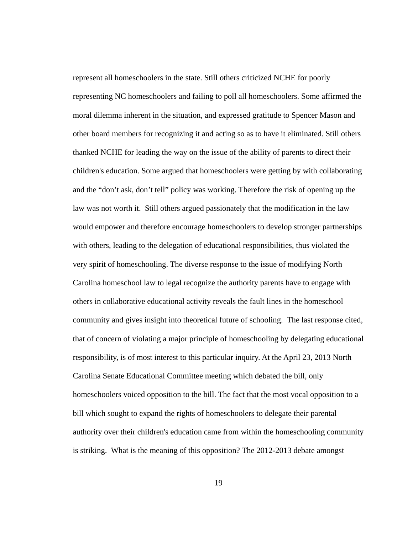represent all homeschoolers in the state. Still others criticized NCHE for poorly representing NC homeschoolers and failing to poll all homeschoolers. Some affirmed the moral dilemma inherent in the situation, and expressed gratitude to Spencer Mason and other board members for recognizing it and acting so as to have it eliminated. Still others thanked NCHE for leading the way on the issue of the ability of parents to direct their children's education. Some argued that homeschoolers were getting by with collaborating and the "don't ask, don't tell" policy was working. Therefore the risk of opening up the law was not worth it. Still others argued passionately that the modification in the law would empower and therefore encourage homeschoolers to develop stronger partnerships with others, leading to the delegation of educational responsibilities, thus violated the very spirit of homeschooling. The diverse response to the issue of modifying North Carolina homeschool law to legal recognize the authority parents have to engage with others in collaborative educational activity reveals the fault lines in the homeschool community and gives insight into theoretical future of schooling. The last response cited, that of concern of violating a major principle of homeschooling by delegating educational responsibility, is of most interest to this particular inquiry. At the April 23, 2013 North Carolina Senate Educational Committee meeting which debated the bill, only homeschoolers voiced opposition to the bill. The fact that the most vocal opposition to a bill which sought to expand the rights of homeschoolers to delegate their parental authority over their children's education came from within the homeschooling community is striking. What is the meaning of this opposition? The 2012-2013 debate amongst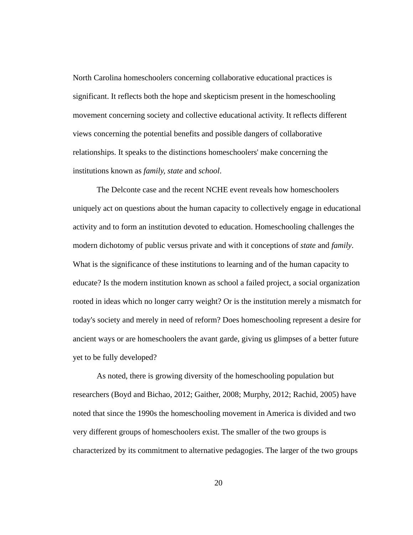North Carolina homeschoolers concerning collaborative educational practices is significant. It reflects both the hope and skepticism present in the homeschooling movement concerning society and collective educational activity. It reflects different views concerning the potential benefits and possible dangers of collaborative relationships. It speaks to the distinctions homeschoolers' make concerning the institutions known as *family, state* and *school*.

 The Delconte case and the recent NCHE event reveals how homeschoolers uniquely act on questions about the human capacity to collectively engage in educational activity and to form an institution devoted to education. Homeschooling challenges the modern dichotomy of public versus private and with it conceptions of *state* and *family*. What is the significance of these institutions to learning and of the human capacity to educate? Is the modern institution known as school a failed project, a social organization rooted in ideas which no longer carry weight? Or is the institution merely a mismatch for today's society and merely in need of reform? Does homeschooling represent a desire for ancient ways or are homeschoolers the avant garde, giving us glimpses of a better future yet to be fully developed?

 As noted, there is growing diversity of the homeschooling population but researchers (Boyd and Bichao, 2012; Gaither, 2008; Murphy, 2012; Rachid, 2005) have noted that since the 1990s the homeschooling movement in America is divided and two very different groups of homeschoolers exist. The smaller of the two groups is characterized by its commitment to alternative pedagogies. The larger of the two groups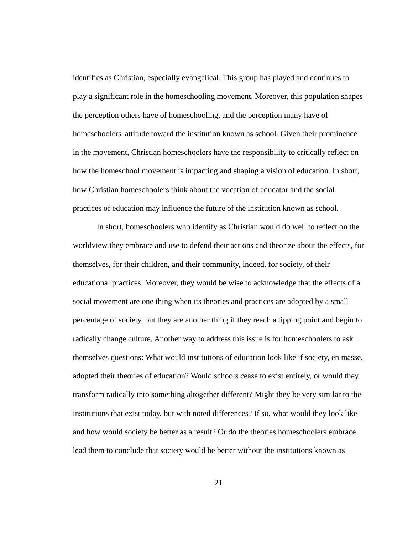identifies as Christian, especially evangelical. This group has played and continues to play a significant role in the homeschooling movement. Moreover, this population shapes the perception others have of homeschooling, and the perception many have of homeschoolers' attitude toward the institution known as school. Given their prominence in the movement, Christian homeschoolers have the responsibility to critically reflect on how the homeschool movement is impacting and shaping a vision of education. In short, how Christian homeschoolers think about the vocation of educator and the social practices of education may influence the future of the institution known as school.

 In short, homeschoolers who identify as Christian would do well to reflect on the worldview they embrace and use to defend their actions and theorize about the effects, for themselves, for their children, and their community, indeed, for society, of their educational practices. Moreover, they would be wise to acknowledge that the effects of a social movement are one thing when its theories and practices are adopted by a small percentage of society, but they are another thing if they reach a tipping point and begin to radically change culture. Another way to address this issue is for homeschoolers to ask themselves questions: What would institutions of education look like if society, en masse, adopted their theories of education? Would schools cease to exist entirely, or would they transform radically into something altogether different? Might they be very similar to the institutions that exist today, but with noted differences? If so, what would they look like and how would society be better as a result? Or do the theories homeschoolers embrace lead them to conclude that society would be better without the institutions known as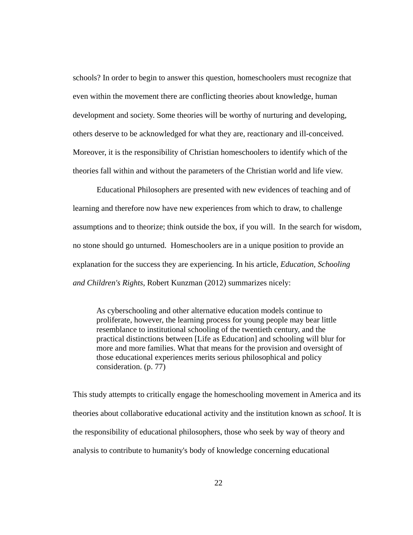schools? In order to begin to answer this question, homeschoolers must recognize that even within the movement there are conflicting theories about knowledge, human development and society. Some theories will be worthy of nurturing and developing, others deserve to be acknowledged for what they are, reactionary and ill-conceived. Moreover, it is the responsibility of Christian homeschoolers to identify which of the theories fall within and without the parameters of the Christian world and life view.

 Educational Philosophers are presented with new evidences of teaching and of learning and therefore now have new experiences from which to draw, to challenge assumptions and to theorize; think outside the box, if you will. In the search for wisdom, no stone should go unturned. Homeschoolers are in a unique position to provide an explanation for the success they are experiencing. In his article, *Education, Schooling and Children's Rights,* Robert Kunzman (2012) summarizes nicely:

As cyberschooling and other alternative education models continue to proliferate, however, the learning process for young people may bear little resemblance to institutional schooling of the twentieth century, and the practical distinctions between [Life as Education] and schooling will blur for more and more families. What that means for the provision and oversight of those educational experiences merits serious philosophical and policy consideration. (p. 77)

This study attempts to critically engage the homeschooling movement in America and its theories about collaborative educational activity and the institution known as *school.* It is the responsibility of educational philosophers, those who seek by way of theory and analysis to contribute to humanity's body of knowledge concerning educational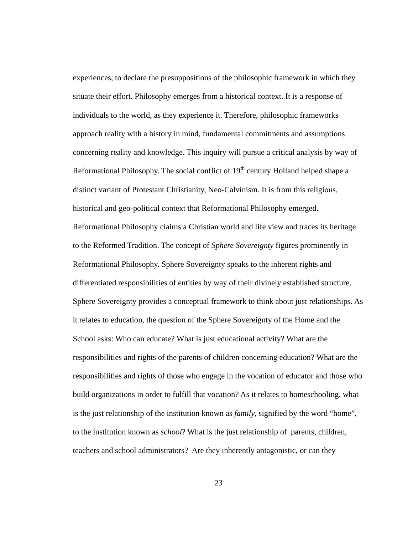experiences, to declare the presuppositions of the philosophic framework in which they situate their effort. Philosophy emerges from a historical context. It is a response of individuals to the world, as they experience it. Therefore, philosophic frameworks approach reality with a history in mind, fundamental commitments and assumptions concerning reality and knowledge. This inquiry will pursue a critical analysis by way of Reformational Philosophy. The social conflict of  $19<sup>th</sup>$  century Holland helped shape a distinct variant of Protestant Christianity, Neo-Calvinism. It is from this religious, historical and geo-political context that Reformational Philosophy emerged. Reformational Philosophy claims a Christian world and life view and traces its heritage to the Reformed Tradition. The concept of *Sphere Sovereignty* figures prominently in Reformational Philosophy. Sphere Sovereignty speaks to the inherent rights and differentiated responsibilities of entities by way of their divinely established structure. Sphere Sovereignty provides a conceptual framework to think about just relationships. As it relates to education, the question of the Sphere Sovereignty of the Home and the School asks: Who can educate? What is just educational activity? What are the responsibilities and rights of the parents of children concerning education? What are the responsibilities and rights of those who engage in the vocation of educator and those who build organizations in order to fulfill that vocation? As it relates to homeschooling, what is the just relationship of the institution known as *family*, signified by the word "home", to the institution known as *school*? What is the just relationship of parents, children, teachers and school administrators? Are they inherently antagonistic, or can they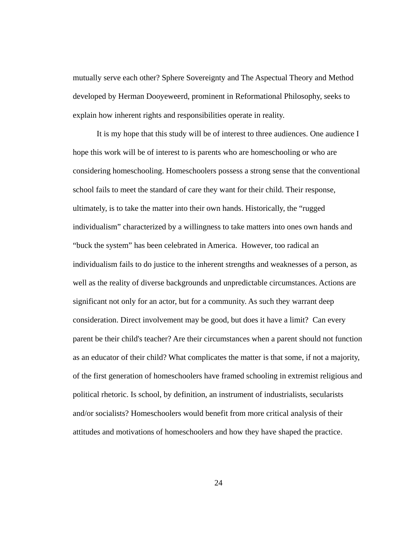mutually serve each other? Sphere Sovereignty and The Aspectual Theory and Method developed by Herman Dooyeweerd, prominent in Reformational Philosophy, seeks to explain how inherent rights and responsibilities operate in reality.

 It is my hope that this study will be of interest to three audiences. One audience I hope this work will be of interest to is parents who are homeschooling or who are considering homeschooling. Homeschoolers possess a strong sense that the conventional school fails to meet the standard of care they want for their child. Their response, ultimately, is to take the matter into their own hands. Historically, the "rugged individualism" characterized by a willingness to take matters into ones own hands and "buck the system" has been celebrated in America. However, too radical an individualism fails to do justice to the inherent strengths and weaknesses of a person, as well as the reality of diverse backgrounds and unpredictable circumstances. Actions are significant not only for an actor, but for a community. As such they warrant deep consideration. Direct involvement may be good, but does it have a limit? Can every parent be their child's teacher? Are their circumstances when a parent should not function as an educator of their child? What complicates the matter is that some, if not a majority, of the first generation of homeschoolers have framed schooling in extremist religious and political rhetoric. Is school, by definition, an instrument of industrialists, secularists and/or socialists? Homeschoolers would benefit from more critical analysis of their attitudes and motivations of homeschoolers and how they have shaped the practice.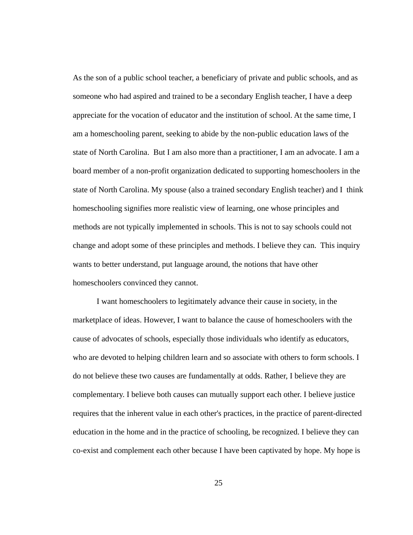As the son of a public school teacher, a beneficiary of private and public schools, and as someone who had aspired and trained to be a secondary English teacher, I have a deep appreciate for the vocation of educator and the institution of school. At the same time, I am a homeschooling parent, seeking to abide by the non-public education laws of the state of North Carolina. But I am also more than a practitioner, I am an advocate. I am a board member of a non-profit organization dedicated to supporting homeschoolers in the state of North Carolina. My spouse (also a trained secondary English teacher) and I think homeschooling signifies more realistic view of learning, one whose principles and methods are not typically implemented in schools. This is not to say schools could not change and adopt some of these principles and methods. I believe they can. This inquiry wants to better understand, put language around, the notions that have other homeschoolers convinced they cannot.

 I want homeschoolers to legitimately advance their cause in society, in the marketplace of ideas. However, I want to balance the cause of homeschoolers with the cause of advocates of schools, especially those individuals who identify as educators, who are devoted to helping children learn and so associate with others to form schools. I do not believe these two causes are fundamentally at odds. Rather, I believe they are complementary. I believe both causes can mutually support each other. I believe justice requires that the inherent value in each other's practices, in the practice of parent-directed education in the home and in the practice of schooling, be recognized. I believe they can co-exist and complement each other because I have been captivated by hope. My hope is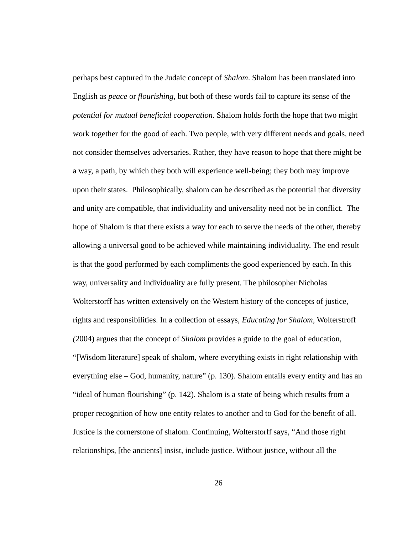perhaps best captured in the Judaic concept of *Shalom*. Shalom has been translated into English as *peace* or *flourishing*, but both of these words fail to capture its sense of the *potential for mutual beneficial cooperation*. Shalom holds forth the hope that two might work together for the good of each. Two people, with very different needs and goals, need not consider themselves adversaries. Rather, they have reason to hope that there might be a way, a path, by which they both will experience well-being; they both may improve upon their states. Philosophically, shalom can be described as the potential that diversity and unity are compatible, that individuality and universality need not be in conflict. The hope of Shalom is that there exists a way for each to serve the needs of the other, thereby allowing a universal good to be achieved while maintaining individuality. The end result is that the good performed by each compliments the good experienced by each. In this way, universality and individuality are fully present. The philosopher Nicholas Wolterstorff has written extensively on the Western history of the concepts of justice, rights and responsibilities. In a collection of essays, *Educating for Shalom*, Wolterstroff *(*2004) argues that the concept of *Shalom* provides a guide to the goal of education, "[Wisdom literature] speak of shalom, where everything exists in right relationship with everything else – God, humanity, nature" (p. 130). Shalom entails every entity and has an "ideal of human flourishing" (p. 142). Shalom is a state of being which results from a proper recognition of how one entity relates to another and to God for the benefit of all. Justice is the cornerstone of shalom. Continuing, Wolterstorff says, "And those right relationships, [the ancients] insist, include justice. Without justice, without all the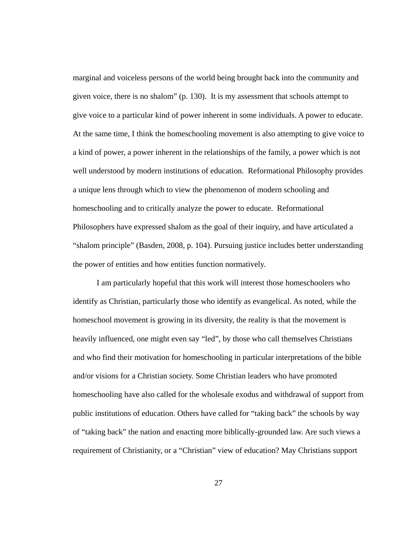marginal and voiceless persons of the world being brought back into the community and given voice, there is no shalom" (p. 130). It is my assessment that schools attempt to give voice to a particular kind of power inherent in some individuals. A power to educate. At the same time, I think the homeschooling movement is also attempting to give voice to a kind of power, a power inherent in the relationships of the family, a power which is not well understood by modern institutions of education. Reformational Philosophy provides a unique lens through which to view the phenomenon of modern schooling and homeschooling and to critically analyze the power to educate. Reformational Philosophers have expressed shalom as the goal of their inquiry, and have articulated a "shalom principle" (Basden, 2008, p. 104). Pursuing justice includes better understanding the power of entities and how entities function normatively.

 I am particularly hopeful that this work will interest those homeschoolers who identify as Christian, particularly those who identify as evangelical. As noted, while the homeschool movement is growing in its diversity, the reality is that the movement is heavily influenced, one might even say "led", by those who call themselves Christians and who find their motivation for homeschooling in particular interpretations of the bible and/or visions for a Christian society. Some Christian leaders who have promoted homeschooling have also called for the wholesale exodus and withdrawal of support from public institutions of education. Others have called for "taking back" the schools by way of "taking back" the nation and enacting more biblically-grounded law. Are such views a requirement of Christianity, or a "Christian" view of education? May Christians support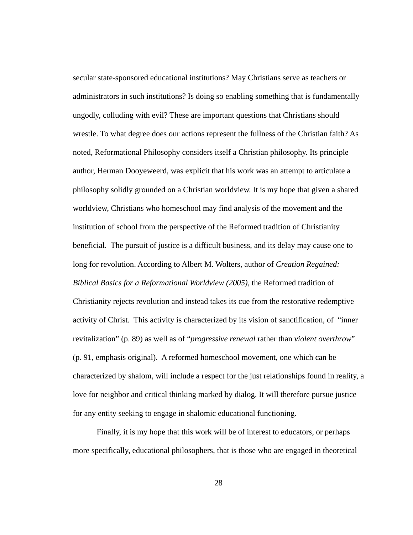secular state-sponsored educational institutions? May Christians serve as teachers or administrators in such institutions? Is doing so enabling something that is fundamentally ungodly, colluding with evil? These are important questions that Christians should wrestle. To what degree does our actions represent the fullness of the Christian faith? As noted, Reformational Philosophy considers itself a Christian philosophy. Its principle author, Herman Dooyeweerd, was explicit that his work was an attempt to articulate a philosophy solidly grounded on a Christian worldview. It is my hope that given a shared worldview, Christians who homeschool may find analysis of the movement and the institution of school from the perspective of the Reformed tradition of Christianity beneficial. The pursuit of justice is a difficult business, and its delay may cause one to long for revolution. According to Albert M. Wolters, author of *Creation Regained: Biblical Basics for a Reformational Worldview (2005)*, the Reformed tradition of Christianity rejects revolution and instead takes its cue from the restorative redemptive activity of Christ. This activity is characterized by its vision of sanctification, of "inner revitalization" (p. 89) as well as of "*progressive renewal* rather than *violent overthrow*" (p. 91, emphasis original). A reformed homeschool movement, one which can be characterized by shalom, will include a respect for the just relationships found in reality, a love for neighbor and critical thinking marked by dialog. It will therefore pursue justice for any entity seeking to engage in shalomic educational functioning.

 Finally, it is my hope that this work will be of interest to educators, or perhaps more specifically, educational philosophers, that is those who are engaged in theoretical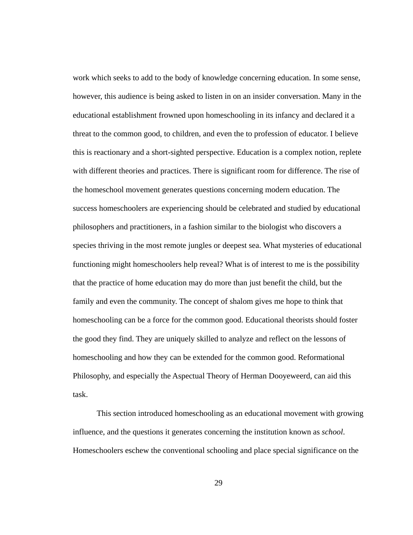work which seeks to add to the body of knowledge concerning education. In some sense, however, this audience is being asked to listen in on an insider conversation. Many in the educational establishment frowned upon homeschooling in its infancy and declared it a threat to the common good, to children, and even the to profession of educator. I believe this is reactionary and a short-sighted perspective. Education is a complex notion, replete with different theories and practices. There is significant room for difference. The rise of the homeschool movement generates questions concerning modern education. The success homeschoolers are experiencing should be celebrated and studied by educational philosophers and practitioners, in a fashion similar to the biologist who discovers a species thriving in the most remote jungles or deepest sea. What mysteries of educational functioning might homeschoolers help reveal? What is of interest to me is the possibility that the practice of home education may do more than just benefit the child, but the family and even the community. The concept of shalom gives me hope to think that homeschooling can be a force for the common good. Educational theorists should foster the good they find. They are uniquely skilled to analyze and reflect on the lessons of homeschooling and how they can be extended for the common good. Reformational Philosophy, and especially the Aspectual Theory of Herman Dooyeweerd, can aid this task.

 This section introduced homeschooling as an educational movement with growing influence, and the questions it generates concerning the institution known as *school*. Homeschoolers eschew the conventional schooling and place special significance on the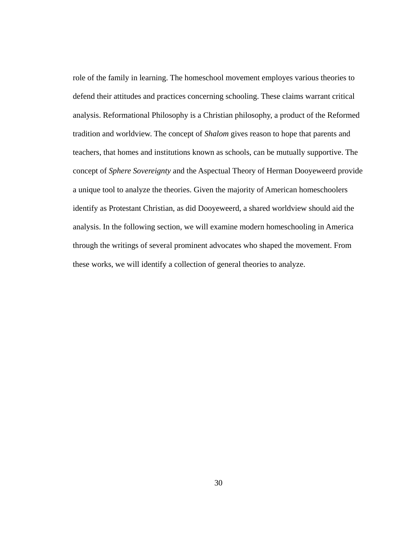role of the family in learning. The homeschool movement employes various theories to defend their attitudes and practices concerning schooling. These claims warrant critical analysis. Reformational Philosophy is a Christian philosophy, a product of the Reformed tradition and worldview. The concept of *Shalom* gives reason to hope that parents and teachers, that homes and institutions known as schools, can be mutually supportive. The concept of *Sphere Sovereignty* and the Aspectual Theory of Herman Dooyeweerd provide a unique tool to analyze the theories. Given the majority of American homeschoolers identify as Protestant Christian, as did Dooyeweerd, a shared worldview should aid the analysis. In the following section, we will examine modern homeschooling in America through the writings of several prominent advocates who shaped the movement. From these works, we will identify a collection of general theories to analyze.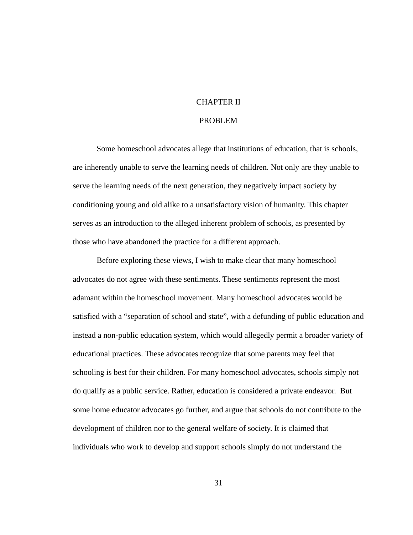## CHAPTER II

## PROBLEM

 Some homeschool advocates allege that institutions of education, that is schools, are inherently unable to serve the learning needs of children. Not only are they unable to serve the learning needs of the next generation, they negatively impact society by conditioning young and old alike to a unsatisfactory vision of humanity. This chapter serves as an introduction to the alleged inherent problem of schools, as presented by those who have abandoned the practice for a different approach.

 Before exploring these views, I wish to make clear that many homeschool advocates do not agree with these sentiments. These sentiments represent the most adamant within the homeschool movement. Many homeschool advocates would be satisfied with a "separation of school and state", with a defunding of public education and instead a non-public education system, which would allegedly permit a broader variety of educational practices. These advocates recognize that some parents may feel that schooling is best for their children. For many homeschool advocates, schools simply not do qualify as a public service. Rather, education is considered a private endeavor. But some home educator advocates go further, and argue that schools do not contribute to the development of children nor to the general welfare of society. It is claimed that individuals who work to develop and support schools simply do not understand the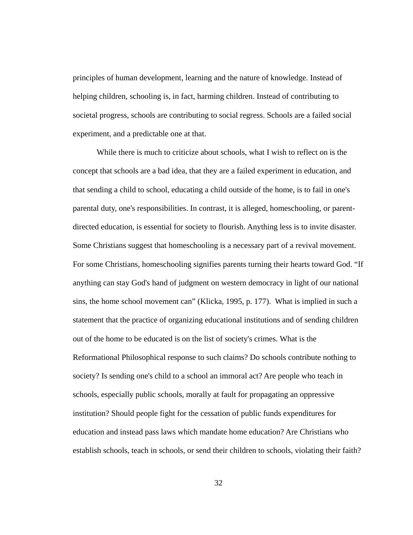principles of human development, learning and the nature of knowledge. Instead of helping children, schooling is, in fact, harming children. Instead of contributing to societal progress, schools are contributing to social regress. Schools are a failed social experiment, and a predictable one at that.

 While there is much to criticize about schools, what I wish to reflect on is the concept that schools are a bad idea, that they are a failed experiment in education, and that sending a child to school, educating a child outside of the home, is to fail in one's parental duty, one's responsibilities. In contrast, it is alleged, homeschooling, or parentdirected education, is essential for society to flourish. Anything less is to invite disaster. Some Christians suggest that homeschooling is a necessary part of a revival movement. For some Christians, homeschooling signifies parents turning their hearts toward God. "If anything can stay God's hand of judgment on western democracy in light of our national sins, the home school movement can" (Klicka, 1995, p. 177). What is implied in such a statement that the practice of organizing educational institutions and of sending children out of the home to be educated is on the list of society's crimes. What is the Reformational Philosophical response to such claims? Do schools contribute nothing to society? Is sending one's child to a school an immoral act? Are people who teach in schools, especially public schools, morally at fault for propagating an oppressive institution? Should people fight for the cessation of public funds expenditures for education and instead pass laws which mandate home education? Are Christians who establish schools, teach in schools, or send their children to schools, violating their faith?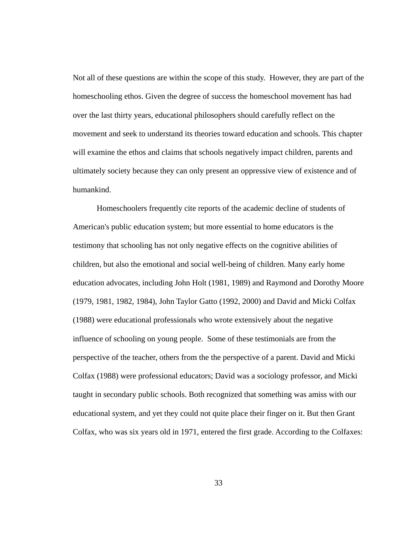Not all of these questions are within the scope of this study. However, they are part of the homeschooling ethos. Given the degree of success the homeschool movement has had over the last thirty years, educational philosophers should carefully reflect on the movement and seek to understand its theories toward education and schools. This chapter will examine the ethos and claims that schools negatively impact children, parents and ultimately society because they can only present an oppressive view of existence and of humankind.

 Homeschoolers frequently cite reports of the academic decline of students of American's public education system; but more essential to home educators is the testimony that schooling has not only negative effects on the cognitive abilities of children, but also the emotional and social well-being of children. Many early home education advocates, including John Holt (1981, 1989) and Raymond and Dorothy Moore (1979, 1981, 1982, 1984), John Taylor Gatto (1992, 2000) and David and Micki Colfax (1988) were educational professionals who wrote extensively about the negative influence of schooling on young people. Some of these testimonials are from the perspective of the teacher, others from the the perspective of a parent. David and Micki Colfax (1988) were professional educators; David was a sociology professor, and Micki taught in secondary public schools. Both recognized that something was amiss with our educational system, and yet they could not quite place their finger on it. But then Grant Colfax, who was six years old in 1971, entered the first grade. According to the Colfaxes:

33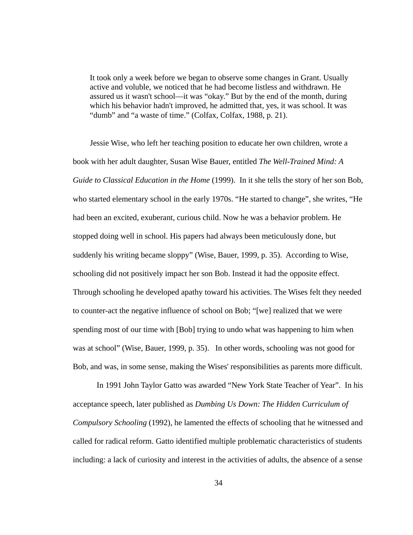It took only a week before we began to observe some changes in Grant. Usually active and voluble, we noticed that he had become listless and withdrawn. He assured us it wasn't school—it was "okay." But by the end of the month, during which his behavior hadn't improved, he admitted that, yes, it was school. It was "dumb" and "a waste of time." (Colfax, Colfax, 1988, p. 21).

Jessie Wise, who left her teaching position to educate her own children, wrote a book with her adult daughter, Susan Wise Bauer, entitled *The Well-Trained Mind: A Guide to Classical Education in the Home* (1999). In it she tells the story of her son Bob, who started elementary school in the early 1970s. "He started to change", she writes, "He had been an excited, exuberant, curious child. Now he was a behavior problem. He stopped doing well in school. His papers had always been meticulously done, but suddenly his writing became sloppy" (Wise, Bauer, 1999, p. 35). According to Wise, schooling did not positively impact her son Bob. Instead it had the opposite effect. Through schooling he developed apathy toward his activities. The Wises felt they needed to counter-act the negative influence of school on Bob; "[we] realized that we were spending most of our time with [Bob] trying to undo what was happening to him when was at school" (Wise, Bauer, 1999, p. 35). In other words, schooling was not good for Bob, and was, in some sense, making the Wises' responsibilities as parents more difficult.

 In 1991 John Taylor Gatto was awarded "New York State Teacher of Year". In his acceptance speech, later published as *Dumbing Us Down: The Hidden Curriculum of Compulsory Schooling* (1992)*,* he lamented the effects of schooling that he witnessed and called for radical reform. Gatto identified multiple problematic characteristics of students including: a lack of curiosity and interest in the activities of adults, the absence of a sense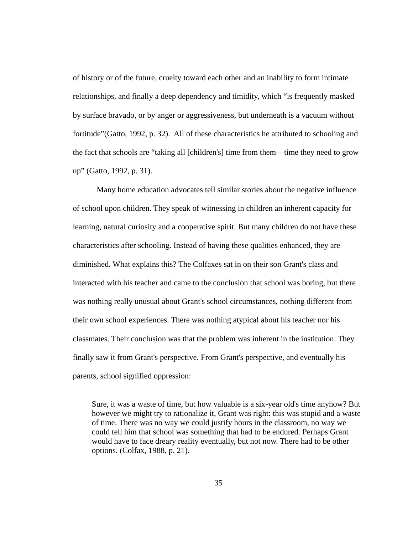of history or of the future, cruelty toward each other and an inability to form intimate relationships, and finally a deep dependency and timidity, which "is frequently masked by surface bravado, or by anger or aggressiveness, but underneath is a vacuum without fortitude"(Gatto, 1992, p. 32). All of these characteristics he attributed to schooling and the fact that schools are "taking all [children's] time from them—time they need to grow up" (Gatto, 1992, p. 31).

 Many home education advocates tell similar stories about the negative influence of school upon children. They speak of witnessing in children an inherent capacity for learning, natural curiosity and a cooperative spirit. But many children do not have these characteristics after schooling. Instead of having these qualities enhanced, they are diminished. What explains this? The Colfaxes sat in on their son Grant's class and interacted with his teacher and came to the conclusion that school was boring, but there was nothing really unusual about Grant's school circumstances, nothing different from their own school experiences. There was nothing atypical about his teacher nor his classmates. Their conclusion was that the problem was inherent in the institution. They finally saw it from Grant's perspective. From Grant's perspective, and eventually his parents, school signified oppression:

Sure, it was a waste of time, but how valuable is a six-year old's time anyhow? But however we might try to rationalize it, Grant was right: this was stupid and a waste of time. There was no way we could justify hours in the classroom, no way we could tell him that school was something that had to be endured. Perhaps Grant would have to face dreary reality eventually, but not now. There had to be other options. (Colfax, 1988, p. 21).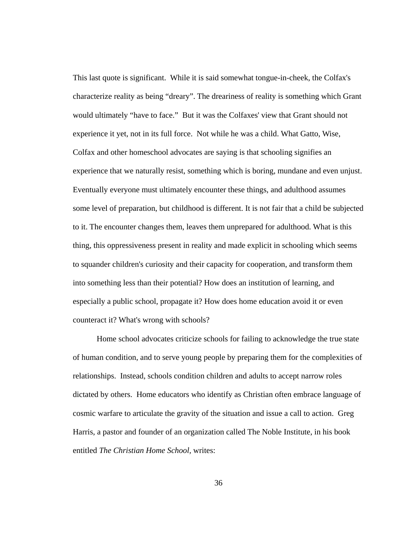This last quote is significant. While it is said somewhat tongue-in-cheek, the Colfax's characterize reality as being "dreary". The dreariness of reality is something which Grant would ultimately "have to face." But it was the Colfaxes' view that Grant should not experience it yet, not in its full force. Not while he was a child. What Gatto, Wise, Colfax and other homeschool advocates are saying is that schooling signifies an experience that we naturally resist, something which is boring, mundane and even unjust. Eventually everyone must ultimately encounter these things, and adulthood assumes some level of preparation, but childhood is different. It is not fair that a child be subjected to it. The encounter changes them, leaves them unprepared for adulthood. What is this thing, this oppressiveness present in reality and made explicit in schooling which seems to squander children's curiosity and their capacity for cooperation, and transform them into something less than their potential? How does an institution of learning, and especially a public school, propagate it? How does home education avoid it or even counteract it? What's wrong with schools?

 Home school advocates criticize schools for failing to acknowledge the true state of human condition, and to serve young people by preparing them for the complexities of relationships. Instead, schools condition children and adults to accept narrow roles dictated by others. Home educators who identify as Christian often embrace language of cosmic warfare to articulate the gravity of the situation and issue a call to action. Greg Harris, a pastor and founder of an organization called The Noble Institute, in his book entitled *The Christian Home School,* writes:

36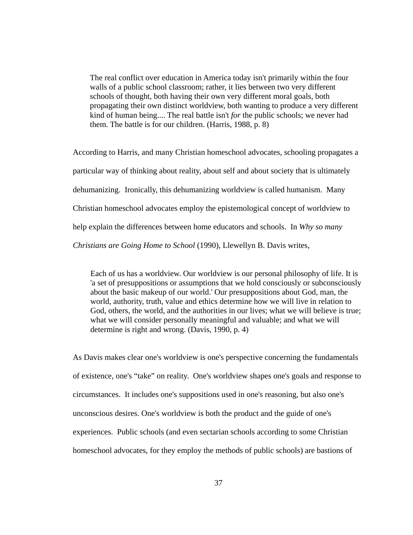The real conflict over education in America today isn't primarily within the four walls of a public school classroom; rather, it lies between two very different schools of thought, both having their own very different moral goals, both propagating their own distinct worldview, both wanting to produce a very different kind of human being.... The real battle isn't *for* the public schools; we never had them. The battle is for our children. (Harris, 1988, p. 8)

According to Harris, and many Christian homeschool advocates, schooling propagates a particular way of thinking about reality, about self and about society that is ultimately dehumanizing. Ironically, this dehumanizing worldview is called humanism. Many Christian homeschool advocates employ the epistemological concept of worldview to help explain the differences between home educators and schools. In *Why so many Christians are Going Home to School* (1990), Llewellyn B. Davis writes,

Each of us has a worldview. Our worldview is our personal philosophy of life. It is 'a set of presuppositions or assumptions that we hold consciously or subconsciously about the basic makeup of our world.' Our presuppositions about God, man, the world, authority, truth, value and ethics determine how we will live in relation to God, others, the world, and the authorities in our lives; what we will believe is true; what we will consider personally meaningful and valuable; and what we will determine is right and wrong. (Davis, 1990, p. 4)

As Davis makes clear one's worldview is one's perspective concerning the fundamentals of existence, one's "take" on reality. One's worldview shapes one's goals and response to circumstances. It includes one's suppositions used in one's reasoning, but also one's unconscious desires. One's worldview is both the product and the guide of one's experiences. Public schools (and even sectarian schools according to some Christian homeschool advocates, for they employ the methods of public schools) are bastions of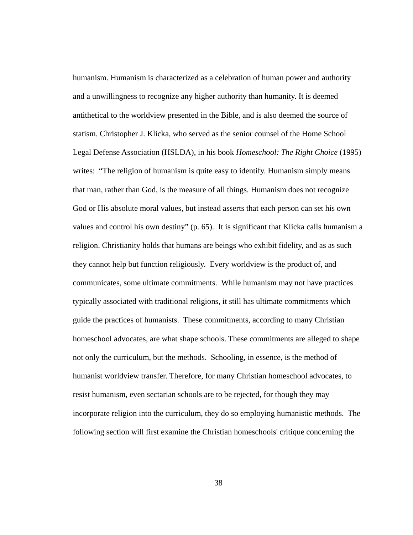humanism. Humanism is characterized as a celebration of human power and authority and a unwillingness to recognize any higher authority than humanity. It is deemed antithetical to the worldview presented in the Bible, and is also deemed the source of statism. Christopher J. Klicka, who served as the senior counsel of the Home School Legal Defense Association (HSLDA), in his book *Homeschool: The Right Choice* (1995) writes: "The religion of humanism is quite easy to identify. Humanism simply means that man, rather than God, is the measure of all things. Humanism does not recognize God or His absolute moral values, but instead asserts that each person can set his own values and control his own destiny" (p. 65). It is significant that Klicka calls humanism a religion. Christianity holds that humans are beings who exhibit fidelity, and as as such they cannot help but function religiously. Every worldview is the product of, and communicates, some ultimate commitments. While humanism may not have practices typically associated with traditional religions, it still has ultimate commitments which guide the practices of humanists. These commitments, according to many Christian homeschool advocates, are what shape schools. These commitments are alleged to shape not only the curriculum, but the methods. Schooling, in essence, is the method of humanist worldview transfer. Therefore, for many Christian homeschool advocates, to resist humanism, even sectarian schools are to be rejected, for though they may incorporate religion into the curriculum, they do so employing humanistic methods. The following section will first examine the Christian homeschools' critique concerning the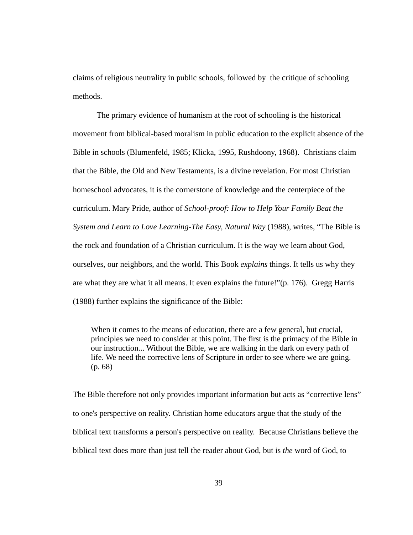claims of religious neutrality in public schools, followed by the critique of schooling methods.

 The primary evidence of humanism at the root of schooling is the historical movement from biblical-based moralism in public education to the explicit absence of the Bible in schools (Blumenfeld, 1985; Klicka, 1995, Rushdoony, 1968). Christians claim that the Bible, the Old and New Testaments, is a divine revelation. For most Christian homeschool advocates, it is the cornerstone of knowledge and the centerpiece of the curriculum. Mary Pride, author of *School-proof: How to Help Your Family Beat the System and Learn to Love Learning-The Easy, Natural Way* (1988), writes, "The Bible is the rock and foundation of a Christian curriculum. It is the way we learn about God, ourselves, our neighbors, and the world. This Book *explains* things. It tells us why they are what they are what it all means. It even explains the future!"(p. 176). Gregg Harris (1988) further explains the significance of the Bible:

When it comes to the means of education, there are a few general, but crucial, principles we need to consider at this point. The first is the primacy of the Bible in our instruction... Without the Bible, we are walking in the dark on every path of life. We need the corrective lens of Scripture in order to see where we are going. (p. 68)

The Bible therefore not only provides important information but acts as "corrective lens" to one's perspective on reality. Christian home educators argue that the study of the biblical text transforms a person's perspective on reality. Because Christians believe the biblical text does more than just tell the reader about God, but is *the* word of God, to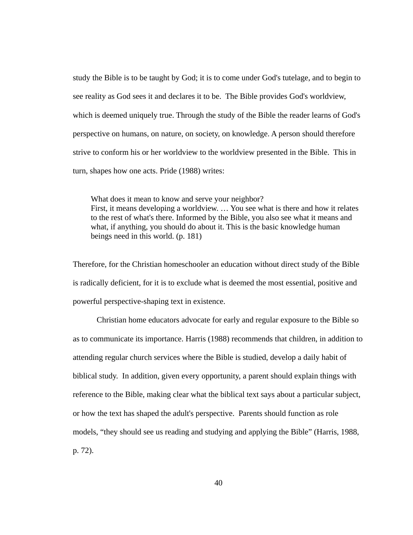study the Bible is to be taught by God; it is to come under God's tutelage, and to begin to see reality as God sees it and declares it to be. The Bible provides God's worldview, which is deemed uniquely true. Through the study of the Bible the reader learns of God's perspective on humans, on nature, on society, on knowledge. A person should therefore strive to conform his or her worldview to the worldview presented in the Bible. This in turn, shapes how one acts. Pride (1988) writes:

What does it mean to know and serve your neighbor? First, it means developing a worldview. … You see what is there and how it relates to the rest of what's there. Informed by the Bible, you also see what it means and what, if anything, you should do about it. This is the basic knowledge human beings need in this world. (p. 181)

Therefore, for the Christian homeschooler an education without direct study of the Bible is radically deficient, for it is to exclude what is deemed the most essential, positive and powerful perspective-shaping text in existence.

 Christian home educators advocate for early and regular exposure to the Bible so as to communicate its importance. Harris (1988) recommends that children, in addition to attending regular church services where the Bible is studied, develop a daily habit of biblical study. In addition, given every opportunity, a parent should explain things with reference to the Bible, making clear what the biblical text says about a particular subject, or how the text has shaped the adult's perspective. Parents should function as role models, "they should see us reading and studying and applying the Bible" (Harris, 1988, p. 72).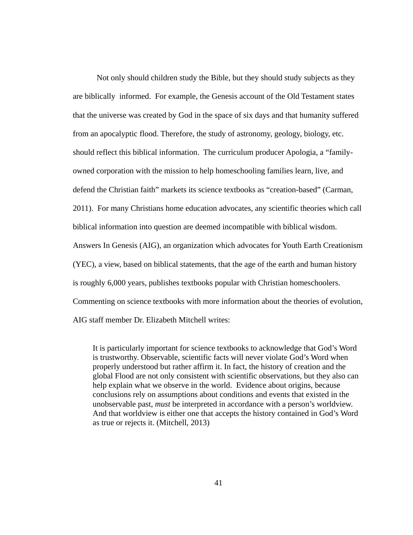Not only should children study the Bible, but they should study subjects as they are biblically informed. For example, the Genesis account of the Old Testament states that the universe was created by God in the space of six days and that humanity suffered from an apocalyptic flood. Therefore, the study of astronomy, geology, biology, etc. should reflect this biblical information. The curriculum producer Apologia, a "familyowned corporation with the mission to help homeschooling families learn, live, and defend the Christian faith" markets its science textbooks as "creation-based" (Carman, 2011). For many Christians home education advocates, any scientific theories which call biblical information into question are deemed incompatible with biblical wisdom. Answers In Genesis (AIG), an organization which advocates for Youth Earth Creationism (YEC), a view, based on biblical statements, that the age of the earth and human history is roughly 6,000 years, publishes textbooks popular with Christian homeschoolers. Commenting on science textbooks with more information about the theories of evolution, AIG staff member Dr. Elizabeth Mitchell writes:

It is particularly important for science textbooks to acknowledge that God's Word is trustworthy. Observable, scientific facts will never violate God's Word when properly understood but rather affirm it. In fact, the history of creation and the global Flood are not only consistent with scientific observations, but they also can help explain what we observe in the world. Evidence about origins, because conclusions rely on assumptions about conditions and events that existed in the unobservable past, *must* be interpreted in accordance with a person's worldview. And that worldview is either one that accepts the history contained in God's Word as true or rejects it. (Mitchell, 2013)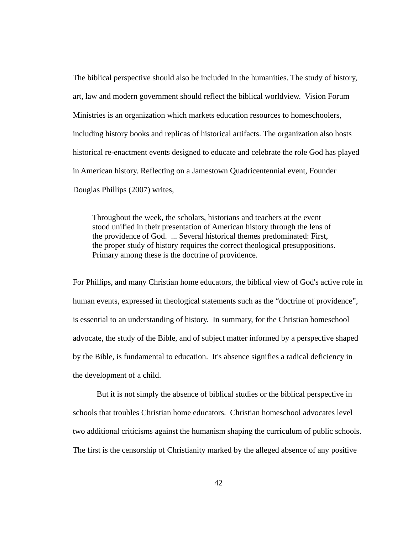The biblical perspective should also be included in the humanities. The study of history, art, law and modern government should reflect the biblical worldview. Vision Forum Ministries is an organization which markets education resources to homeschoolers, including history books and replicas of historical artifacts. The organization also hosts historical re-enactment events designed to educate and celebrate the role God has played in American history. Reflecting on a Jamestown Quadricentennial event, Founder Douglas Phillips (2007) writes,

Throughout the week, the scholars, historians and teachers at the event stood unified in their presentation of American history through the lens of the providence of God. ... Several historical themes predominated: First, the proper study of history requires the correct theological presuppositions. Primary among these is the doctrine of providence.

For Phillips, and many Christian home educators, the biblical view of God's active role in human events, expressed in theological statements such as the "doctrine of providence", is essential to an understanding of history. In summary, for the Christian homeschool advocate, the study of the Bible, and of subject matter informed by a perspective shaped by the Bible, is fundamental to education. It's absence signifies a radical deficiency in the development of a child.

 But it is not simply the absence of biblical studies or the biblical perspective in schools that troubles Christian home educators. Christian homeschool advocates level two additional criticisms against the humanism shaping the curriculum of public schools. The first is the censorship of Christianity marked by the alleged absence of any positive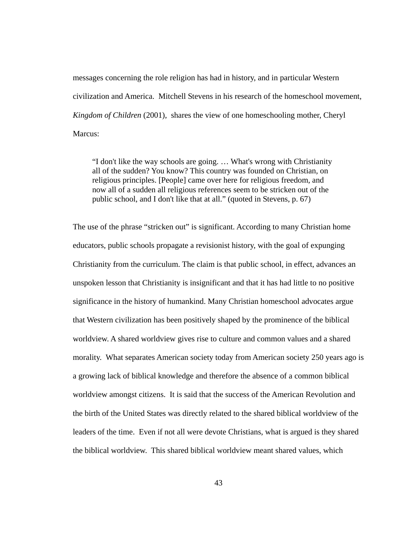messages concerning the role religion has had in history, and in particular Western civilization and America. Mitchell Stevens in his research of the homeschool movement, *Kingdom of Children* (2001), shares the view of one homeschooling mother, Cheryl Marcus:

"I don't like the way schools are going. … What's wrong with Christianity all of the sudden? You know? This country was founded on Christian, on religious principles. [People] came over here for religious freedom, and now all of a sudden all religious references seem to be stricken out of the public school, and I don't like that at all." (quoted in Stevens, p. 67)

The use of the phrase "stricken out" is significant. According to many Christian home educators, public schools propagate a revisionist history, with the goal of expunging Christianity from the curriculum. The claim is that public school, in effect, advances an unspoken lesson that Christianity is insignificant and that it has had little to no positive significance in the history of humankind. Many Christian homeschool advocates argue that Western civilization has been positively shaped by the prominence of the biblical worldview. A shared worldview gives rise to culture and common values and a shared morality. What separates American society today from American society 250 years ago is a growing lack of biblical knowledge and therefore the absence of a common biblical worldview amongst citizens. It is said that the success of the American Revolution and the birth of the United States was directly related to the shared biblical worldview of the leaders of the time. Even if not all were devote Christians, what is argued is they shared the biblical worldview. This shared biblical worldview meant shared values, which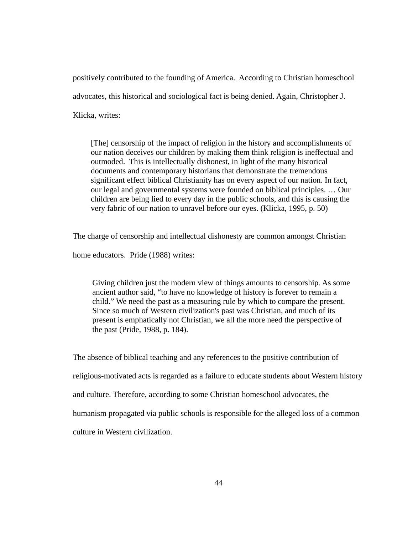positively contributed to the founding of America. According to Christian homeschool advocates, this historical and sociological fact is being denied. Again, Christopher J. Klicka, writes:

[The] censorship of the impact of religion in the history and accomplishments of our nation deceives our children by making them think religion is ineffectual and outmoded. This is intellectually dishonest, in light of the many historical documents and contemporary historians that demonstrate the tremendous significant effect biblical Christianity has on every aspect of our nation. In fact, our legal and governmental systems were founded on biblical principles. … Our children are being lied to every day in the public schools, and this is causing the very fabric of our nation to unravel before our eyes. (Klicka, 1995, p. 50)

The charge of censorship and intellectual dishonesty are common amongst Christian

home educators. Pride (1988) writes:

Giving children just the modern view of things amounts to censorship. As some ancient author said, "to have no knowledge of history is forever to remain a child." We need the past as a measuring rule by which to compare the present. Since so much of Western civilization's past was Christian, and much of its present is emphatically not Christian, we all the more need the perspective of the past (Pride, 1988, p. 184).

The absence of biblical teaching and any references to the positive contribution of religious-motivated acts is regarded as a failure to educate students about Western history and culture. Therefore, according to some Christian homeschool advocates, the humanism propagated via public schools is responsible for the alleged loss of a common culture in Western civilization.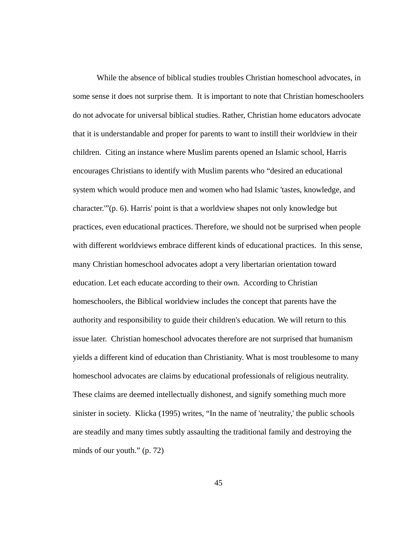While the absence of biblical studies troubles Christian homeschool advocates, in some sense it does not surprise them. It is important to note that Christian homeschoolers do not advocate for universal biblical studies. Rather, Christian home educators advocate that it is understandable and proper for parents to want to instill their worldview in their children. Citing an instance where Muslim parents opened an Islamic school, Harris encourages Christians to identify with Muslim parents who "desired an educational system which would produce men and women who had Islamic 'tastes, knowledge, and character.'"(p. 6). Harris' point is that a worldview shapes not only knowledge but practices, even educational practices. Therefore, we should not be surprised when people with different worldviews embrace different kinds of educational practices. In this sense, many Christian homeschool advocates adopt a very libertarian orientation toward education. Let each educate according to their own. According to Christian homeschoolers, the Biblical worldview includes the concept that parents have the authority and responsibility to guide their children's education. We will return to this issue later. Christian homeschool advocates therefore are not surprised that humanism yields a different kind of education than Christianity. What is most troublesome to many homeschool advocates are claims by educational professionals of religious neutrality. These claims are deemed intellectually dishonest, and signify something much more sinister in society. Klicka (1995) writes, "In the name of 'neutrality,' the public schools are steadily and many times subtly assaulting the traditional family and destroying the minds of our youth." (p. 72)

45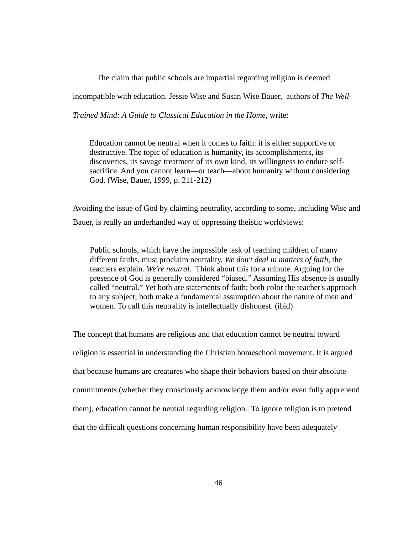The claim that public schools are impartial regarding religion is deemed

incompatible with education. Jessie Wise and Susan Wise Bauer, authors of *The Well-*

*Trained Mind: A Guide to Classical Education in the Home,* write:

Education cannot be neutral when it comes to faith: it is either supportive or destructive. The topic of education is humanity, its accomplishments, its discoveries, its savage treatment of its own kind, its willingness to endure selfsacrifice. And you cannot learn—or teach—about humanity without considering God. (Wise, Bauer, 1999, p. 211-212)

Avoiding the issue of God by claiming neutrality, according to some, including Wise and Bauer, is really an underhanded way of oppressing theistic worldviews:

Public schools, which have the impossible task of teaching children of many different faiths, must proclaim neutrality. *We don't deal in matters of faith*, the teachers explain. *We're neutral*. Think about this for a minute. Arguing for the presence of God is generally considered "biased." Assuming His absence is usually called "neutral." Yet both are statements of faith; both color the teacher's approach to any subject; both make a fundamental assumption about the nature of men and women. To call this neutrality is intellectually dishonest. (ibid)

The concept that humans are religious and that education cannot be neutral toward religion is essential in understanding the Christian homeschool movement. It is argued that because humans are creatures who shape their behaviors based on their absolute commitments (whether they consciously acknowledge them and/or even fully apprehend them), education cannot be neutral regarding religion. To ignore religion is to pretend that the difficult questions concerning human responsibility have been adequately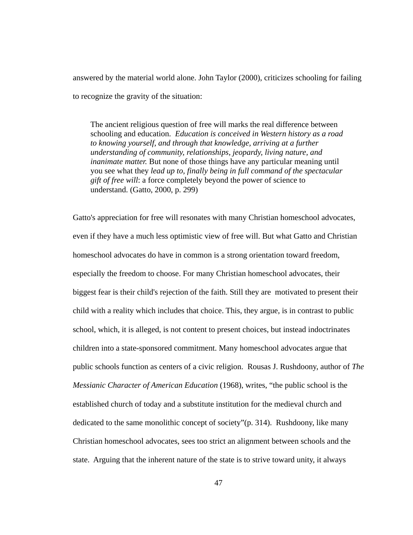answered by the material world alone. John Taylor (2000), criticizes schooling for failing to recognize the gravity of the situation:

The ancient religious question of free will marks the real difference between schooling and education. *Education is conceived in Western history as a road to knowing yourself, and through that knowledge, arriving at a further understanding of community, relationships, jeopardy, living nature, and inanimate matter.* But none of those things have any particular meaning until you see what they *lead up to, finally being in full command of the spectacular gift of free will*: a force completely beyond the power of science to understand. (Gatto, 2000, p. 299)

Gatto's appreciation for free will resonates with many Christian homeschool advocates, even if they have a much less optimistic view of free will. But what Gatto and Christian homeschool advocates do have in common is a strong orientation toward freedom, especially the freedom to choose. For many Christian homeschool advocates, their biggest fear is their child's rejection of the faith. Still they are motivated to present their child with a reality which includes that choice. This, they argue, is in contrast to public school, which, it is alleged, is not content to present choices, but instead indoctrinates children into a state-sponsored commitment. Many homeschool advocates argue that public schools function as centers of a civic religion. Rousas J. Rushdoony, author of *The Messianic Character of American Education* (1968), writes, "the public school is the established church of today and a substitute institution for the medieval church and dedicated to the same monolithic concept of society"(p. 314). Rushdoony, like many Christian homeschool advocates, sees too strict an alignment between schools and the state. Arguing that the inherent nature of the state is to strive toward unity, it always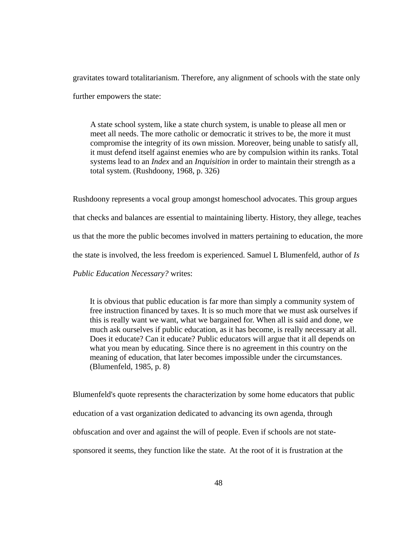gravitates toward totalitarianism. Therefore, any alignment of schools with the state only further empowers the state:

A state school system, like a state church system, is unable to please all men or meet all needs. The more catholic or democratic it strives to be, the more it must compromise the integrity of its own mission. Moreover, being unable to satisfy all, it must defend itself against enemies who are by compulsion within its ranks. Total systems lead to an *Index* and an *Inquisition* in order to maintain their strength as a total system. (Rushdoony, 1968, p. 326)

Rushdoony represents a vocal group amongst homeschool advocates. This group argues that checks and balances are essential to maintaining liberty. History, they allege, teaches us that the more the public becomes involved in matters pertaining to education, the more the state is involved, the less freedom is experienced. Samuel L Blumenfeld, author of *Is Public Education Necessary?* writes:

It is obvious that public education is far more than simply a community system of free instruction financed by taxes. It is so much more that we must ask ourselves if this is really want we want, what we bargained for. When all is said and done, we much ask ourselves if public education, as it has become, is really necessary at all. Does it educate? Can it educate? Public educators will argue that it all depends on what you mean by educating. Since there is no agreement in this country on the meaning of education, that later becomes impossible under the circumstances. (Blumenfeld, 1985, p. 8)

Blumenfeld's quote represents the characterization by some home educators that public education of a vast organization dedicated to advancing its own agenda, through obfuscation and over and against the will of people. Even if schools are not statesponsored it seems, they function like the state. At the root of it is frustration at the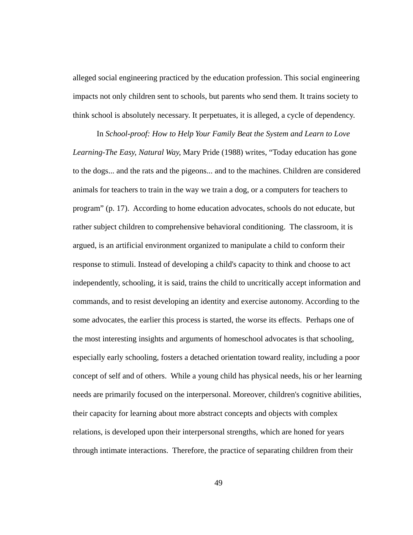alleged social engineering practiced by the education profession. This social engineering impacts not only children sent to schools, but parents who send them. It trains society to think school is absolutely necessary. It perpetuates, it is alleged, a cycle of dependency.

 In *School-proof: How to Help Your Family Beat the System and Learn to Love Learning-The Easy, Natural Way,* Mary Pride (1988) writes, "Today education has gone to the dogs... and the rats and the pigeons... and to the machines. Children are considered animals for teachers to train in the way we train a dog, or a computers for teachers to program" (p. 17). According to home education advocates, schools do not educate, but rather subject children to comprehensive behavioral conditioning. The classroom, it is argued, is an artificial environment organized to manipulate a child to conform their response to stimuli. Instead of developing a child's capacity to think and choose to act independently, schooling, it is said, trains the child to uncritically accept information and commands, and to resist developing an identity and exercise autonomy. According to the some advocates, the earlier this process is started, the worse its effects. Perhaps one of the most interesting insights and arguments of homeschool advocates is that schooling, especially early schooling, fosters a detached orientation toward reality, including a poor concept of self and of others. While a young child has physical needs, his or her learning needs are primarily focused on the interpersonal. Moreover, children's cognitive abilities, their capacity for learning about more abstract concepts and objects with complex relations, is developed upon their interpersonal strengths, which are honed for years through intimate interactions. Therefore, the practice of separating children from their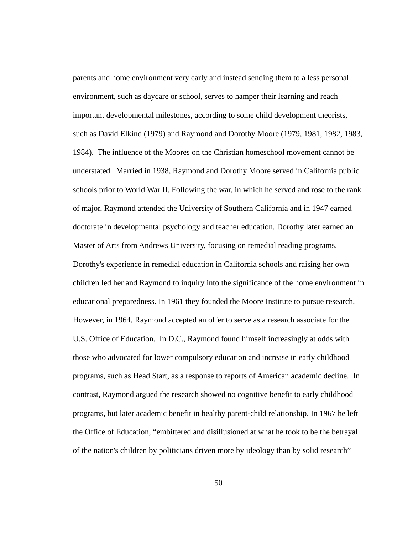parents and home environment very early and instead sending them to a less personal environment, such as daycare or school, serves to hamper their learning and reach important developmental milestones, according to some child development theorists, such as David Elkind (1979) and Raymond and Dorothy Moore (1979, 1981, 1982, 1983, 1984). The influence of the Moores on the Christian homeschool movement cannot be understated. Married in 1938, Raymond and Dorothy Moore served in California public schools prior to World War II. Following the war, in which he served and rose to the rank of major, Raymond attended the University of Southern California and in 1947 earned doctorate in developmental psychology and teacher education. Dorothy later earned an Master of Arts from Andrews University, focusing on remedial reading programs. Dorothy's experience in remedial education in California schools and raising her own children led her and Raymond to inquiry into the significance of the home environment in educational preparedness. In 1961 they founded the Moore Institute to pursue research. However, in 1964, Raymond accepted an offer to serve as a research associate for the U.S. Office of Education. In D.C., Raymond found himself increasingly at odds with those who advocated for lower compulsory education and increase in early childhood programs, such as Head Start, as a response to reports of American academic decline. In contrast, Raymond argued the research showed no cognitive benefit to early childhood programs, but later academic benefit in healthy parent-child relationship. In 1967 he left the Office of Education, "embittered and disillusioned at what he took to be the betrayal of the nation's children by politicians driven more by ideology than by solid research"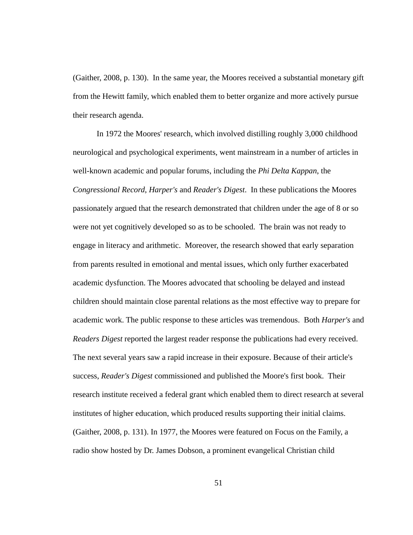(Gaither, 2008, p. 130). In the same year, the Moores received a substantial monetary gift from the Hewitt family, which enabled them to better organize and more actively pursue their research agenda.

 In 1972 the Moores' research, which involved distilling roughly 3,000 childhood neurological and psychological experiments, went mainstream in a number of articles in well-known academic and popular forums, including the *Phi Delta Kappan*, the *Congressional Record*, *Harper's* and *Reader's Digest*. In these publications the Moores passionately argued that the research demonstrated that children under the age of 8 or so were not yet cognitively developed so as to be schooled. The brain was not ready to engage in literacy and arithmetic. Moreover, the research showed that early separation from parents resulted in emotional and mental issues, which only further exacerbated academic dysfunction. The Moores advocated that schooling be delayed and instead children should maintain close parental relations as the most effective way to prepare for academic work. The public response to these articles was tremendous. Both *Harper's* and *Readers Digest* reported the largest reader response the publications had every received. The next several years saw a rapid increase in their exposure. Because of their article's success, *Reader's Digest* commissioned and published the Moore's first book. Their research institute received a federal grant which enabled them to direct research at several institutes of higher education, which produced results supporting their initial claims. (Gaither, 2008, p. 131). In 1977, the Moores were featured on Focus on the Family, a radio show hosted by Dr. James Dobson, a prominent evangelical Christian child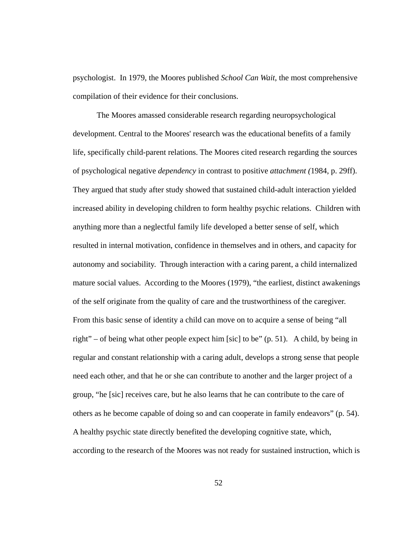psychologist. In 1979, the Moores published *School Can Wait*, the most comprehensive compilation of their evidence for their conclusions.

 The Moores amassed considerable research regarding neuropsychological development. Central to the Moores' research was the educational benefits of a family life, specifically child-parent relations. The Moores cited research regarding the sources of psychological negative *dependency* in contrast to positive *attachment (*1984, p. 29ff). They argued that study after study showed that sustained child-adult interaction yielded increased ability in developing children to form healthy psychic relations. Children with anything more than a neglectful family life developed a better sense of self, which resulted in internal motivation, confidence in themselves and in others, and capacity for autonomy and sociability. Through interaction with a caring parent, a child internalized mature social values. According to the Moores (1979), "the earliest, distinct awakenings of the self originate from the quality of care and the trustworthiness of the caregiver. From this basic sense of identity a child can move on to acquire a sense of being "all right" – of being what other people expect him [sic] to be" (p. 51). A child, by being in regular and constant relationship with a caring adult, develops a strong sense that people need each other, and that he or she can contribute to another and the larger project of a group, "he [sic] receives care, but he also learns that he can contribute to the care of others as he become capable of doing so and can cooperate in family endeavors" (p. 54). A healthy psychic state directly benefited the developing cognitive state, which, according to the research of the Moores was not ready for sustained instruction, which is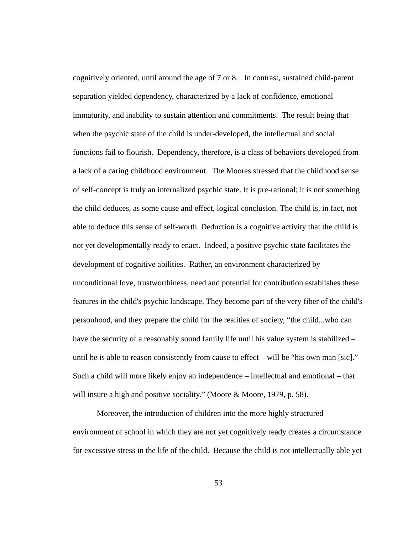cognitively oriented, until around the age of 7 or 8. In contrast, sustained child-parent separation yielded dependency, characterized by a lack of confidence, emotional immaturity, and inability to sustain attention and commitments. The result being that when the psychic state of the child is under-developed, the intellectual and social functions fail to flourish. Dependency, therefore, is a class of behaviors developed from a lack of a caring childhood environment. The Moores stressed that the childhood sense of self-concept is truly an internalized psychic state. It is pre-rational; it is not something the child deduces, as some cause and effect, logical conclusion. The child is, in fact, not able to deduce this sense of self-worth. Deduction is a cognitive activity that the child is not yet developmentally ready to enact. Indeed, a positive psychic state facilitates the development of cognitive abilities. Rather, an environment characterized by unconditional love, trustworthiness, need and potential for contribution establishes these features in the child's psychic landscape. They become part of the very fiber of the child's personhood, and they prepare the child for the realities of society, "the child...who can have the security of a reasonably sound family life until his value system is stabilized – until he is able to reason consistently from cause to effect – will be "his own man [sic]." Such a child will more likely enjoy an independence – intellectual and emotional – that will insure a high and positive sociality." (Moore & Moore, 1979, p. 58).

 Moreover, the introduction of children into the more highly structured environment of school in which they are not yet cognitively ready creates a circumstance for excessive stress in the life of the child. Because the child is not intellectually able yet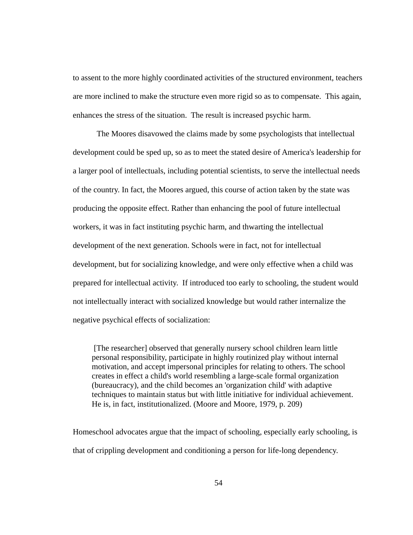to assent to the more highly coordinated activities of the structured environment, teachers are more inclined to make the structure even more rigid so as to compensate. This again, enhances the stress of the situation. The result is increased psychic harm.

 The Moores disavowed the claims made by some psychologists that intellectual development could be sped up, so as to meet the stated desire of America's leadership for a larger pool of intellectuals, including potential scientists, to serve the intellectual needs of the country. In fact, the Moores argued, this course of action taken by the state was producing the opposite effect. Rather than enhancing the pool of future intellectual workers, it was in fact instituting psychic harm, and thwarting the intellectual development of the next generation. Schools were in fact, not for intellectual development, but for socializing knowledge, and were only effective when a child was prepared for intellectual activity. If introduced too early to schooling, the student would not intellectually interact with socialized knowledge but would rather internalize the negative psychical effects of socialization:

 [The researcher] observed that generally nursery school children learn little personal responsibility, participate in highly routinized play without internal motivation, and accept impersonal principles for relating to others. The school creates in effect a child's world resembling a large-scale formal organization (bureaucracy), and the child becomes an 'organization child' with adaptive techniques to maintain status but with little initiative for individual achievement. He is, in fact, institutionalized. (Moore and Moore, 1979, p. 209)

Homeschool advocates argue that the impact of schooling, especially early schooling, is that of crippling development and conditioning a person for life-long dependency.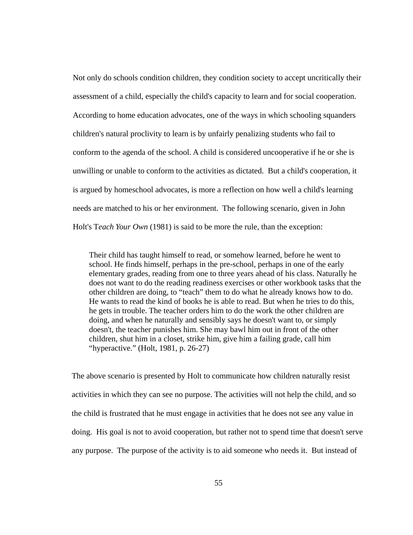Not only do schools condition children, they condition society to accept uncritically their assessment of a child, especially the child's capacity to learn and for social cooperation. According to home education advocates, one of the ways in which schooling squanders children's natural proclivity to learn is by unfairly penalizing students who fail to conform to the agenda of the school. A child is considered uncooperative if he or she is unwilling or unable to conform to the activities as dictated. But a child's cooperation, it is argued by homeschool advocates, is more a reflection on how well a child's learning needs are matched to his or her environment. The following scenario, given in John Holt's T*each Your Own* (1981) is said to be more the rule, than the exception:

Their child has taught himself to read, or somehow learned, before he went to school. He finds himself, perhaps in the pre-school, perhaps in one of the early elementary grades, reading from one to three years ahead of his class. Naturally he does not want to do the reading readiness exercises or other workbook tasks that the other children are doing, to "teach" them to do what he already knows how to do. He wants to read the kind of books he is able to read. But when he tries to do this, he gets in trouble. The teacher orders him to do the work the other children are doing, and when he naturally and sensibly says he doesn't want to, or simply doesn't, the teacher punishes him. She may bawl him out in front of the other children, shut him in a closet, strike him, give him a failing grade, call him "hyperactive." (Holt, 1981, p. 26-27)

The above scenario is presented by Holt to communicate how children naturally resist activities in which they can see no purpose. The activities will not help the child, and so the child is frustrated that he must engage in activities that he does not see any value in doing. His goal is not to avoid cooperation, but rather not to spend time that doesn't serve any purpose. The purpose of the activity is to aid someone who needs it. But instead of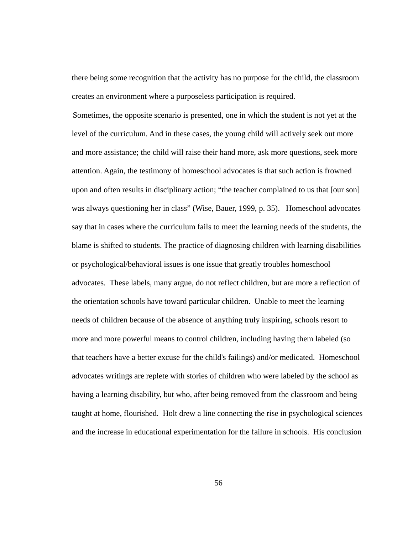there being some recognition that the activity has no purpose for the child, the classroom creates an environment where a purposeless participation is required.

 Sometimes, the opposite scenario is presented, one in which the student is not yet at the level of the curriculum. And in these cases, the young child will actively seek out more and more assistance; the child will raise their hand more, ask more questions, seek more attention. Again, the testimony of homeschool advocates is that such action is frowned upon and often results in disciplinary action; "the teacher complained to us that [our son] was always questioning her in class" (Wise, Bauer, 1999, p. 35). Homeschool advocates say that in cases where the curriculum fails to meet the learning needs of the students, the blame is shifted to students. The practice of diagnosing children with learning disabilities or psychological/behavioral issues is one issue that greatly troubles homeschool advocates. These labels, many argue, do not reflect children, but are more a reflection of the orientation schools have toward particular children. Unable to meet the learning needs of children because of the absence of anything truly inspiring, schools resort to more and more powerful means to control children, including having them labeled (so that teachers have a better excuse for the child's failings) and/or medicated. Homeschool advocates writings are replete with stories of children who were labeled by the school as having a learning disability, but who, after being removed from the classroom and being taught at home, flourished. Holt drew a line connecting the rise in psychological sciences and the increase in educational experimentation for the failure in schools. His conclusion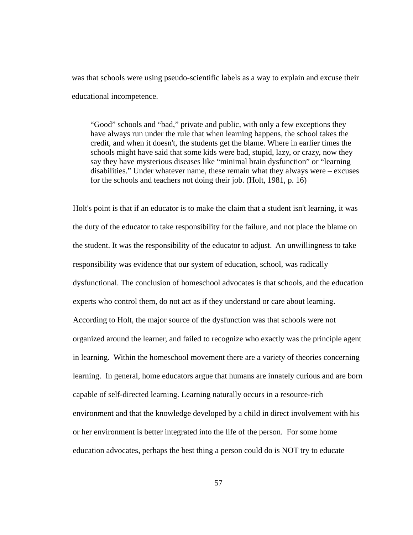was that schools were using pseudo-scientific labels as a way to explain and excuse their educational incompetence.

"Good" schools and "bad," private and public, with only a few exceptions they have always run under the rule that when learning happens, the school takes the credit, and when it doesn't, the students get the blame. Where in earlier times the schools might have said that some kids were bad, stupid, lazy, or crazy, now they say they have mysterious diseases like "minimal brain dysfunction" or "learning disabilities." Under whatever name, these remain what they always were – excuses for the schools and teachers not doing their job. (Holt, 1981, p. 16)

Holt's point is that if an educator is to make the claim that a student isn't learning, it was the duty of the educator to take responsibility for the failure, and not place the blame on the student. It was the responsibility of the educator to adjust. An unwillingness to take responsibility was evidence that our system of education, school, was radically dysfunctional. The conclusion of homeschool advocates is that schools, and the education experts who control them, do not act as if they understand or care about learning. According to Holt, the major source of the dysfunction was that schools were not organized around the learner, and failed to recognize who exactly was the principle agent in learning. Within the homeschool movement there are a variety of theories concerning learning. In general, home educators argue that humans are innately curious and are born capable of self-directed learning. Learning naturally occurs in a resource-rich environment and that the knowledge developed by a child in direct involvement with his or her environment is better integrated into the life of the person. For some home education advocates, perhaps the best thing a person could do is NOT try to educate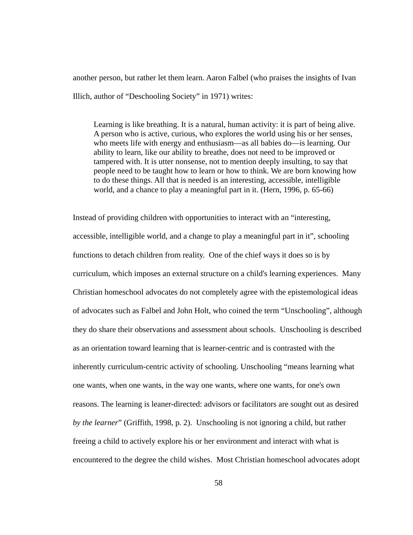another person, but rather let them learn. Aaron Falbel (who praises the insights of Ivan Illich, author of "Deschooling Society" in 1971) writes:

Learning is like breathing. It is a natural, human activity: it is part of being alive. A person who is active, curious, who explores the world using his or her senses, who meets life with energy and enthusiasm—as all babies do—is learning. Our ability to learn, like our ability to breathe, does not need to be improved or tampered with. It is utter nonsense, not to mention deeply insulting, to say that people need to be taught how to learn or how to think. We are born knowing how to do these things. All that is needed is an interesting, accessible, intelligible world, and a chance to play a meaningful part in it. (Hern, 1996, p. 65-66)

Instead of providing children with opportunities to interact with an "interesting, accessible, intelligible world, and a change to play a meaningful part in it", schooling functions to detach children from reality. One of the chief ways it does so is by curriculum, which imposes an external structure on a child's learning experiences. Many Christian homeschool advocates do not completely agree with the epistemological ideas of advocates such as Falbel and John Holt, who coined the term "Unschooling", although they do share their observations and assessment about schools. Unschooling is described as an orientation toward learning that is learner-centric and is contrasted with the inherently curriculum-centric activity of schooling. Unschooling "means learning what one wants, when one wants, in the way one wants, where one wants, for one's own reasons. The learning is leaner-directed: advisors or facilitators are sought out as desired *by the learner*" (Griffith, 1998, p. 2). Unschooling is not ignoring a child, but rather freeing a child to actively explore his or her environment and interact with what is encountered to the degree the child wishes. Most Christian homeschool advocates adopt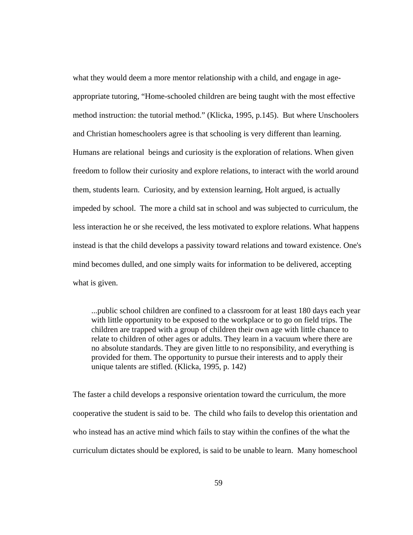what they would deem a more mentor relationship with a child, and engage in ageappropriate tutoring, "Home-schooled children are being taught with the most effective method instruction: the tutorial method." (Klicka, 1995, p.145). But where Unschoolers and Christian homeschoolers agree is that schooling is very different than learning. Humans are relational beings and curiosity is the exploration of relations. When given freedom to follow their curiosity and explore relations, to interact with the world around them, students learn. Curiosity, and by extension learning, Holt argued, is actually impeded by school. The more a child sat in school and was subjected to curriculum, the less interaction he or she received, the less motivated to explore relations. What happens instead is that the child develops a passivity toward relations and toward existence. One's mind becomes dulled, and one simply waits for information to be delivered, accepting what is given.

...public school children are confined to a classroom for at least 180 days each year with little opportunity to be exposed to the workplace or to go on field trips. The children are trapped with a group of children their own age with little chance to relate to children of other ages or adults. They learn in a vacuum where there are no absolute standards. They are given little to no responsibility, and everything is provided for them. The opportunity to pursue their interests and to apply their unique talents are stifled. (Klicka, 1995, p. 142)

The faster a child develops a responsive orientation toward the curriculum, the more cooperative the student is said to be. The child who fails to develop this orientation and who instead has an active mind which fails to stay within the confines of the what the curriculum dictates should be explored, is said to be unable to learn. Many homeschool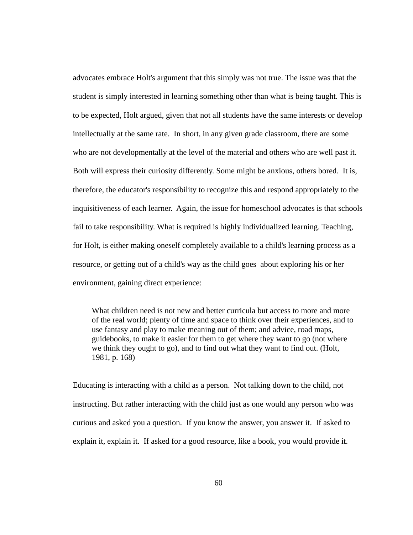advocates embrace Holt's argument that this simply was not true. The issue was that the student is simply interested in learning something other than what is being taught. This is to be expected, Holt argued, given that not all students have the same interests or develop intellectually at the same rate. In short, in any given grade classroom, there are some who are not developmentally at the level of the material and others who are well past it. Both will express their curiosity differently. Some might be anxious, others bored. It is, therefore, the educator's responsibility to recognize this and respond appropriately to the inquisitiveness of each learner. Again, the issue for homeschool advocates is that schools fail to take responsibility. What is required is highly individualized learning. Teaching, for Holt, is either making oneself completely available to a child's learning process as a resource, or getting out of a child's way as the child goes about exploring his or her environment, gaining direct experience:

What children need is not new and better curricula but access to more and more of the real world; plenty of time and space to think over their experiences, and to use fantasy and play to make meaning out of them; and advice, road maps, guidebooks, to make it easier for them to get where they want to go (not where we think they ought to go), and to find out what they want to find out. (Holt, 1981, p. 168)

Educating is interacting with a child as a person. Not talking down to the child, not instructing. But rather interacting with the child just as one would any person who was curious and asked you a question. If you know the answer, you answer it. If asked to explain it, explain it. If asked for a good resource, like a book, you would provide it.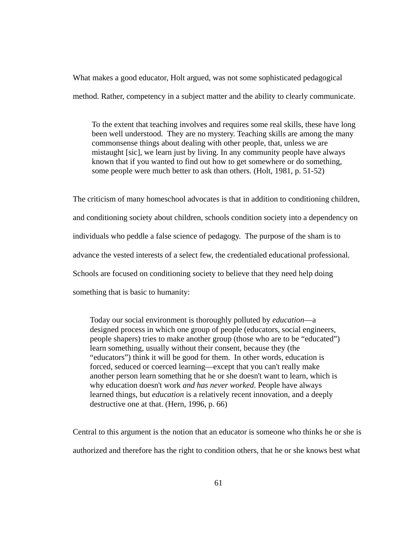What makes a good educator, Holt argued, was not some sophisticated pedagogical method. Rather, competency in a subject matter and the ability to clearly communicate.

To the extent that teaching involves and requires some real skills, these have long been well understood. They are no mystery. Teaching skills are among the many commonsense things about dealing with other people, that, unless we are mistaught [sic], we learn just by living. In any community people have always known that if you wanted to find out how to get somewhere or do something, some people were much better to ask than others. (Holt, 1981, p. 51-52)

The criticism of many homeschool advocates is that in addition to conditioning children, and conditioning society about children, schools condition society into a dependency on individuals who peddle a false science of pedagogy. The purpose of the sham is to advance the vested interests of a select few, the credentialed educational professional. Schools are focused on conditioning society to believe that they need help doing something that is basic to humanity:

Today our social environment is thoroughly polluted by *education*—a designed process in which one group of people (educators, social engineers, people shapers) tries to make another group (those who are to be "educated") learn something, usually without their consent, because they (the "educators") think it will be good for them. In other words, education is forced, seduced or coerced learning—except that you can't really make another person learn something that he or she doesn't want to learn, which is why education doesn't work *and has never worked*. People have always learned things, but *education* is a relatively recent innovation, and a deeply destructive one at that. (Hern, 1996, p. 66)

Central to this argument is the notion that an educator is someone who thinks he or she is authorized and therefore has the right to condition others, that he or she knows best what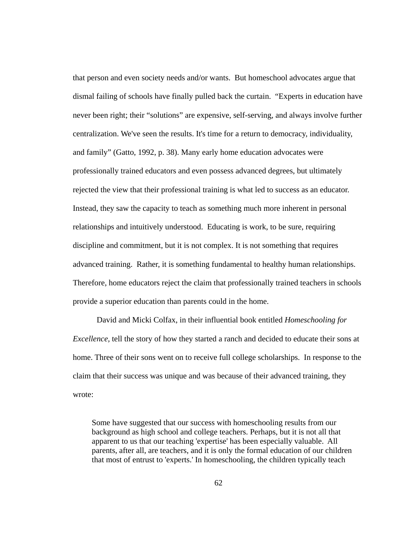that person and even society needs and/or wants. But homeschool advocates argue that dismal failing of schools have finally pulled back the curtain. "Experts in education have never been right; their "solutions" are expensive, self-serving, and always involve further centralization. We've seen the results. It's time for a return to democracy, individuality, and family" (Gatto, 1992, p. 38). Many early home education advocates were professionally trained educators and even possess advanced degrees, but ultimately rejected the view that their professional training is what led to success as an educator. Instead, they saw the capacity to teach as something much more inherent in personal relationships and intuitively understood. Educating is work, to be sure, requiring discipline and commitment, but it is not complex. It is not something that requires advanced training. Rather, it is something fundamental to healthy human relationships. Therefore, home educators reject the claim that professionally trained teachers in schools provide a superior education than parents could in the home.

 David and Micki Colfax, in their influential book entitled *Homeschooling for Excellence,* tell the story of how they started a ranch and decided to educate their sons at home. Three of their sons went on to receive full college scholarships. In response to the claim that their success was unique and was because of their advanced training, they wrote:

Some have suggested that our success with homeschooling results from our background as high school and college teachers. Perhaps, but it is not all that apparent to us that our teaching 'expertise' has been especially valuable. All parents, after all, are teachers, and it is only the formal education of our children that most of entrust to 'experts.' In homeschooling, the children typically teach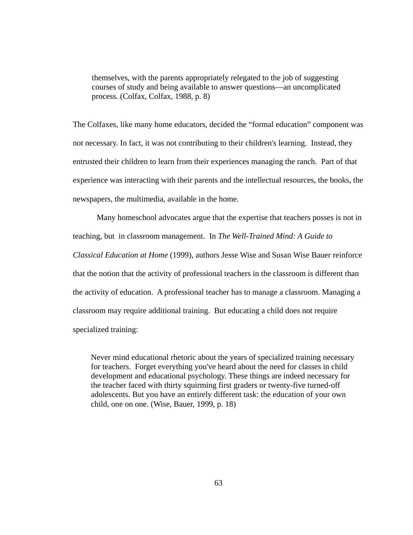themselves, with the parents appropriately relegated to the job of suggesting courses of study and being available to answer questions—an uncomplicated process. (Colfax, Colfax, 1988, p. 8)

The Colfaxes, like many home educators, decided the "formal education" component was not necessary. In fact, it was not contributing to their children's learning. Instead, they entrusted their children to learn from their experiences managing the ranch. Part of that experience was interacting with their parents and the intellectual resources, the books, the newspapers, the multimedia, available in the home.

 Many homeschool advocates argue that the expertise that teachers posses is not in teaching, but in classroom management. In *The Well-Trained Mind: A Guide to Classical Education at Home* (1999), authors Jesse Wise and Susan Wise Bauer reinforce that the notion that the activity of professional teachers in the classroom is different than the activity of education. A professional teacher has to manage a classroom. Managing a classroom may require additional training. But educating a child does not require specialized training:

Never mind educational rhetoric about the years of specialized training necessary for teachers. Forget everything you've heard about the need for classes in child development and educational psychology. These things are indeed necessary for the teacher faced with thirty squirming first graders or twenty-five turned-off adolescents. But you have an entirely different task: the education of your own child, one on one. (Wise, Bauer, 1999, p. 18)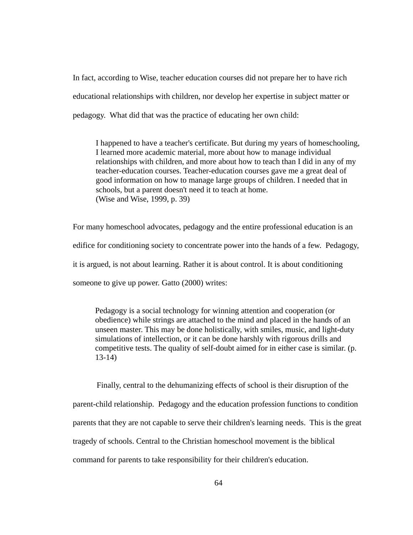In fact, according to Wise, teacher education courses did not prepare her to have rich educational relationships with children, nor develop her expertise in subject matter or pedagogy. What did that was the practice of educating her own child:

I happened to have a teacher's certificate. But during my years of homeschooling, I learned more academic material, more about how to manage individual relationships with children, and more about how to teach than I did in any of my teacher-education courses. Teacher-education courses gave me a great deal of good information on how to manage large groups of children. I needed that in schools, but a parent doesn't need it to teach at home. (Wise and Wise, 1999, p. 39)

For many homeschool advocates, pedagogy and the entire professional education is an edifice for conditioning society to concentrate power into the hands of a few. Pedagogy, it is argued, is not about learning. Rather it is about control. It is about conditioning someone to give up power. Gatto (2000) writes:

Pedagogy is a social technology for winning attention and cooperation (or obedience) while strings are attached to the mind and placed in the hands of an unseen master. This may be done holistically, with smiles, music, and light-duty simulations of intellection, or it can be done harshly with rigorous drills and competitive tests. The quality of self-doubt aimed for in either case is similar. (p. 13-14)

 Finally, central to the dehumanizing effects of school is their disruption of the parent-child relationship. Pedagogy and the education profession functions to condition parents that they are not capable to serve their children's learning needs. This is the great tragedy of schools. Central to the Christian homeschool movement is the biblical command for parents to take responsibility for their children's education.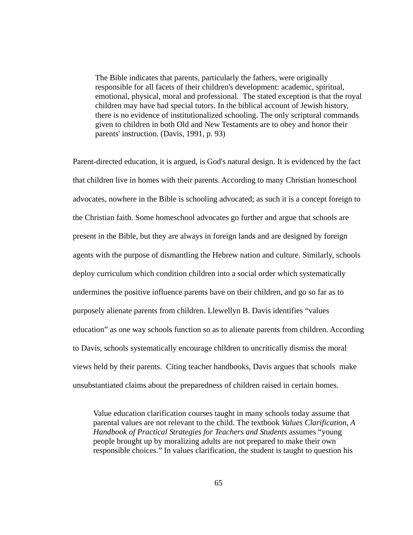The Bible indicates that parents, particularly the fathers, were originally responsible for all facets of their children's development: academic, spiritual, emotional, physical, moral and professional. The stated exception is that the royal children may have had special tutors. In the biblical account of Jewish history, there is no evidence of institutionalized schooling. The only scriptural commands given to children in both Old and New Testaments are to obey and honor their parents' instruction. (Davis, 1991, p. 93)

Parent-directed education, it is argued, is God's natural design. It is evidenced by the fact that children live in homes with their parents. According to many Christian homeschool advocates, nowhere in the Bible is schooling advocated; as such it is a concept foreign to the Christian faith. Some homeschool advocates go further and argue that schools are present in the Bible, but they are always in foreign lands and are designed by foreign agents with the purpose of dismantling the Hebrew nation and culture. Similarly, schools deploy curriculum which condition children into a social order which systematically undermines the positive influence parents have on their children, and go so far as to purposely alienate parents from children. Llewellyn B. Davis identifies "values education" as one way schools function so as to alienate parents from children. According to Davis, schools systematically encourage children to uncritically dismiss the moral views held by their parents. Citing teacher handbooks, Davis argues that schools make unsubstantiated claims about the preparedness of children raised in certain homes.

Value education clarification courses taught in many schools today assume that parental values are not relevant to the child. The textbook *Values Clarification, A Handbook of Practical Strategies for Teachers and Students* assumes "young people brought up by moralizing adults are not prepared to make their own responsible choices." In values clarification, the student is taught to question his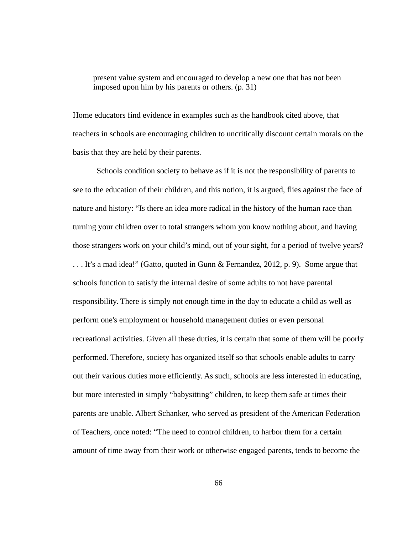present value system and encouraged to develop a new one that has not been imposed upon him by his parents or others. (p. 31)

Home educators find evidence in examples such as the handbook cited above, that teachers in schools are encouraging children to uncritically discount certain morals on the basis that they are held by their parents.

 Schools condition society to behave as if it is not the responsibility of parents to see to the education of their children, and this notion, it is argued, flies against the face of nature and history: "Is there an idea more radical in the history of the human race than turning your children over to total strangers whom you know nothing about, and having those strangers work on your child's mind, out of your sight, for a period of twelve years? . . . It's a mad idea!" (Gatto, quoted in Gunn & Fernandez, 2012, p. 9). Some argue that schools function to satisfy the internal desire of some adults to not have parental responsibility. There is simply not enough time in the day to educate a child as well as perform one's employment or household management duties or even personal recreational activities. Given all these duties, it is certain that some of them will be poorly performed. Therefore, society has organized itself so that schools enable adults to carry out their various duties more efficiently. As such, schools are less interested in educating, but more interested in simply "babysitting" children, to keep them safe at times their parents are unable. Albert Schanker, who served as president of the American Federation of Teachers, once noted: "The need to control children, to harbor them for a certain amount of time away from their work or otherwise engaged parents, tends to become the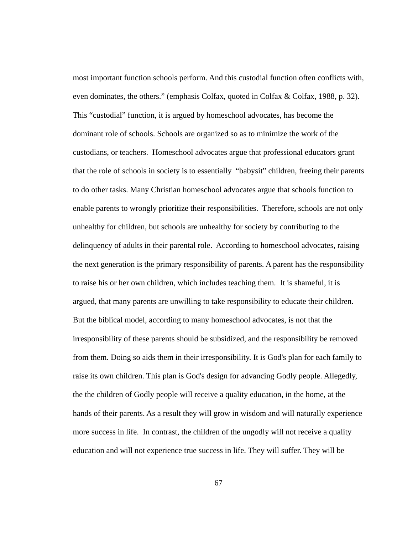most important function schools perform. And this custodial function often conflicts with, even dominates, the others." (emphasis Colfax, quoted in Colfax & Colfax, 1988, p. 32). This "custodial" function, it is argued by homeschool advocates, has become the dominant role of schools. Schools are organized so as to minimize the work of the custodians, or teachers. Homeschool advocates argue that professional educators grant that the role of schools in society is to essentially "babysit" children, freeing their parents to do other tasks. Many Christian homeschool advocates argue that schools function to enable parents to wrongly prioritize their responsibilities. Therefore, schools are not only unhealthy for children, but schools are unhealthy for society by contributing to the delinquency of adults in their parental role. According to homeschool advocates, raising the next generation is the primary responsibility of parents. A parent has the responsibility to raise his or her own children, which includes teaching them. It is shameful, it is argued, that many parents are unwilling to take responsibility to educate their children. But the biblical model, according to many homeschool advocates, is not that the irresponsibility of these parents should be subsidized, and the responsibility be removed from them. Doing so aids them in their irresponsibility. It is God's plan for each family to raise its own children. This plan is God's design for advancing Godly people. Allegedly, the the children of Godly people will receive a quality education, in the home, at the hands of their parents. As a result they will grow in wisdom and will naturally experience more success in life. In contrast, the children of the ungodly will not receive a quality education and will not experience true success in life. They will suffer. They will be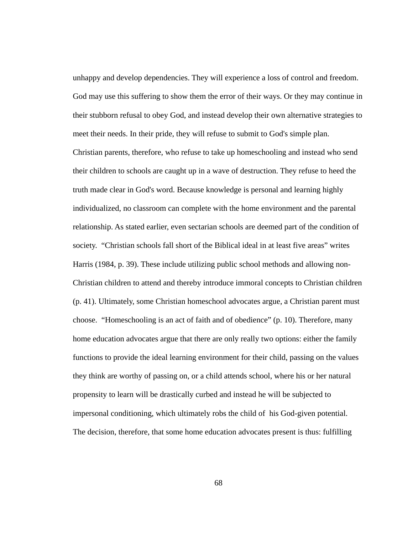unhappy and develop dependencies. They will experience a loss of control and freedom. God may use this suffering to show them the error of their ways. Or they may continue in their stubborn refusal to obey God, and instead develop their own alternative strategies to meet their needs. In their pride, they will refuse to submit to God's simple plan.

Christian parents, therefore, who refuse to take up homeschooling and instead who send their children to schools are caught up in a wave of destruction. They refuse to heed the truth made clear in God's word. Because knowledge is personal and learning highly individualized, no classroom can complete with the home environment and the parental relationship. As stated earlier, even sectarian schools are deemed part of the condition of society. "Christian schools fall short of the Biblical ideal in at least five areas" writes Harris (1984, p. 39). These include utilizing public school methods and allowing non-Christian children to attend and thereby introduce immoral concepts to Christian children (p. 41). Ultimately, some Christian homeschool advocates argue, a Christian parent must choose. "Homeschooling is an act of faith and of obedience" (p. 10). Therefore, many home education advocates argue that there are only really two options: either the family functions to provide the ideal learning environment for their child, passing on the values they think are worthy of passing on, or a child attends school, where his or her natural propensity to learn will be drastically curbed and instead he will be subjected to impersonal conditioning, which ultimately robs the child of his God-given potential. The decision, therefore, that some home education advocates present is thus: fulfilling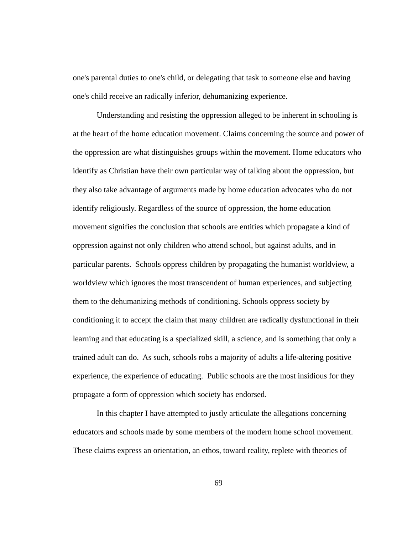one's parental duties to one's child, or delegating that task to someone else and having one's child receive an radically inferior, dehumanizing experience.

 Understanding and resisting the oppression alleged to be inherent in schooling is at the heart of the home education movement. Claims concerning the source and power of the oppression are what distinguishes groups within the movement. Home educators who identify as Christian have their own particular way of talking about the oppression, but they also take advantage of arguments made by home education advocates who do not identify religiously. Regardless of the source of oppression, the home education movement signifies the conclusion that schools are entities which propagate a kind of oppression against not only children who attend school, but against adults, and in particular parents. Schools oppress children by propagating the humanist worldview, a worldview which ignores the most transcendent of human experiences, and subjecting them to the dehumanizing methods of conditioning. Schools oppress society by conditioning it to accept the claim that many children are radically dysfunctional in their learning and that educating is a specialized skill, a science, and is something that only a trained adult can do. As such, schools robs a majority of adults a life-altering positive experience, the experience of educating. Public schools are the most insidious for they propagate a form of oppression which society has endorsed.

 In this chapter I have attempted to justly articulate the allegations concerning educators and schools made by some members of the modern home school movement. These claims express an orientation, an ethos, toward reality, replete with theories of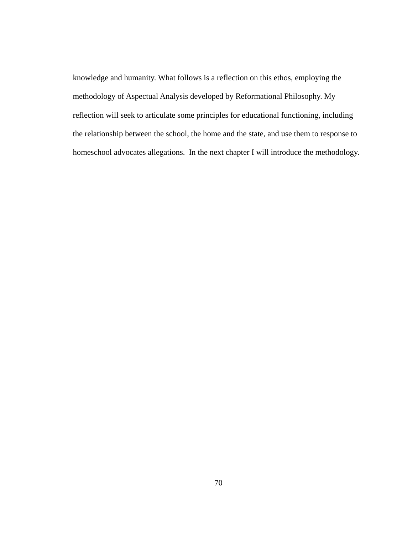knowledge and humanity. What follows is a reflection on this ethos, employing the methodology of Aspectual Analysis developed by Reformational Philosophy. My reflection will seek to articulate some principles for educational functioning, including the relationship between the school, the home and the state, and use them to response to homeschool advocates allegations. In the next chapter I will introduce the methodology.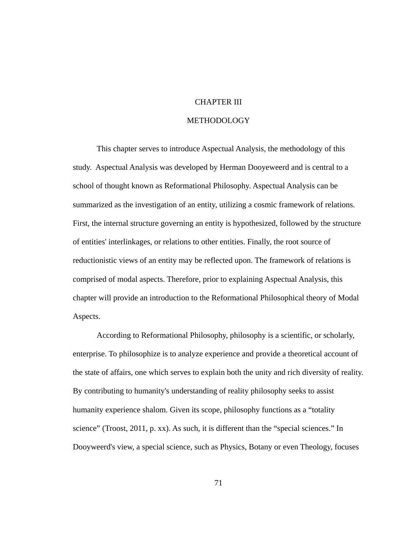## CHAPTER III

## **METHODOLOGY**

 This chapter serves to introduce Aspectual Analysis, the methodology of this study. Aspectual Analysis was developed by Herman Dooyeweerd and is central to a school of thought known as Reformational Philosophy. Aspectual Analysis can be summarized as the investigation of an entity, utilizing a cosmic framework of relations. First, the internal structure governing an entity is hypothesized, followed by the structure of entities' interlinkages, or relations to other entities. Finally, the root source of reductionistic views of an entity may be reflected upon. The framework of relations is comprised of modal aspects. Therefore, prior to explaining Aspectual Analysis, this chapter will provide an introduction to the Reformational Philosophical theory of Modal Aspects.

 According to Reformational Philosophy, philosophy is a scientific, or scholarly, enterprise. To philosophize is to analyze experience and provide a theoretical account of the state of affairs, one which serves to explain both the unity and rich diversity of reality. By contributing to humanity's understanding of reality philosophy seeks to assist humanity experience shalom. Given its scope, philosophy functions as a "totality science" (Troost, 2011, p. xx). As such, it is different than the "special sciences." In Dooyweerd's view, a special science, such as Physics, Botany or even Theology, focuses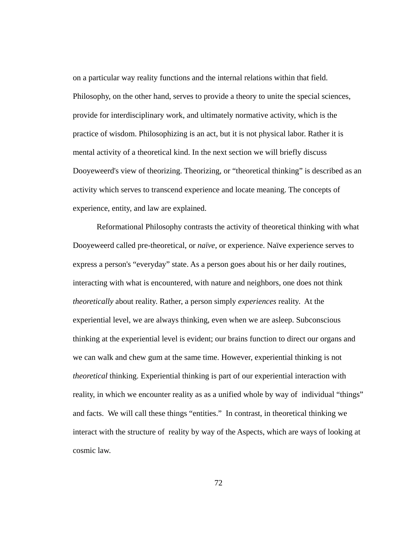on a particular way reality functions and the internal relations within that field. Philosophy, on the other hand, serves to provide a theory to unite the special sciences, provide for interdisciplinary work, and ultimately normative activity, which is the practice of wisdom. Philosophizing is an act, but it is not physical labor. Rather it is mental activity of a theoretical kind. In the next section we will briefly discuss Dooyeweerd's view of theorizing. Theorizing, or "theoretical thinking" is described as an activity which serves to transcend experience and locate meaning. The concepts of experience, entity, and law are explained.

 Reformational Philosophy contrasts the activity of theoretical thinking with what Dooyeweerd called pre-theoretical, or *naïve*, or experience. Naïve experience serves to express a person's "everyday" state. As a person goes about his or her daily routines, interacting with what is encountered, with nature and neighbors, one does not think *theoretically* about reality. Rather, a person simply *experiences* reality. At the experiential level, we are always thinking, even when we are asleep. Subconscious thinking at the experiential level is evident; our brains function to direct our organs and we can walk and chew gum at the same time. However, experiential thinking is not *theoretical* thinking. Experiential thinking is part of our experiential interaction with reality, in which we encounter reality as as a unified whole by way of individual "things" and facts. We will call these things "entities." In contrast, in theoretical thinking we interact with the structure of reality by way of the Aspects, which are ways of looking at cosmic law.

72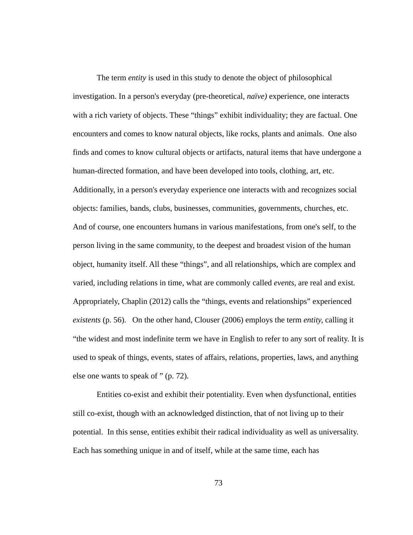The term *entity* is used in this study to denote the object of philosophical investigation. In a person's everyday (pre-theoretical, *naïve)* experience, one interacts with a rich variety of objects. These "things" exhibit individuality; they are factual. One encounters and comes to know natural objects, like rocks, plants and animals. One also finds and comes to know cultural objects or artifacts, natural items that have undergone a human-directed formation, and have been developed into tools, clothing, art, etc. Additionally, in a person's everyday experience one interacts with and recognizes social objects: families, bands, clubs, businesses, communities, governments, churches, etc. And of course, one encounters humans in various manifestations, from one's self, to the person living in the same community, to the deepest and broadest vision of the human object, humanity itself. All these "things", and all relationships, which are complex and varied, including relations in time, what are commonly called *events*, are real and exist*.* Appropriately, Chaplin (2012) calls the "things, events and relationships" experienced *existents* (p. 56).On the other hand, Clouser (2006) employs the term *entity,* calling it "the widest and most indefinite term we have in English to refer to any sort of reality. It is used to speak of things, events, states of affairs, relations, properties, laws, and anything else one wants to speak of " (p. 72).

 Entities co-exist and exhibit their potentiality. Even when dysfunctional, entities still co-exist, though with an acknowledged distinction, that of not living up to their potential. In this sense, entities exhibit their radical individuality as well as universality. Each has something unique in and of itself, while at the same time, each has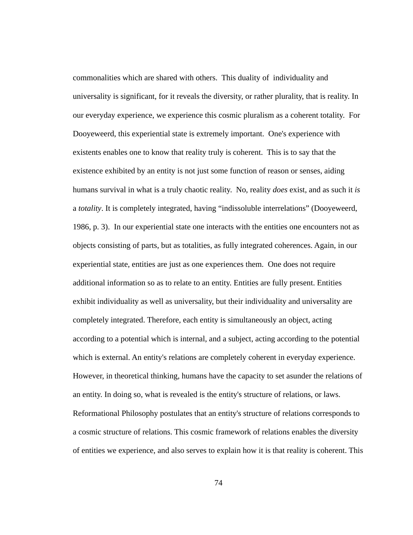commonalities which are shared with others. This duality of individuality and universality is significant, for it reveals the diversity, or rather plurality, that is reality. In our everyday experience, we experience this cosmic pluralism as a coherent totality. For Dooyeweerd, this experiential state is extremely important. One's experience with existents enables one to know that reality truly is coherent. This is to say that the existence exhibited by an entity is not just some function of reason or senses, aiding humans survival in what is a truly chaotic reality. No, reality *does* exist, and as such it *is* a *totality*. It is completely integrated, having "indissoluble interrelations" (Dooyeweerd, 1986, p. 3). In our experiential state one interacts with the entities one encounters not as objects consisting of parts, but as totalities, as fully integrated coherences. Again, in our experiential state, entities are just as one experiences them. One does not require additional information so as to relate to an entity. Entities are fully present. Entities exhibit individuality as well as universality, but their individuality and universality are completely integrated. Therefore, each entity is simultaneously an object, acting according to a potential which is internal, and a subject, acting according to the potential which is external. An entity's relations are completely coherent in everyday experience. However, in theoretical thinking, humans have the capacity to set asunder the relations of an entity. In doing so, what is revealed is the entity's structure of relations, or laws. Reformational Philosophy postulates that an entity's structure of relations corresponds to a cosmic structure of relations. This cosmic framework of relations enables the diversity of entities we experience, and also serves to explain how it is that reality is coherent. This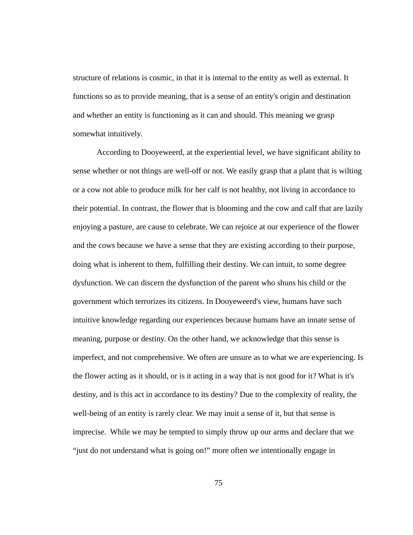structure of relations is cosmic, in that it is internal to the entity as well as external. It functions so as to provide meaning, that is a sense of an entity's origin and destination and whether an entity is functioning as it can and should. This meaning we grasp somewhat intuitively.

 According to Dooyeweerd, at the experiential level, we have significant ability to sense whether or not things are well-off or not. We easily grasp that a plant that is wilting or a cow not able to produce milk for her calf is not healthy, not living in accordance to their potential. In contrast, the flower that is blooming and the cow and calf that are lazily enjoying a pasture, are cause to celebrate. We can rejoice at our experience of the flower and the cows because we have a sense that they are existing according to their purpose, doing what is inherent to them, fulfilling their destiny. We can intuit, to some degree dysfunction. We can discern the dysfunction of the parent who shuns his child or the government which terrorizes its citizens. In Dooyeweerd's view, humans have such intuitive knowledge regarding our experiences because humans have an innate sense of meaning, purpose or destiny. On the other hand, we acknowledge that this sense is imperfect, and not comprehensive. We often are unsure as to what we are experiencing. Is the flower acting as it should, or is it acting in a way that is not good for it? What is it's destiny, and is this act in accordance to its destiny? Due to the complexity of reality, the well-being of an entity is rarely clear. We may inuit a sense of it, but that sense is imprecise. While we may be tempted to simply throw up our arms and declare that we "just do not understand what is going on!" more often we intentionally engage in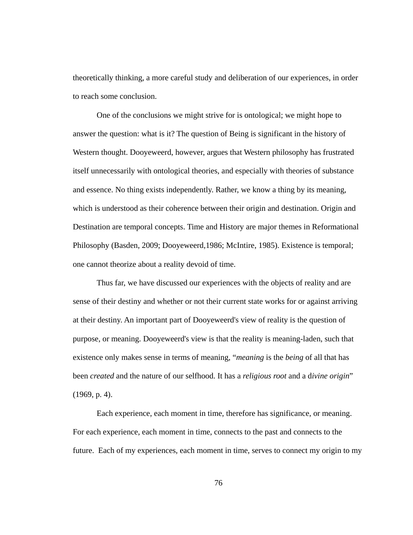theoretically thinking, a more careful study and deliberation of our experiences, in order to reach some conclusion.

 One of the conclusions we might strive for is ontological; we might hope to answer the question: what is it? The question of Being is significant in the history of Western thought. Dooyeweerd, however, argues that Western philosophy has frustrated itself unnecessarily with ontological theories, and especially with theories of substance and essence. No thing exists independently. Rather, we know a thing by its meaning, which is understood as their coherence between their origin and destination. Origin and Destination are temporal concepts. Time and History are major themes in Reformational Philosophy (Basden, 2009; Dooyeweerd,1986; McIntire, 1985). Existence is temporal; one cannot theorize about a reality devoid of time.

 Thus far, we have discussed our experiences with the objects of reality and are sense of their destiny and whether or not their current state works for or against arriving at their destiny. An important part of Dooyeweerd's view of reality is the question of purpose, or meaning. Dooyeweerd's view is that the reality is meaning-laden, such that existence only makes sense in terms of meaning, "*meaning* is the *being* of all that has been *created* and the nature of our selfhood. It has a *religious root* and a d*ivine origin*" (1969, p. 4).

 Each experience, each moment in time, therefore has significance, or meaning. For each experience, each moment in time, connects to the past and connects to the future. Each of my experiences, each moment in time, serves to connect my origin to my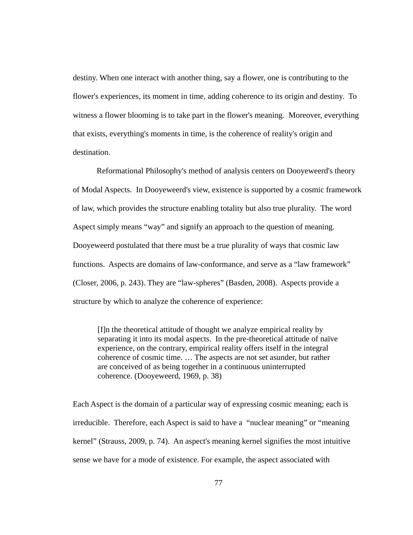destiny. When one interact with another thing, say a flower, one is contributing to the flower's experiences, its moment in time, adding coherence to its origin and destiny. To witness a flower blooming is to take part in the flower's meaning. Moreover, everything that exists, everything's moments in time, is the coherence of reality's origin and destination.

 Reformational Philosophy's method of analysis centers on Dooyeweerd's theory of Modal Aspects. In Dooyeweerd's view, existence is supported by a cosmic framework of law, which provides the structure enabling totality but also true plurality. The word Aspect simply means "way" and signify an approach to the question of meaning. Dooyeweerd postulated that there must be a true plurality of ways that cosmic law functions. Aspects are domains of law-conformance, and serve as a "law framework" (Closer, 2006, p. 243). They are "law-spheres" (Basden, 2008). Aspects provide a structure by which to analyze the coherence of experience:

[I]n the theoretical attitude of thought we analyze empirical reality by separating it into its modal aspects. In the pre-theoretical attitude of naïve experience, on the contrary, empirical reality offers itself in the integral coherence of cosmic time. … The aspects are not set asunder, but rather are conceived of as being together in a continuous uninterrupted coherence. (Dooyeweerd, 1969, p. 38)

Each Aspect is the domain of a particular way of expressing cosmic meaning; each is irreducible. Therefore, each Aspect is said to have a "nuclear meaning" or "meaning kernel" (Strauss, 2009, p. 74). An aspect's meaning kernel signifies the most intuitive sense we have for a mode of existence. For example, the aspect associated with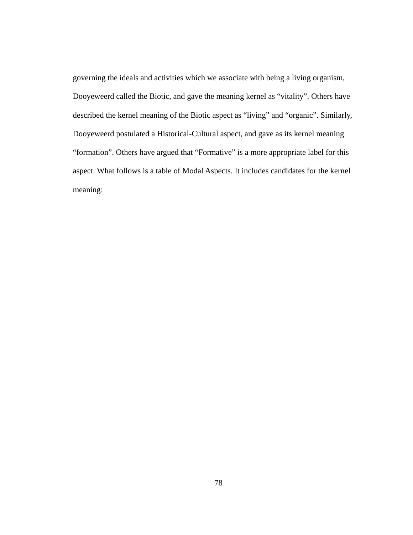governing the ideals and activities which we associate with being a living organism, Dooyeweerd called the Biotic, and gave the meaning kernel as "vitality". Others have described the kernel meaning of the Biotic aspect as "living" and "organic". Similarly, Dooyeweerd postulated a Historical-Cultural aspect, and gave as its kernel meaning "formation". Others have argued that "Formative" is a more appropriate label for this aspect. What follows is a table of Modal Aspects. It includes candidates for the kernel meaning: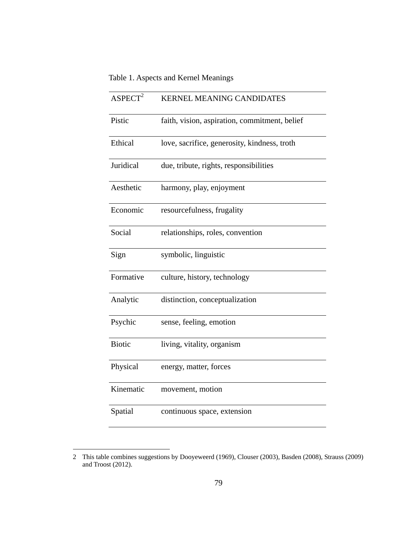# Table 1. Aspects and Kernel Meanings

| ASPECT <sup>2</sup> | <b>KERNEL MEANING CANDIDATES</b>              |
|---------------------|-----------------------------------------------|
| Pistic              | faith, vision, aspiration, commitment, belief |
| Ethical             | love, sacrifice, generosity, kindness, troth  |
| Juridical           | due, tribute, rights, responsibilities        |
| Aesthetic           | harmony, play, enjoyment                      |
| Economic            | resourcefulness, frugality                    |
| Social              | relationships, roles, convention              |
| Sign                | symbolic, linguistic                          |
| Formative           | culture, history, technology                  |
| Analytic            | distinction, conceptualization                |
| Psychic             | sense, feeling, emotion                       |
| <b>Biotic</b>       | living, vitality, organism                    |
| Physical            | energy, matter, forces                        |
| Kinematic           | movement, motion                              |
| Spatial             | continuous space, extension                   |

 $\overline{a}$ 

<sup>2</sup> This table combines suggestions by Dooyeweerd (1969), Clouser (2003), Basden (2008), Strauss (2009) and Troost (2012).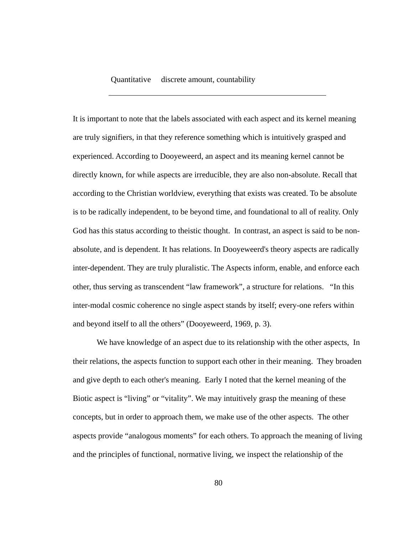#### Quantitative discrete amount, countability

It is important to note that the labels associated with each aspect and its kernel meaning are truly signifiers, in that they reference something which is intuitively grasped and experienced. According to Dooyeweerd, an aspect and its meaning kernel cannot be directly known, for while aspects are irreducible, they are also non-absolute. Recall that according to the Christian worldview, everything that exists was created. To be absolute is to be radically independent, to be beyond time, and foundational to all of reality. Only God has this status according to theistic thought. In contrast, an aspect is said to be nonabsolute, and is dependent. It has relations. In Dooyeweerd's theory aspects are radically inter-dependent. They are truly pluralistic. The Aspects inform, enable, and enforce each other, thus serving as transcendent "law framework", a structure for relations. "In this inter-modal cosmic coherence no single aspect stands by itself; every-one refers within and beyond itself to all the others" (Dooyeweerd, 1969, p. 3).

 We have knowledge of an aspect due to its relationship with the other aspects, In their relations, the aspects function to support each other in their meaning. They broaden and give depth to each other's meaning. Early I noted that the kernel meaning of the Biotic aspect is "living" or "vitality". We may intuitively grasp the meaning of these concepts, but in order to approach them, we make use of the other aspects. The other aspects provide "analogous moments" for each others. To approach the meaning of living and the principles of functional, normative living, we inspect the relationship of the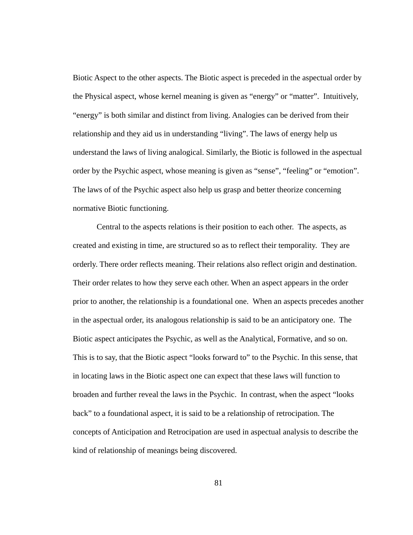Biotic Aspect to the other aspects. The Biotic aspect is preceded in the aspectual order by the Physical aspect, whose kernel meaning is given as "energy" or "matter". Intuitively, "energy" is both similar and distinct from living. Analogies can be derived from their relationship and they aid us in understanding "living". The laws of energy help us understand the laws of living analogical. Similarly, the Biotic is followed in the aspectual order by the Psychic aspect, whose meaning is given as "sense", "feeling" or "emotion". The laws of of the Psychic aspect also help us grasp and better theorize concerning normative Biotic functioning.

 Central to the aspects relations is their position to each other. The aspects, as created and existing in time, are structured so as to reflect their temporality. They are orderly. There order reflects meaning. Their relations also reflect origin and destination. Their order relates to how they serve each other. When an aspect appears in the order prior to another, the relationship is a foundational one. When an aspects precedes another in the aspectual order, its analogous relationship is said to be an anticipatory one. The Biotic aspect anticipates the Psychic, as well as the Analytical, Formative, and so on. This is to say, that the Biotic aspect "looks forward to" to the Psychic. In this sense, that in locating laws in the Biotic aspect one can expect that these laws will function to broaden and further reveal the laws in the Psychic. In contrast, when the aspect "looks back" to a foundational aspect, it is said to be a relationship of retrocipation. The concepts of Anticipation and Retrocipation are used in aspectual analysis to describe the kind of relationship of meanings being discovered.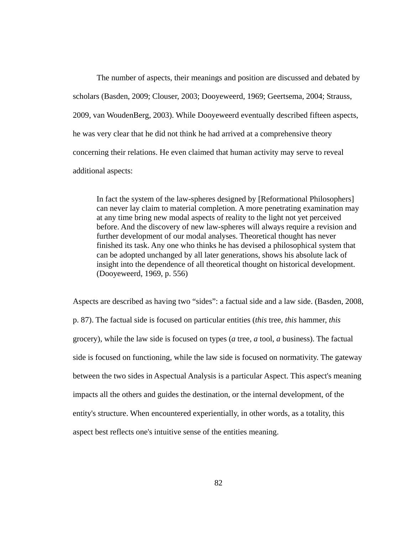The number of aspects, their meanings and position are discussed and debated by scholars (Basden, 2009; Clouser, 2003; Dooyeweerd, 1969; Geertsema, 2004; Strauss, 2009, van WoudenBerg, 2003). While Dooyeweerd eventually described fifteen aspects, he was very clear that he did not think he had arrived at a comprehensive theory concerning their relations. He even claimed that human activity may serve to reveal additional aspects:

In fact the system of the law-spheres designed by [Reformational Philosophers] can never lay claim to material completion. A more penetrating examination may at any time bring new modal aspects of reality to the light not yet perceived before. And the discovery of new law-spheres will always require a revision and further development of our modal analyses. Theoretical thought has never finished its task. Any one who thinks he has devised a philosophical system that can be adopted unchanged by all later generations, shows his absolute lack of insight into the dependence of all theoretical thought on historical development. (Dooyeweerd, 1969, p. 556)

Aspects are described as having two "sides": a factual side and a law side. (Basden, 2008, p. 87). The factual side is focused on particular entities (*this* tree, *this* hammer, *this* grocery), while the law side is focused on types (*a* tree, *a* tool, *a* business). The factual side is focused on functioning, while the law side is focused on normativity. The gateway between the two sides in Aspectual Analysis is a particular Aspect. This aspect's meaning impacts all the others and guides the destination, or the internal development, of the entity's structure. When encountered experientially, in other words, as a totality, this aspect best reflects one's intuitive sense of the entities meaning.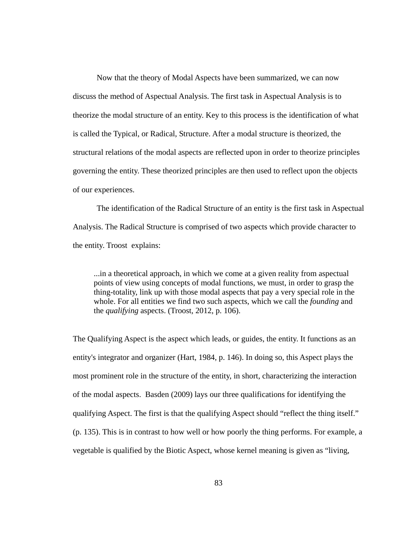Now that the theory of Modal Aspects have been summarized, we can now discuss the method of Aspectual Analysis. The first task in Aspectual Analysis is to theorize the modal structure of an entity. Key to this process is the identification of what is called the Typical, or Radical, Structure. After a modal structure is theorized, the structural relations of the modal aspects are reflected upon in order to theorize principles governing the entity. These theorized principles are then used to reflect upon the objects of our experiences.

 The identification of the Radical Structure of an entity is the first task in Aspectual Analysis. The Radical Structure is comprised of two aspects which provide character to the entity. Troost explains:

...in a theoretical approach, in which we come at a given reality from aspectual points of view using concepts of modal functions, we must, in order to grasp the thing-totality, link up with those modal aspects that pay a very special role in the whole. For all entities we find two such aspects, which we call the *founding* and the *qualifying* aspects. (Troost, 2012, p. 106).

The Qualifying Aspect is the aspect which leads, or guides, the entity. It functions as an entity's integrator and organizer (Hart, 1984, p. 146). In doing so, this Aspect plays the most prominent role in the structure of the entity, in short, characterizing the interaction of the modal aspects. Basden (2009) lays our three qualifications for identifying the qualifying Aspect. The first is that the qualifying Aspect should "reflect the thing itself." (p. 135). This is in contrast to how well or how poorly the thing performs. For example, a vegetable is qualified by the Biotic Aspect, whose kernel meaning is given as "living,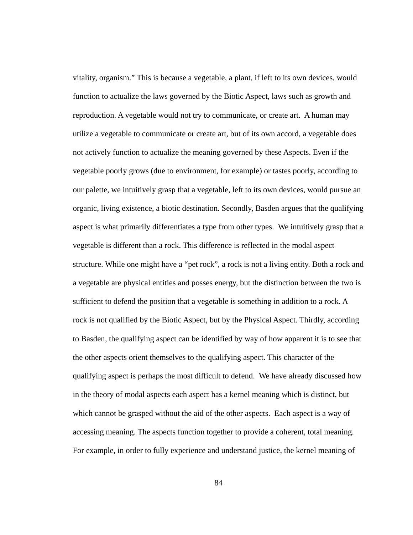vitality, organism." This is because a vegetable, a plant, if left to its own devices, would function to actualize the laws governed by the Biotic Aspect, laws such as growth and reproduction. A vegetable would not try to communicate, or create art. A human may utilize a vegetable to communicate or create art, but of its own accord, a vegetable does not actively function to actualize the meaning governed by these Aspects. Even if the vegetable poorly grows (due to environment, for example) or tastes poorly, according to our palette, we intuitively grasp that a vegetable, left to its own devices, would pursue an organic, living existence, a biotic destination. Secondly, Basden argues that the qualifying aspect is what primarily differentiates a type from other types. We intuitively grasp that a vegetable is different than a rock. This difference is reflected in the modal aspect structure. While one might have a "pet rock", a rock is not a living entity. Both a rock and a vegetable are physical entities and posses energy, but the distinction between the two is sufficient to defend the position that a vegetable is something in addition to a rock. A rock is not qualified by the Biotic Aspect, but by the Physical Aspect. Thirdly, according to Basden, the qualifying aspect can be identified by way of how apparent it is to see that the other aspects orient themselves to the qualifying aspect. This character of the qualifying aspect is perhaps the most difficult to defend. We have already discussed how in the theory of modal aspects each aspect has a kernel meaning which is distinct, but which cannot be grasped without the aid of the other aspects. Each aspect is a way of accessing meaning. The aspects function together to provide a coherent, total meaning. For example, in order to fully experience and understand justice, the kernel meaning of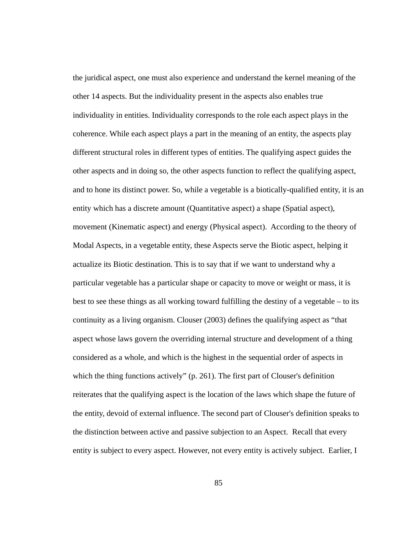the juridical aspect, one must also experience and understand the kernel meaning of the other 14 aspects. But the individuality present in the aspects also enables true individuality in entities. Individuality corresponds to the role each aspect plays in the coherence. While each aspect plays a part in the meaning of an entity, the aspects play different structural roles in different types of entities. The qualifying aspect guides the other aspects and in doing so, the other aspects function to reflect the qualifying aspect, and to hone its distinct power. So, while a vegetable is a biotically-qualified entity, it is an entity which has a discrete amount (Quantitative aspect) a shape (Spatial aspect), movement (Kinematic aspect) and energy (Physical aspect). According to the theory of Modal Aspects, in a vegetable entity, these Aspects serve the Biotic aspect, helping it actualize its Biotic destination. This is to say that if we want to understand why a particular vegetable has a particular shape or capacity to move or weight or mass, it is best to see these things as all working toward fulfilling the destiny of a vegetable – to its continuity as a living organism. Clouser (2003) defines the qualifying aspect as "that aspect whose laws govern the overriding internal structure and development of a thing considered as a whole, and which is the highest in the sequential order of aspects in which the thing functions actively" (p. 261). The first part of Clouser's definition reiterates that the qualifying aspect is the location of the laws which shape the future of the entity, devoid of external influence. The second part of Clouser's definition speaks to the distinction between active and passive subjection to an Aspect. Recall that every entity is subject to every aspect. However, not every entity is actively subject. Earlier, I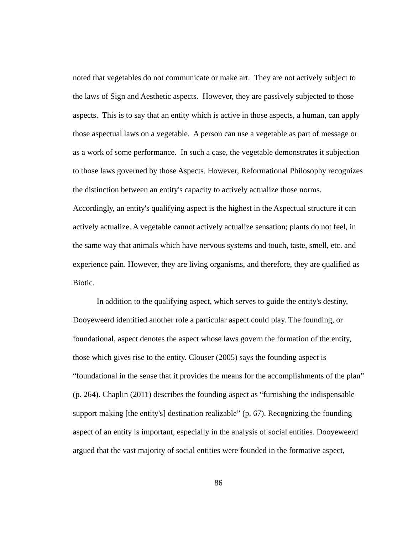noted that vegetables do not communicate or make art. They are not actively subject to the laws of Sign and Aesthetic aspects. However, they are passively subjected to those aspects. This is to say that an entity which is active in those aspects, a human, can apply those aspectual laws on a vegetable. A person can use a vegetable as part of message or as a work of some performance. In such a case, the vegetable demonstrates it subjection to those laws governed by those Aspects. However, Reformational Philosophy recognizes the distinction between an entity's capacity to actively actualize those norms.

Accordingly, an entity's qualifying aspect is the highest in the Aspectual structure it can actively actualize. A vegetable cannot actively actualize sensation; plants do not feel, in the same way that animals which have nervous systems and touch, taste, smell, etc. and experience pain. However, they are living organisms, and therefore, they are qualified as Biotic.

 In addition to the qualifying aspect, which serves to guide the entity's destiny, Dooyeweerd identified another role a particular aspect could play. The founding, or foundational, aspect denotes the aspect whose laws govern the formation of the entity, those which gives rise to the entity. Clouser (2005) says the founding aspect is "foundational in the sense that it provides the means for the accomplishments of the plan" (p. 264). Chaplin (2011) describes the founding aspect as "furnishing the indispensable support making [the entity's] destination realizable" (p. 67). Recognizing the founding aspect of an entity is important, especially in the analysis of social entities. Dooyeweerd argued that the vast majority of social entities were founded in the formative aspect,

86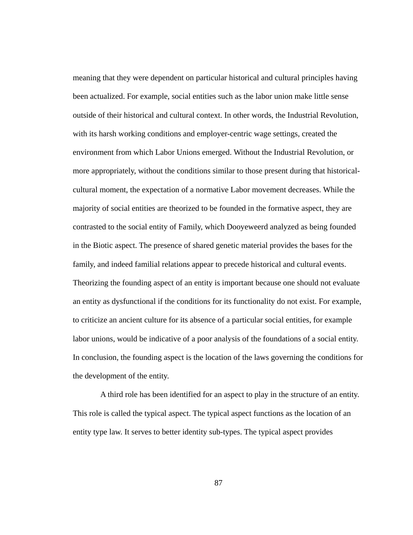meaning that they were dependent on particular historical and cultural principles having been actualized. For example, social entities such as the labor union make little sense outside of their historical and cultural context. In other words, the Industrial Revolution, with its harsh working conditions and employer-centric wage settings, created the environment from which Labor Unions emerged. Without the Industrial Revolution, or more appropriately, without the conditions similar to those present during that historicalcultural moment, the expectation of a normative Labor movement decreases. While the majority of social entities are theorized to be founded in the formative aspect, they are contrasted to the social entity of Family, which Dooyeweerd analyzed as being founded in the Biotic aspect. The presence of shared genetic material provides the bases for the family, and indeed familial relations appear to precede historical and cultural events. Theorizing the founding aspect of an entity is important because one should not evaluate an entity as dysfunctional if the conditions for its functionality do not exist. For example, to criticize an ancient culture for its absence of a particular social entities, for example labor unions, would be indicative of a poor analysis of the foundations of a social entity. In conclusion, the founding aspect is the location of the laws governing the conditions for the development of the entity.

 A third role has been identified for an aspect to play in the structure of an entity. This role is called the typical aspect. The typical aspect functions as the location of an entity type law. It serves to better identity sub-types. The typical aspect provides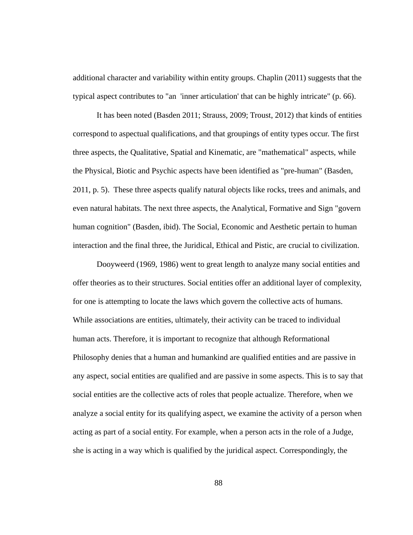additional character and variability within entity groups. Chaplin (2011) suggests that the typical aspect contributes to "an 'inner articulation' that can be highly intricate" (p. 66).

 It has been noted (Basden 2011; Strauss, 2009; Troust, 2012) that kinds of entities correspond to aspectual qualifications, and that groupings of entity types occur. The first three aspects, the Qualitative, Spatial and Kinematic, are "mathematical" aspects, while the Physical, Biotic and Psychic aspects have been identified as "pre-human" (Basden, 2011, p. 5). These three aspects qualify natural objects like rocks, trees and animals, and even natural habitats. The next three aspects, the Analytical, Formative and Sign "govern human cognition" (Basden, ibid). The Social, Economic and Aesthetic pertain to human interaction and the final three, the Juridical, Ethical and Pistic, are crucial to civilization.

 Dooyweerd (1969, 1986) went to great length to analyze many social entities and offer theories as to their structures. Social entities offer an additional layer of complexity, for one is attempting to locate the laws which govern the collective acts of humans. While associations are entities, ultimately, their activity can be traced to individual human acts. Therefore, it is important to recognize that although Reformational Philosophy denies that a human and humankind are qualified entities and are passive in any aspect, social entities are qualified and are passive in some aspects. This is to say that social entities are the collective acts of roles that people actualize. Therefore, when we analyze a social entity for its qualifying aspect, we examine the activity of a person when acting as part of a social entity. For example, when a person acts in the role of a Judge, she is acting in a way which is qualified by the juridical aspect. Correspondingly, the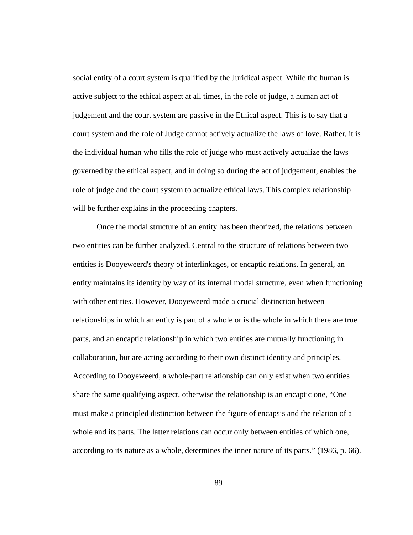social entity of a court system is qualified by the Juridical aspect. While the human is active subject to the ethical aspect at all times, in the role of judge, a human act of judgement and the court system are passive in the Ethical aspect. This is to say that a court system and the role of Judge cannot actively actualize the laws of love. Rather, it is the individual human who fills the role of judge who must actively actualize the laws governed by the ethical aspect, and in doing so during the act of judgement, enables the role of judge and the court system to actualize ethical laws. This complex relationship will be further explains in the proceeding chapters.

 Once the modal structure of an entity has been theorized, the relations between two entities can be further analyzed. Central to the structure of relations between two entities is Dooyeweerd's theory of interlinkages, or encaptic relations. In general, an entity maintains its identity by way of its internal modal structure, even when functioning with other entities. However, Dooyeweerd made a crucial distinction between relationships in which an entity is part of a whole or is the whole in which there are true parts, and an encaptic relationship in which two entities are mutually functioning in collaboration, but are acting according to their own distinct identity and principles. According to Dooyeweerd, a whole-part relationship can only exist when two entities share the same qualifying aspect, otherwise the relationship is an encaptic one, "One must make a principled distinction between the figure of encapsis and the relation of a whole and its parts. The latter relations can occur only between entities of which one, according to its nature as a whole, determines the inner nature of its parts." (1986, p. 66).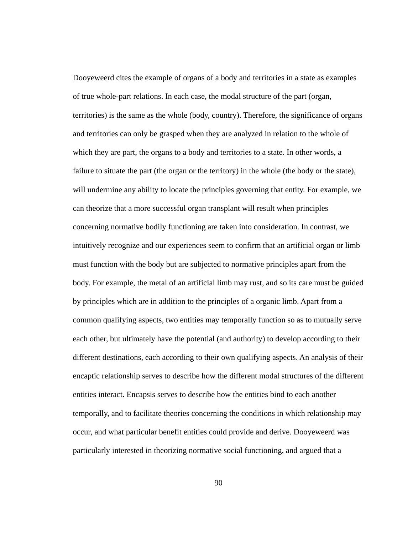Dooyeweerd cites the example of organs of a body and territories in a state as examples of true whole-part relations. In each case, the modal structure of the part (organ, territories) is the same as the whole (body, country). Therefore, the significance of organs and territories can only be grasped when they are analyzed in relation to the whole of which they are part, the organs to a body and territories to a state. In other words, a failure to situate the part (the organ or the territory) in the whole (the body or the state), will undermine any ability to locate the principles governing that entity. For example, we can theorize that a more successful organ transplant will result when principles concerning normative bodily functioning are taken into consideration. In contrast, we intuitively recognize and our experiences seem to confirm that an artificial organ or limb must function with the body but are subjected to normative principles apart from the body. For example, the metal of an artificial limb may rust, and so its care must be guided by principles which are in addition to the principles of a organic limb. Apart from a common qualifying aspects, two entities may temporally function so as to mutually serve each other, but ultimately have the potential (and authority) to develop according to their different destinations, each according to their own qualifying aspects. An analysis of their encaptic relationship serves to describe how the different modal structures of the different entities interact. Encapsis serves to describe how the entities bind to each another temporally, and to facilitate theories concerning the conditions in which relationship may occur, and what particular benefit entities could provide and derive. Dooyeweerd was particularly interested in theorizing normative social functioning, and argued that a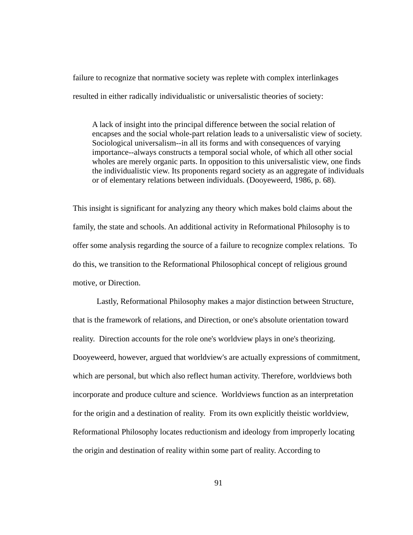failure to recognize that normative society was replete with complex interlinkages resulted in either radically individualistic or universalistic theories of society:

A lack of insight into the principal difference between the social relation of encapses and the social whole-part relation leads to a universalistic view of society. Sociological universalism--in all its forms and with consequences of varying importance--always constructs a temporal social whole, of which all other social wholes are merely organic parts. In opposition to this universalistic view, one finds the individualistic view. Its proponents regard society as an aggregate of individuals or of elementary relations between individuals. (Dooyeweerd, 1986, p. 68).

This insight is significant for analyzing any theory which makes bold claims about the family, the state and schools. An additional activity in Reformational Philosophy is to offer some analysis regarding the source of a failure to recognize complex relations. To do this, we transition to the Reformational Philosophical concept of religious ground motive, or Direction.

 Lastly, Reformational Philosophy makes a major distinction between Structure, that is the framework of relations, and Direction, or one's absolute orientation toward reality. Direction accounts for the role one's worldview plays in one's theorizing. Dooyeweerd, however, argued that worldview's are actually expressions of commitment, which are personal, but which also reflect human activity. Therefore, worldviews both incorporate and produce culture and science. Worldviews function as an interpretation for the origin and a destination of reality. From its own explicitly theistic worldview, Reformational Philosophy locates reductionism and ideology from improperly locating the origin and destination of reality within some part of reality. According to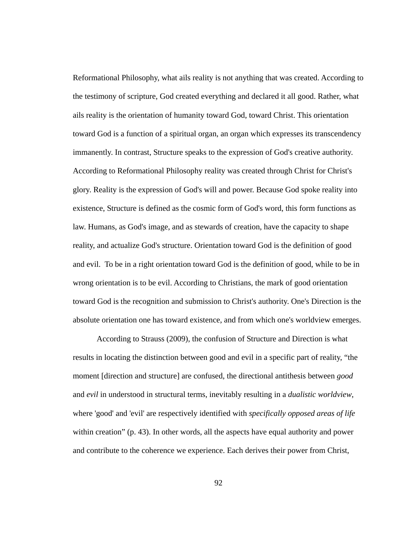Reformational Philosophy, what ails reality is not anything that was created. According to the testimony of scripture, God created everything and declared it all good. Rather, what ails reality is the orientation of humanity toward God, toward Christ. This orientation toward God is a function of a spiritual organ, an organ which expresses its transcendency immanently. In contrast, Structure speaks to the expression of God's creative authority. According to Reformational Philosophy reality was created through Christ for Christ's glory. Reality is the expression of God's will and power. Because God spoke reality into existence, Structure is defined as the cosmic form of God's word, this form functions as law. Humans, as God's image, and as stewards of creation, have the capacity to shape reality, and actualize God's structure. Orientation toward God is the definition of good and evil. To be in a right orientation toward God is the definition of good, while to be in wrong orientation is to be evil. According to Christians, the mark of good orientation toward God is the recognition and submission to Christ's authority. One's Direction is the absolute orientation one has toward existence, and from which one's worldview emerges.

 According to Strauss (2009), the confusion of Structure and Direction is what results in locating the distinction between good and evil in a specific part of reality, "the moment [direction and structure] are confused, the directional antithesis between *good* and *evil* in understood in structural terms, inevitably resulting in a *dualistic worldview*, where 'good' and 'evil' are respectively identified with *specifically opposed areas of life* within creation" (p. 43). In other words, all the aspects have equal authority and power and contribute to the coherence we experience. Each derives their power from Christ,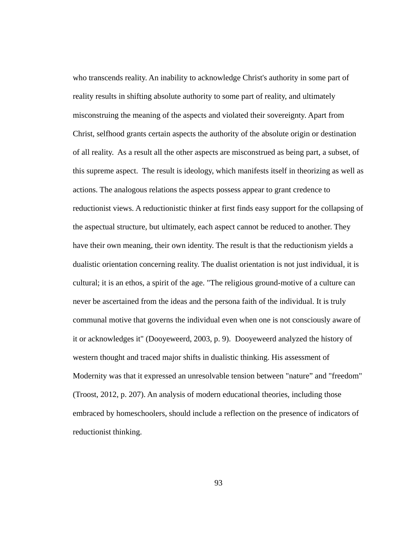who transcends reality. An inability to acknowledge Christ's authority in some part of reality results in shifting absolute authority to some part of reality, and ultimately misconstruing the meaning of the aspects and violated their sovereignty. Apart from Christ, selfhood grants certain aspects the authority of the absolute origin or destination of all reality. As a result all the other aspects are misconstrued as being part, a subset, of this supreme aspect. The result is ideology, which manifests itself in theorizing as well as actions. The analogous relations the aspects possess appear to grant credence to reductionist views. A reductionistic thinker at first finds easy support for the collapsing of the aspectual structure, but ultimately, each aspect cannot be reduced to another. They have their own meaning, their own identity. The result is that the reductionism yields a dualistic orientation concerning reality. The dualist orientation is not just individual, it is cultural; it is an ethos, a spirit of the age. "The religious ground-motive of a culture can never be ascertained from the ideas and the persona faith of the individual. It is truly communal motive that governs the individual even when one is not consciously aware of it or acknowledges it" (Dooyeweerd, 2003, p. 9). Dooyeweerd analyzed the history of western thought and traced major shifts in dualistic thinking. His assessment of Modernity was that it expressed an unresolvable tension between "nature" and "freedom" (Troost, 2012, p. 207). An analysis of modern educational theories, including those embraced by homeschoolers, should include a reflection on the presence of indicators of reductionist thinking.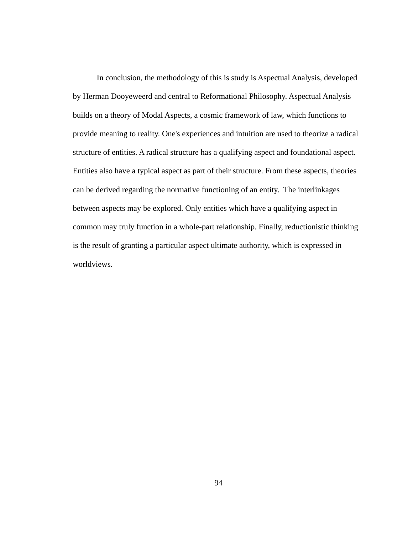In conclusion, the methodology of this is study is Aspectual Analysis, developed by Herman Dooyeweerd and central to Reformational Philosophy. Aspectual Analysis builds on a theory of Modal Aspects, a cosmic framework of law, which functions to provide meaning to reality. One's experiences and intuition are used to theorize a radical structure of entities. A radical structure has a qualifying aspect and foundational aspect. Entities also have a typical aspect as part of their structure. From these aspects, theories can be derived regarding the normative functioning of an entity. The interlinkages between aspects may be explored. Only entities which have a qualifying aspect in common may truly function in a whole-part relationship. Finally, reductionistic thinking is the result of granting a particular aspect ultimate authority, which is expressed in worldviews.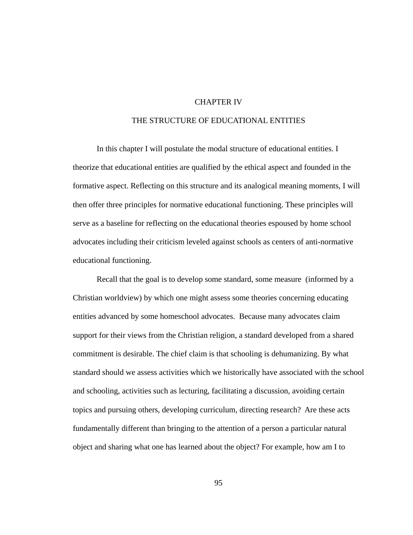### CHAPTER IV

## THE STRUCTURE OF EDUCATIONAL ENTITIES

 In this chapter I will postulate the modal structure of educational entities. I theorize that educational entities are qualified by the ethical aspect and founded in the formative aspect. Reflecting on this structure and its analogical meaning moments, I will then offer three principles for normative educational functioning. These principles will serve as a baseline for reflecting on the educational theories espoused by home school advocates including their criticism leveled against schools as centers of anti-normative educational functioning.

 Recall that the goal is to develop some standard, some measure (informed by a Christian worldview) by which one might assess some theories concerning educating entities advanced by some homeschool advocates. Because many advocates claim support for their views from the Christian religion, a standard developed from a shared commitment is desirable. The chief claim is that schooling is dehumanizing. By what standard should we assess activities which we historically have associated with the school and schooling, activities such as lecturing, facilitating a discussion, avoiding certain topics and pursuing others, developing curriculum, directing research? Are these acts fundamentally different than bringing to the attention of a person a particular natural object and sharing what one has learned about the object? For example, how am I to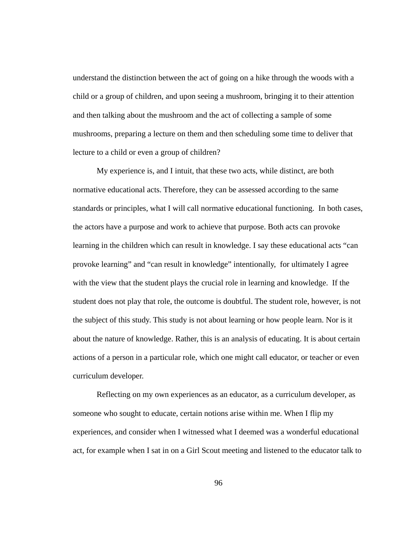understand the distinction between the act of going on a hike through the woods with a child or a group of children, and upon seeing a mushroom, bringing it to their attention and then talking about the mushroom and the act of collecting a sample of some mushrooms, preparing a lecture on them and then scheduling some time to deliver that lecture to a child or even a group of children?

 My experience is, and I intuit, that these two acts, while distinct, are both normative educational acts. Therefore, they can be assessed according to the same standards or principles, what I will call normative educational functioning. In both cases, the actors have a purpose and work to achieve that purpose. Both acts can provoke learning in the children which can result in knowledge. I say these educational acts "can provoke learning" and "can result in knowledge" intentionally, for ultimately I agree with the view that the student plays the crucial role in learning and knowledge. If the student does not play that role, the outcome is doubtful. The student role, however, is not the subject of this study. This study is not about learning or how people learn. Nor is it about the nature of knowledge. Rather, this is an analysis of educating. It is about certain actions of a person in a particular role, which one might call educator, or teacher or even curriculum developer.

 Reflecting on my own experiences as an educator, as a curriculum developer, as someone who sought to educate, certain notions arise within me. When I flip my experiences, and consider when I witnessed what I deemed was a wonderful educational act, for example when I sat in on a Girl Scout meeting and listened to the educator talk to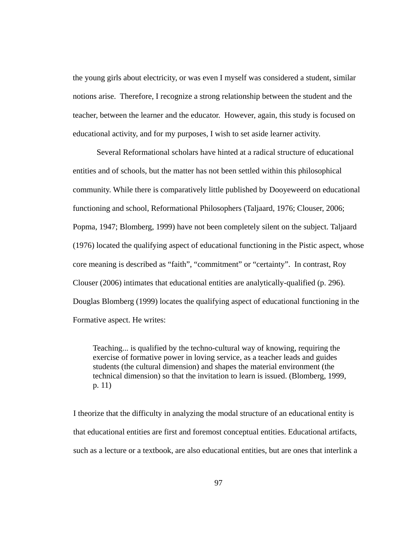the young girls about electricity, or was even I myself was considered a student, similar notions arise. Therefore, I recognize a strong relationship between the student and the teacher, between the learner and the educator. However, again, this study is focused on educational activity, and for my purposes, I wish to set aside learner activity.

 Several Reformational scholars have hinted at a radical structure of educational entities and of schools, but the matter has not been settled within this philosophical community. While there is comparatively little published by Dooyeweerd on educational functioning and school, Reformational Philosophers (Taljaard, 1976; Clouser, 2006; Popma, 1947; Blomberg, 1999) have not been completely silent on the subject. Taljaard (1976) located the qualifying aspect of educational functioning in the Pistic aspect, whose core meaning is described as "faith", "commitment" or "certainty". In contrast, Roy Clouser (2006) intimates that educational entities are analytically-qualified (p. 296). Douglas Blomberg (1999) locates the qualifying aspect of educational functioning in the Formative aspect. He writes:

Teaching... is qualified by the techno-cultural way of knowing, requiring the exercise of formative power in loving service, as a teacher leads and guides students (the cultural dimension) and shapes the material environment (the technical dimension) so that the invitation to learn is issued. (Blomberg, 1999, p. 11)

I theorize that the difficulty in analyzing the modal structure of an educational entity is that educational entities are first and foremost conceptual entities. Educational artifacts, such as a lecture or a textbook, are also educational entities, but are ones that interlink a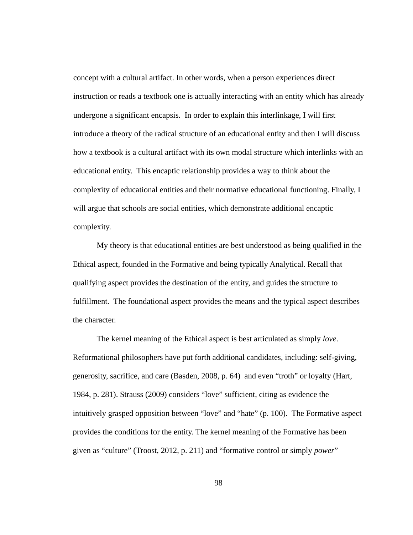concept with a cultural artifact. In other words, when a person experiences direct instruction or reads a textbook one is actually interacting with an entity which has already undergone a significant encapsis. In order to explain this interlinkage, I will first introduce a theory of the radical structure of an educational entity and then I will discuss how a textbook is a cultural artifact with its own modal structure which interlinks with an educational entity. This encaptic relationship provides a way to think about the complexity of educational entities and their normative educational functioning. Finally, I will argue that schools are social entities, which demonstrate additional encaptic complexity.

 My theory is that educational entities are best understood as being qualified in the Ethical aspect, founded in the Formative and being typically Analytical. Recall that qualifying aspect provides the destination of the entity, and guides the structure to fulfillment. The foundational aspect provides the means and the typical aspect describes the character.

 The kernel meaning of the Ethical aspect is best articulated as simply *love*. Reformational philosophers have put forth additional candidates, including: self-giving, generosity, sacrifice, and care (Basden, 2008, p. 64) and even "troth" or loyalty (Hart, 1984, p. 281). Strauss (2009) considers "love" sufficient, citing as evidence the intuitively grasped opposition between "love" and "hate" (p. 100). The Formative aspect provides the conditions for the entity. The kernel meaning of the Formative has been given as "culture" (Troost, 2012, p. 211) and "formative control or simply *power*"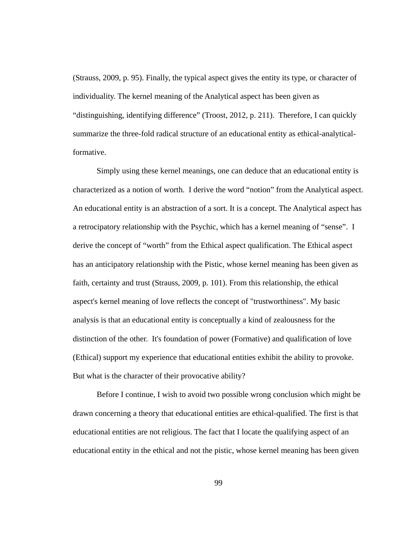(Strauss, 2009, p. 95). Finally, the typical aspect gives the entity its type, or character of individuality. The kernel meaning of the Analytical aspect has been given as "distinguishing, identifying difference" (Troost, 2012, p. 211). Therefore, I can quickly summarize the three-fold radical structure of an educational entity as ethical-analyticalformative.

 Simply using these kernel meanings, one can deduce that an educational entity is characterized as a notion of worth. I derive the word "notion" from the Analytical aspect. An educational entity is an abstraction of a sort. It is a concept. The Analytical aspect has a retrocipatory relationship with the Psychic, which has a kernel meaning of "sense". I derive the concept of "worth" from the Ethical aspect qualification. The Ethical aspect has an anticipatory relationship with the Pistic, whose kernel meaning has been given as faith, certainty and trust (Strauss, 2009, p. 101). From this relationship, the ethical aspect's kernel meaning of love reflects the concept of "trustworthiness". My basic analysis is that an educational entity is conceptually a kind of zealousness for the distinction of the other. It's foundation of power (Formative) and qualification of love (Ethical) support my experience that educational entities exhibit the ability to provoke. But what is the character of their provocative ability?

 Before I continue, I wish to avoid two possible wrong conclusion which might be drawn concerning a theory that educational entities are ethical-qualified. The first is that educational entities are not religious. The fact that I locate the qualifying aspect of an educational entity in the ethical and not the pistic, whose kernel meaning has been given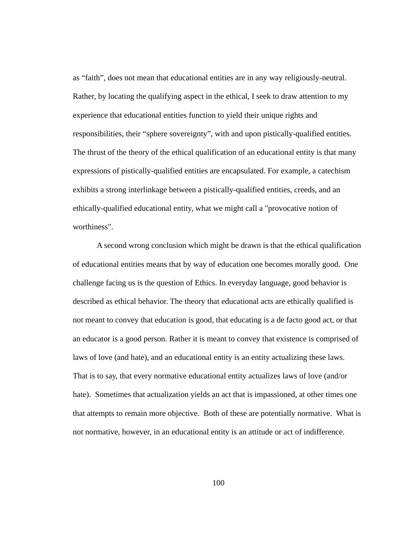as "faith", does not mean that educational entities are in any way religiously-neutral. Rather, by locating the qualifying aspect in the ethical, I seek to draw attention to my experience that educational entities function to yield their unique rights and responsibilities, their "sphere sovereignty", with and upon pistically-qualified entities. The thrust of the theory of the ethical qualification of an educational entity is that many expressions of pistically-qualified entities are encapsulated. For example, a catechism exhibits a strong interlinkage between a pistically-qualified entities, creeds, and an ethically-qualified educational entity, what we might call a "provocative notion of worthiness".

 A second wrong conclusion which might be drawn is that the ethical qualification of educational entities means that by way of education one becomes morally good. One challenge facing us is the question of Ethics. In everyday language, good behavior is described as ethical behavior. The theory that educational acts are ethically qualified is not meant to convey that education is good, that educating is a de facto good act, or that an educator is a good person. Rather it is meant to convey that existence is comprised of laws of love (and hate), and an educational entity is an entity actualizing these laws. That is to say, that every normative educational entity actualizes laws of love (and/or hate). Sometimes that actualization yields an act that is impassioned, at other times one that attempts to remain more objective. Both of these are potentially normative. What is not normative, however, in an educational entity is an attitude or act of indifference.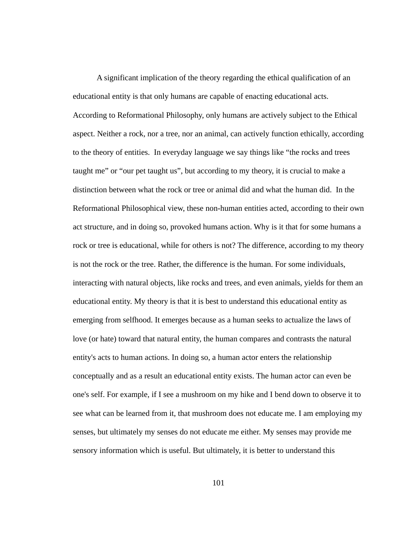A significant implication of the theory regarding the ethical qualification of an educational entity is that only humans are capable of enacting educational acts. According to Reformational Philosophy, only humans are actively subject to the Ethical aspect. Neither a rock, nor a tree, nor an animal, can actively function ethically, according to the theory of entities. In everyday language we say things like "the rocks and trees taught me" or "our pet taught us", but according to my theory, it is crucial to make a distinction between what the rock or tree or animal did and what the human did. In the Reformational Philosophical view, these non-human entities acted, according to their own act structure, and in doing so, provoked humans action. Why is it that for some humans a rock or tree is educational, while for others is not? The difference, according to my theory is not the rock or the tree. Rather, the difference is the human. For some individuals, interacting with natural objects, like rocks and trees, and even animals, yields for them an educational entity. My theory is that it is best to understand this educational entity as emerging from selfhood. It emerges because as a human seeks to actualize the laws of love (or hate) toward that natural entity, the human compares and contrasts the natural entity's acts to human actions. In doing so, a human actor enters the relationship conceptually and as a result an educational entity exists. The human actor can even be one's self. For example, if I see a mushroom on my hike and I bend down to observe it to see what can be learned from it, that mushroom does not educate me. I am employing my senses, but ultimately my senses do not educate me either. My senses may provide me sensory information which is useful. But ultimately, it is better to understand this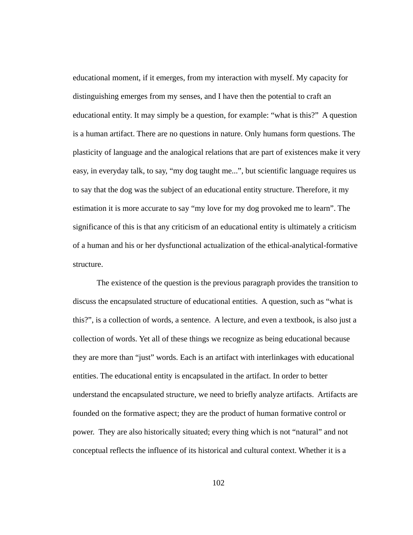educational moment, if it emerges, from my interaction with myself. My capacity for distinguishing emerges from my senses, and I have then the potential to craft an educational entity. It may simply be a question, for example: "what is this?" A question is a human artifact. There are no questions in nature. Only humans form questions. The plasticity of language and the analogical relations that are part of existences make it very easy, in everyday talk, to say, "my dog taught me...", but scientific language requires us to say that the dog was the subject of an educational entity structure. Therefore, it my estimation it is more accurate to say "my love for my dog provoked me to learn". The significance of this is that any criticism of an educational entity is ultimately a criticism of a human and his or her dysfunctional actualization of the ethical-analytical-formative structure.

 The existence of the question is the previous paragraph provides the transition to discuss the encapsulated structure of educational entities. A question, such as "what is this?", is a collection of words, a sentence. A lecture, and even a textbook, is also just a collection of words. Yet all of these things we recognize as being educational because they are more than "just" words. Each is an artifact with interlinkages with educational entities. The educational entity is encapsulated in the artifact. In order to better understand the encapsulated structure, we need to briefly analyze artifacts. Artifacts are founded on the formative aspect; they are the product of human formative control or power. They are also historically situated; every thing which is not "natural" and not conceptual reflects the influence of its historical and cultural context. Whether it is a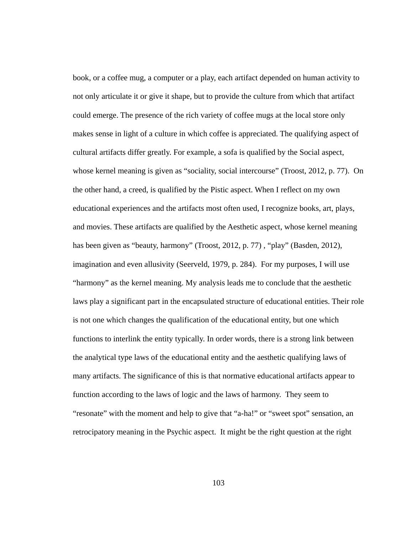book, or a coffee mug, a computer or a play, each artifact depended on human activity to not only articulate it or give it shape, but to provide the culture from which that artifact could emerge. The presence of the rich variety of coffee mugs at the local store only makes sense in light of a culture in which coffee is appreciated. The qualifying aspect of cultural artifacts differ greatly. For example, a sofa is qualified by the Social aspect, whose kernel meaning is given as "sociality, social intercourse" (Troost, 2012, p. 77). On the other hand, a creed, is qualified by the Pistic aspect. When I reflect on my own educational experiences and the artifacts most often used, I recognize books, art, plays, and movies. These artifacts are qualified by the Aesthetic aspect, whose kernel meaning has been given as "beauty, harmony" (Troost, 2012, p. 77), "play" (Basden, 2012), imagination and even allusivity (Seerveld, 1979, p. 284). For my purposes, I will use "harmony" as the kernel meaning. My analysis leads me to conclude that the aesthetic laws play a significant part in the encapsulated structure of educational entities. Their role is not one which changes the qualification of the educational entity, but one which functions to interlink the entity typically. In order words, there is a strong link between the analytical type laws of the educational entity and the aesthetic qualifying laws of many artifacts. The significance of this is that normative educational artifacts appear to function according to the laws of logic and the laws of harmony. They seem to "resonate" with the moment and help to give that "a-ha!" or "sweet spot" sensation, an retrocipatory meaning in the Psychic aspect. It might be the right question at the right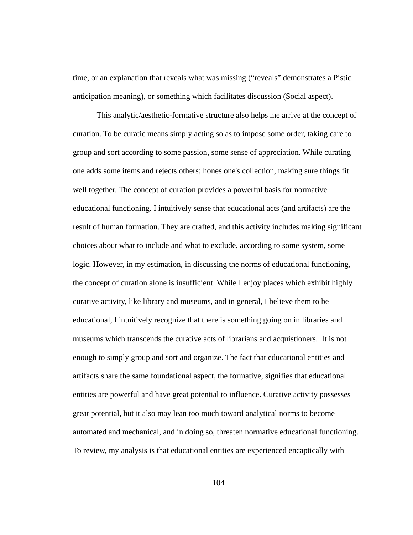time, or an explanation that reveals what was missing ("reveals" demonstrates a Pistic anticipation meaning), or something which facilitates discussion (Social aspect).

 This analytic/aesthetic-formative structure also helps me arrive at the concept of curation. To be curatic means simply acting so as to impose some order, taking care to group and sort according to some passion, some sense of appreciation. While curating one adds some items and rejects others; hones one's collection, making sure things fit well together. The concept of curation provides a powerful basis for normative educational functioning. I intuitively sense that educational acts (and artifacts) are the result of human formation. They are crafted, and this activity includes making significant choices about what to include and what to exclude, according to some system, some logic. However, in my estimation, in discussing the norms of educational functioning, the concept of curation alone is insufficient. While I enjoy places which exhibit highly curative activity, like library and museums, and in general, I believe them to be educational, I intuitively recognize that there is something going on in libraries and museums which transcends the curative acts of librarians and acquistioners. It is not enough to simply group and sort and organize. The fact that educational entities and artifacts share the same foundational aspect, the formative, signifies that educational entities are powerful and have great potential to influence. Curative activity possesses great potential, but it also may lean too much toward analytical norms to become automated and mechanical, and in doing so, threaten normative educational functioning. To review, my analysis is that educational entities are experienced encaptically with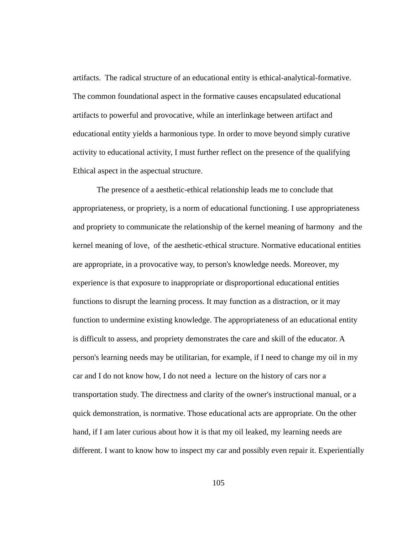artifacts. The radical structure of an educational entity is ethical-analytical-formative. The common foundational aspect in the formative causes encapsulated educational artifacts to powerful and provocative, while an interlinkage between artifact and educational entity yields a harmonious type. In order to move beyond simply curative activity to educational activity, I must further reflect on the presence of the qualifying Ethical aspect in the aspectual structure.

 The presence of a aesthetic-ethical relationship leads me to conclude that appropriateness, or propriety, is a norm of educational functioning. I use appropriateness and propriety to communicate the relationship of the kernel meaning of harmony and the kernel meaning of love, of the aesthetic-ethical structure. Normative educational entities are appropriate, in a provocative way, to person's knowledge needs. Moreover, my experience is that exposure to inappropriate or disproportional educational entities functions to disrupt the learning process. It may function as a distraction, or it may function to undermine existing knowledge. The appropriateness of an educational entity is difficult to assess, and propriety demonstrates the care and skill of the educator. A person's learning needs may be utilitarian, for example, if I need to change my oil in my car and I do not know how, I do not need a lecture on the history of cars nor a transportation study. The directness and clarity of the owner's instructional manual, or a quick demonstration, is normative. Those educational acts are appropriate. On the other hand, if I am later curious about how it is that my oil leaked, my learning needs are different. I want to know how to inspect my car and possibly even repair it. Experientially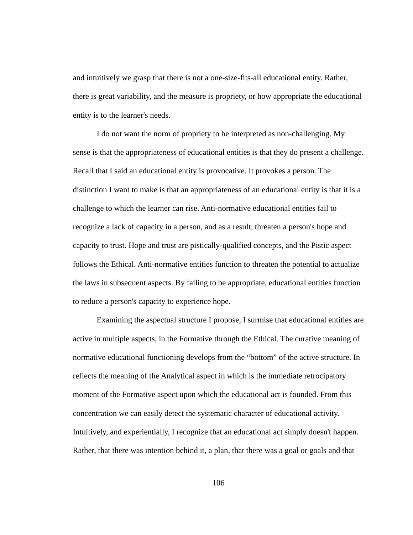and intuitively we grasp that there is not a one-size-fits-all educational entity. Rather, there is great variability, and the measure is propriety, or how appropriate the educational entity is to the learner's needs.

 I do not want the norm of propriety to be interpreted as non-challenging. My sense is that the appropriateness of educational entities is that they do present a challenge. Recall that I said an educational entity is provocative. It provokes a person. The distinction I want to make is that an appropriateness of an educational entity is that it is a challenge to which the learner can rise. Anti-normative educational entities fail to recognize a lack of capacity in a person, and as a result, threaten a person's hope and capacity to trust. Hope and trust are pistically-qualified concepts, and the Pistic aspect follows the Ethical. Anti-normative entities function to threaten the potential to actualize the laws in subsequent aspects. By failing to be appropriate, educational entities function to reduce a person's capacity to experience hope.

 Examining the aspectual structure I propose, I surmise that educational entities are active in multiple aspects, in the Formative through the Ethical. The curative meaning of normative educational functioning develops from the "bottom" of the active structure. In reflects the meaning of the Analytical aspect in which is the immediate retrocipatory moment of the Formative aspect upon which the educational act is founded. From this concentration we can easily detect the systematic character of educational activity. Intuitively, and experientially, I recognize that an educational act simply doesn't happen. Rather, that there was intention behind it, a plan, that there was a goal or goals and that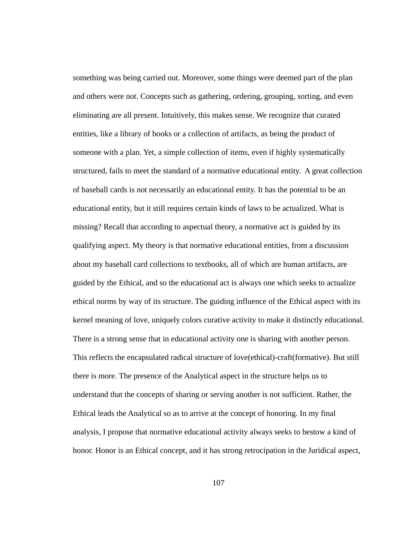something was being carried out. Moreover, some things were deemed part of the plan and others were not. Concepts such as gathering, ordering, grouping, sorting, and even eliminating are all present. Intuitively, this makes sense. We recognize that curated entities, like a library of books or a collection of artifacts, as being the product of someone with a plan. Yet, a simple collection of items, even if highly systematically structured, fails to meet the standard of a normative educational entity. A great collection of baseball cards is not necessarily an educational entity. It has the potential to be an educational entity, but it still requires certain kinds of laws to be actualized. What is missing? Recall that according to aspectual theory, a normative act is guided by its qualifying aspect. My theory is that normative educational entities, from a discussion about my baseball card collections to textbooks, all of which are human artifacts, are guided by the Ethical, and so the educational act is always one which seeks to actualize ethical norms by way of its structure. The guiding influence of the Ethical aspect with its kernel meaning of love, uniquely colors curative activity to make it distinctly educational. There is a strong sense that in educational activity one is sharing with another person. This reflects the encapsulated radical structure of love(ethical)-craft(formative). But still there is more. The presence of the Analytical aspect in the structure helps us to understand that the concepts of sharing or serving another is not sufficient. Rather, the Ethical leads the Analytical so as to arrive at the concept of honoring. In my final analysis, I propose that normative educational activity always seeks to bestow a kind of honor. Honor is an Ethical concept, and it has strong retrocipation in the Juridical aspect,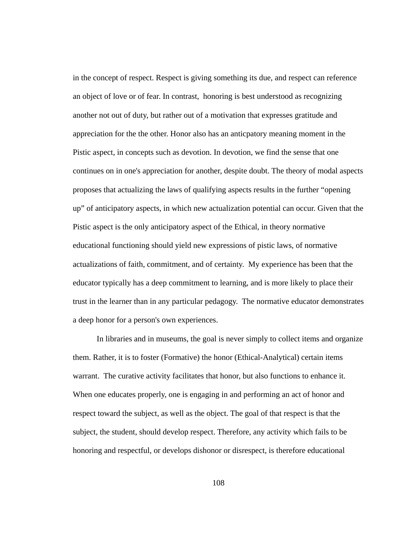in the concept of respect. Respect is giving something its due, and respect can reference an object of love or of fear. In contrast, honoring is best understood as recognizing another not out of duty, but rather out of a motivation that expresses gratitude and appreciation for the the other. Honor also has an anticpatory meaning moment in the Pistic aspect, in concepts such as devotion. In devotion, we find the sense that one continues on in one's appreciation for another, despite doubt. The theory of modal aspects proposes that actualizing the laws of qualifying aspects results in the further "opening up" of anticipatory aspects, in which new actualization potential can occur. Given that the Pistic aspect is the only anticipatory aspect of the Ethical, in theory normative educational functioning should yield new expressions of pistic laws, of normative actualizations of faith, commitment, and of certainty. My experience has been that the educator typically has a deep commitment to learning, and is more likely to place their trust in the learner than in any particular pedagogy. The normative educator demonstrates a deep honor for a person's own experiences.

 In libraries and in museums, the goal is never simply to collect items and organize them. Rather, it is to foster (Formative) the honor (Ethical-Analytical) certain items warrant. The curative activity facilitates that honor, but also functions to enhance it. When one educates properly, one is engaging in and performing an act of honor and respect toward the subject, as well as the object. The goal of that respect is that the subject, the student, should develop respect. Therefore, any activity which fails to be honoring and respectful, or develops dishonor or disrespect, is therefore educational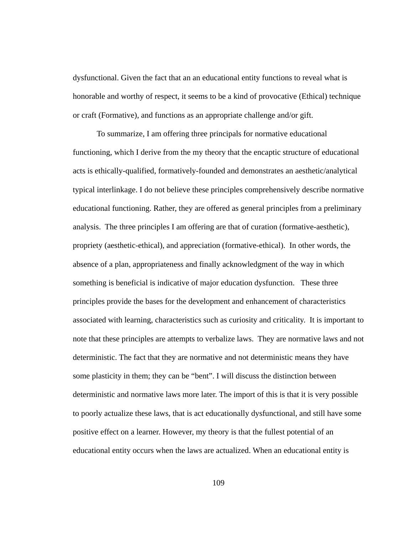dysfunctional. Given the fact that an an educational entity functions to reveal what is honorable and worthy of respect, it seems to be a kind of provocative (Ethical) technique or craft (Formative), and functions as an appropriate challenge and/or gift.

 To summarize, I am offering three principals for normative educational functioning, which I derive from the my theory that the encaptic structure of educational acts is ethically-qualified, formatively-founded and demonstrates an aesthetic/analytical typical interlinkage. I do not believe these principles comprehensively describe normative educational functioning. Rather, they are offered as general principles from a preliminary analysis. The three principles I am offering are that of curation (formative-aesthetic), propriety (aesthetic-ethical), and appreciation (formative-ethical). In other words, the absence of a plan, appropriateness and finally acknowledgment of the way in which something is beneficial is indicative of major education dysfunction. These three principles provide the bases for the development and enhancement of characteristics associated with learning, characteristics such as curiosity and criticality. It is important to note that these principles are attempts to verbalize laws. They are normative laws and not deterministic. The fact that they are normative and not deterministic means they have some plasticity in them; they can be "bent". I will discuss the distinction between deterministic and normative laws more later. The import of this is that it is very possible to poorly actualize these laws, that is act educationally dysfunctional, and still have some positive effect on a learner. However, my theory is that the fullest potential of an educational entity occurs when the laws are actualized. When an educational entity is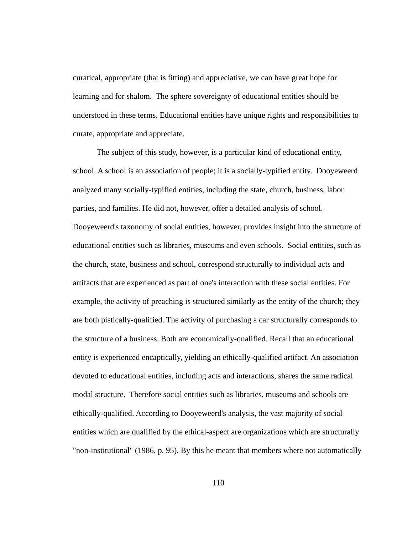curatical, appropriate (that is fitting) and appreciative, we can have great hope for learning and for shalom. The sphere sovereignty of educational entities should be understood in these terms. Educational entities have unique rights and responsibilities to curate, appropriate and appreciate.

 The subject of this study, however, is a particular kind of educational entity, school. A school is an association of people; it is a socially-typified entity. Dooyeweerd analyzed many socially-typified entities, including the state, church, business, labor parties, and families. He did not, however, offer a detailed analysis of school. Dooyeweerd's taxonomy of social entities, however, provides insight into the structure of educational entities such as libraries, museums and even schools. Social entities, such as the church, state, business and school, correspond structurally to individual acts and artifacts that are experienced as part of one's interaction with these social entities. For example, the activity of preaching is structured similarly as the entity of the church; they are both pistically-qualified. The activity of purchasing a car structurally corresponds to the structure of a business. Both are economically-qualified. Recall that an educational entity is experienced encaptically, yielding an ethically-qualified artifact. An association devoted to educational entities, including acts and interactions, shares the same radical modal structure. Therefore social entities such as libraries, museums and schools are ethically-qualified. According to Dooyeweerd's analysis, the vast majority of social entities which are qualified by the ethical-aspect are organizations which are structurally "non-institutional" (1986, p. 95). By this he meant that members where not automatically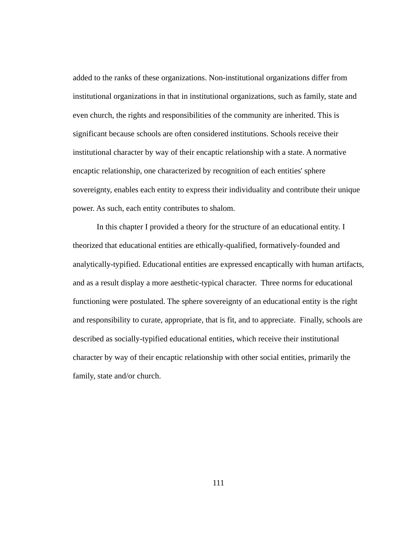added to the ranks of these organizations. Non-institutional organizations differ from institutional organizations in that in institutional organizations, such as family, state and even church, the rights and responsibilities of the community are inherited. This is significant because schools are often considered institutions. Schools receive their institutional character by way of their encaptic relationship with a state. A normative encaptic relationship, one characterized by recognition of each entities' sphere sovereignty, enables each entity to express their individuality and contribute their unique power. As such, each entity contributes to shalom.

 In this chapter I provided a theory for the structure of an educational entity. I theorized that educational entities are ethically-qualified, formatively-founded and analytically-typified. Educational entities are expressed encaptically with human artifacts, and as a result display a more aesthetic-typical character. Three norms for educational functioning were postulated. The sphere sovereignty of an educational entity is the right and responsibility to curate, appropriate, that is fit, and to appreciate. Finally, schools are described as socially-typified educational entities, which receive their institutional character by way of their encaptic relationship with other social entities, primarily the family, state and/or church.

111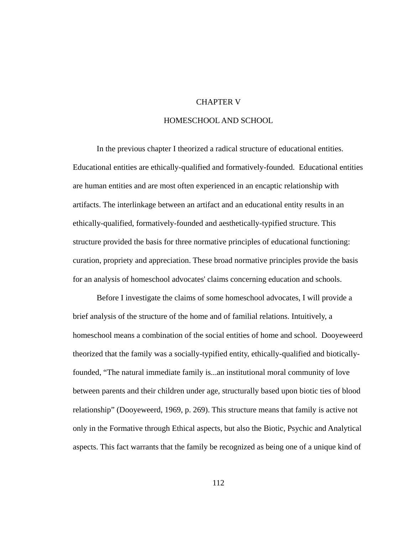#### CHAPTER V

# HOMESCHOOL AND SCHOOL

 In the previous chapter I theorized a radical structure of educational entities. Educational entities are ethically-qualified and formatively-founded. Educational entities are human entities and are most often experienced in an encaptic relationship with artifacts. The interlinkage between an artifact and an educational entity results in an ethically-qualified, formatively-founded and aesthetically-typified structure. This structure provided the basis for three normative principles of educational functioning: curation, propriety and appreciation. These broad normative principles provide the basis for an analysis of homeschool advocates' claims concerning education and schools.

 Before I investigate the claims of some homeschool advocates, I will provide a brief analysis of the structure of the home and of familial relations. Intuitively, a homeschool means a combination of the social entities of home and school. Dooyeweerd theorized that the family was a socially-typified entity, ethically-qualified and bioticallyfounded, "The natural immediate family is...an institutional moral community of love between parents and their children under age, structurally based upon biotic ties of blood relationship" (Dooyeweerd, 1969, p. 269). This structure means that family is active not only in the Formative through Ethical aspects, but also the Biotic, Psychic and Analytical aspects. This fact warrants that the family be recognized as being one of a unique kind of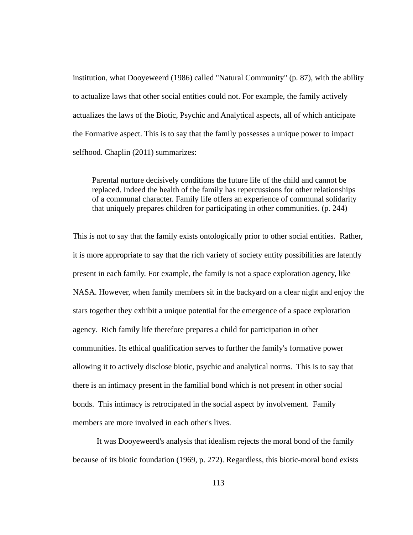institution, what Dooyeweerd (1986) called "Natural Community" (p. 87), with the ability to actualize laws that other social entities could not. For example, the family actively actualizes the laws of the Biotic, Psychic and Analytical aspects, all of which anticipate the Formative aspect. This is to say that the family possesses a unique power to impact selfhood. Chaplin (2011) summarizes:

Parental nurture decisively conditions the future life of the child and cannot be replaced. Indeed the health of the family has repercussions for other relationships of a communal character. Family life offers an experience of communal solidarity that uniquely prepares children for participating in other communities. (p. 244)

This is not to say that the family exists ontologically prior to other social entities. Rather, it is more appropriate to say that the rich variety of society entity possibilities are latently present in each family. For example, the family is not a space exploration agency, like NASA. However, when family members sit in the backyard on a clear night and enjoy the stars together they exhibit a unique potential for the emergence of a space exploration agency. Rich family life therefore prepares a child for participation in other communities. Its ethical qualification serves to further the family's formative power allowing it to actively disclose biotic, psychic and analytical norms. This is to say that there is an intimacy present in the familial bond which is not present in other social bonds. This intimacy is retrocipated in the social aspect by involvement. Family members are more involved in each other's lives.

 It was Dooyeweerd's analysis that idealism rejects the moral bond of the family because of its biotic foundation (1969, p. 272). Regardless, this biotic-moral bond exists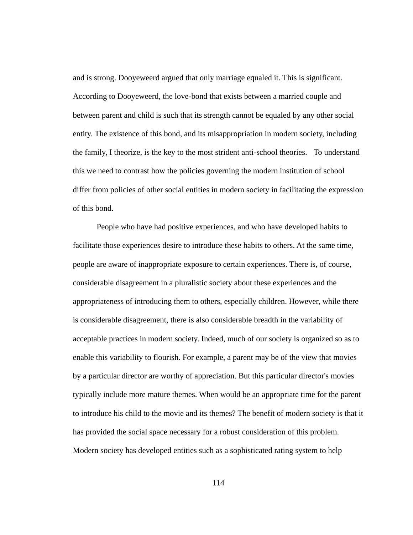and is strong. Dooyeweerd argued that only marriage equaled it. This is significant. According to Dooyeweerd, the love-bond that exists between a married couple and between parent and child is such that its strength cannot be equaled by any other social entity. The existence of this bond, and its misappropriation in modern society, including the family, I theorize, is the key to the most strident anti-school theories. To understand this we need to contrast how the policies governing the modern institution of school differ from policies of other social entities in modern society in facilitating the expression of this bond.

 People who have had positive experiences, and who have developed habits to facilitate those experiences desire to introduce these habits to others. At the same time, people are aware of inappropriate exposure to certain experiences. There is, of course, considerable disagreement in a pluralistic society about these experiences and the appropriateness of introducing them to others, especially children. However, while there is considerable disagreement, there is also considerable breadth in the variability of acceptable practices in modern society. Indeed, much of our society is organized so as to enable this variability to flourish. For example, a parent may be of the view that movies by a particular director are worthy of appreciation. But this particular director's movies typically include more mature themes. When would be an appropriate time for the parent to introduce his child to the movie and its themes? The benefit of modern society is that it has provided the social space necessary for a robust consideration of this problem. Modern society has developed entities such as a sophisticated rating system to help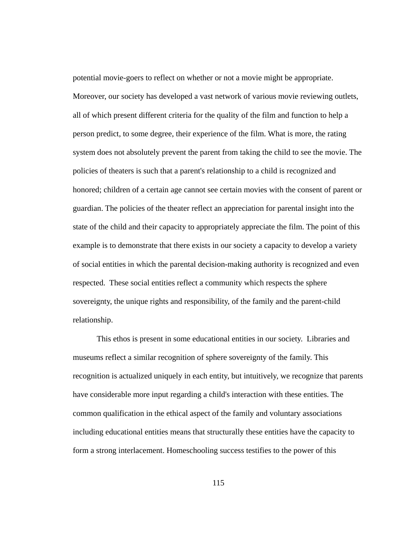potential movie-goers to reflect on whether or not a movie might be appropriate. Moreover, our society has developed a vast network of various movie reviewing outlets, all of which present different criteria for the quality of the film and function to help a person predict, to some degree, their experience of the film. What is more, the rating system does not absolutely prevent the parent from taking the child to see the movie. The policies of theaters is such that a parent's relationship to a child is recognized and honored; children of a certain age cannot see certain movies with the consent of parent or guardian. The policies of the theater reflect an appreciation for parental insight into the state of the child and their capacity to appropriately appreciate the film. The point of this example is to demonstrate that there exists in our society a capacity to develop a variety of social entities in which the parental decision-making authority is recognized and even respected. These social entities reflect a community which respects the sphere sovereignty, the unique rights and responsibility, of the family and the parent-child relationship.

 This ethos is present in some educational entities in our society. Libraries and museums reflect a similar recognition of sphere sovereignty of the family. This recognition is actualized uniquely in each entity, but intuitively, we recognize that parents have considerable more input regarding a child's interaction with these entities. The common qualification in the ethical aspect of the family and voluntary associations including educational entities means that structurally these entities have the capacity to form a strong interlacement. Homeschooling success testifies to the power of this

115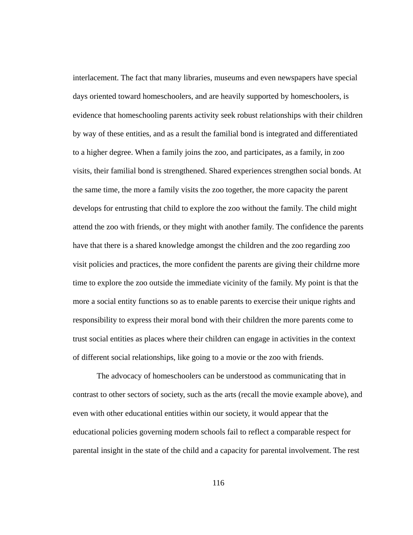interlacement. The fact that many libraries, museums and even newspapers have special days oriented toward homeschoolers, and are heavily supported by homeschoolers, is evidence that homeschooling parents activity seek robust relationships with their children by way of these entities, and as a result the familial bond is integrated and differentiated to a higher degree. When a family joins the zoo, and participates, as a family, in zoo visits, their familial bond is strengthened. Shared experiences strengthen social bonds. At the same time, the more a family visits the zoo together, the more capacity the parent develops for entrusting that child to explore the zoo without the family. The child might attend the zoo with friends, or they might with another family. The confidence the parents have that there is a shared knowledge amongst the children and the zoo regarding zoo visit policies and practices, the more confident the parents are giving their childrne more time to explore the zoo outside the immediate vicinity of the family. My point is that the more a social entity functions so as to enable parents to exercise their unique rights and responsibility to express their moral bond with their children the more parents come to trust social entities as places where their children can engage in activities in the context of different social relationships, like going to a movie or the zoo with friends.

 The advocacy of homeschoolers can be understood as communicating that in contrast to other sectors of society, such as the arts (recall the movie example above), and even with other educational entities within our society, it would appear that the educational policies governing modern schools fail to reflect a comparable respect for parental insight in the state of the child and a capacity for parental involvement. The rest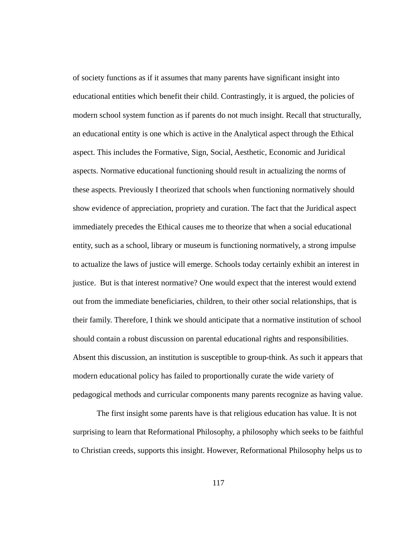of society functions as if it assumes that many parents have significant insight into educational entities which benefit their child. Contrastingly, it is argued, the policies of modern school system function as if parents do not much insight. Recall that structurally, an educational entity is one which is active in the Analytical aspect through the Ethical aspect. This includes the Formative, Sign, Social, Aesthetic, Economic and Juridical aspects. Normative educational functioning should result in actualizing the norms of these aspects. Previously I theorized that schools when functioning normatively should show evidence of appreciation, propriety and curation. The fact that the Juridical aspect immediately precedes the Ethical causes me to theorize that when a social educational entity, such as a school, library or museum is functioning normatively, a strong impulse to actualize the laws of justice will emerge. Schools today certainly exhibit an interest in justice. But is that interest normative? One would expect that the interest would extend out from the immediate beneficiaries, children, to their other social relationships, that is their family. Therefore, I think we should anticipate that a normative institution of school should contain a robust discussion on parental educational rights and responsibilities. Absent this discussion, an institution is susceptible to group-think. As such it appears that modern educational policy has failed to proportionally curate the wide variety of pedagogical methods and curricular components many parents recognize as having value.

 The first insight some parents have is that religious education has value. It is not surprising to learn that Reformational Philosophy, a philosophy which seeks to be faithful to Christian creeds, supports this insight. However, Reformational Philosophy helps us to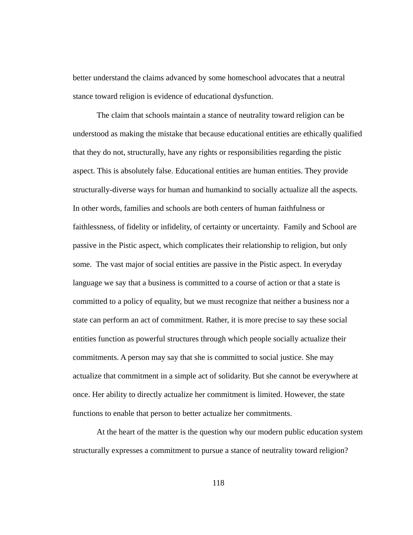better understand the claims advanced by some homeschool advocates that a neutral stance toward religion is evidence of educational dysfunction.

 The claim that schools maintain a stance of neutrality toward religion can be understood as making the mistake that because educational entities are ethically qualified that they do not, structurally, have any rights or responsibilities regarding the pistic aspect. This is absolutely false. Educational entities are human entities. They provide structurally-diverse ways for human and humankind to socially actualize all the aspects. In other words, families and schools are both centers of human faithfulness or faithlessness, of fidelity or infidelity, of certainty or uncertainty. Family and School are passive in the Pistic aspect, which complicates their relationship to religion, but only some. The vast major of social entities are passive in the Pistic aspect. In everyday language we say that a business is committed to a course of action or that a state is committed to a policy of equality, but we must recognize that neither a business nor a state can perform an act of commitment. Rather, it is more precise to say these social entities function as powerful structures through which people socially actualize their commitments. A person may say that she is committed to social justice. She may actualize that commitment in a simple act of solidarity. But she cannot be everywhere at once. Her ability to directly actualize her commitment is limited. However, the state functions to enable that person to better actualize her commitments.

 At the heart of the matter is the question why our modern public education system structurally expresses a commitment to pursue a stance of neutrality toward religion?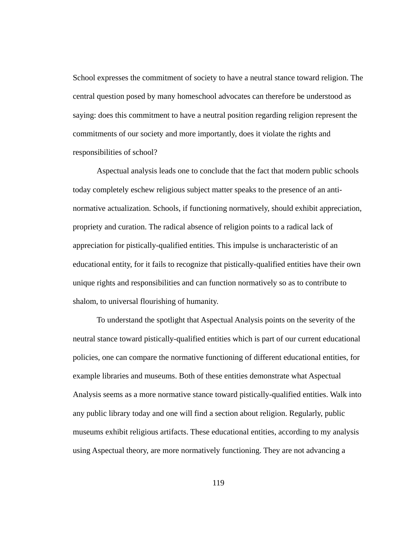School expresses the commitment of society to have a neutral stance toward religion. The central question posed by many homeschool advocates can therefore be understood as saying: does this commitment to have a neutral position regarding religion represent the commitments of our society and more importantly, does it violate the rights and responsibilities of school?

 Aspectual analysis leads one to conclude that the fact that modern public schools today completely eschew religious subject matter speaks to the presence of an antinormative actualization. Schools, if functioning normatively, should exhibit appreciation, propriety and curation. The radical absence of religion points to a radical lack of appreciation for pistically-qualified entities. This impulse is uncharacteristic of an educational entity, for it fails to recognize that pistically-qualified entities have their own unique rights and responsibilities and can function normatively so as to contribute to shalom, to universal flourishing of humanity.

 To understand the spotlight that Aspectual Analysis points on the severity of the neutral stance toward pistically-qualified entities which is part of our current educational policies, one can compare the normative functioning of different educational entities, for example libraries and museums. Both of these entities demonstrate what Aspectual Analysis seems as a more normative stance toward pistically-qualified entities. Walk into any public library today and one will find a section about religion. Regularly, public museums exhibit religious artifacts. These educational entities, according to my analysis using Aspectual theory, are more normatively functioning. They are not advancing a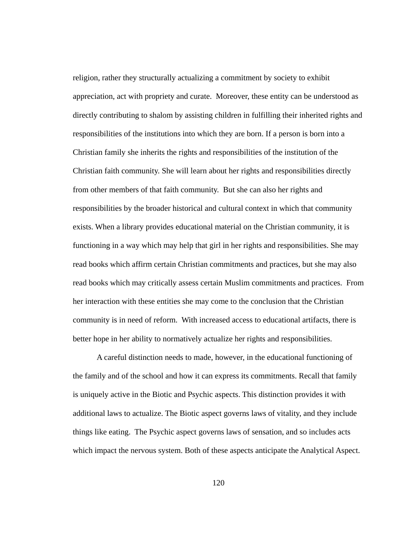religion, rather they structurally actualizing a commitment by society to exhibit appreciation, act with propriety and curate. Moreover, these entity can be understood as directly contributing to shalom by assisting children in fulfilling their inherited rights and responsibilities of the institutions into which they are born. If a person is born into a Christian family she inherits the rights and responsibilities of the institution of the Christian faith community. She will learn about her rights and responsibilities directly from other members of that faith community. But she can also her rights and responsibilities by the broader historical and cultural context in which that community exists. When a library provides educational material on the Christian community, it is functioning in a way which may help that girl in her rights and responsibilities. She may read books which affirm certain Christian commitments and practices, but she may also read books which may critically assess certain Muslim commitments and practices. From her interaction with these entities she may come to the conclusion that the Christian community is in need of reform. With increased access to educational artifacts, there is better hope in her ability to normatively actualize her rights and responsibilities.

 A careful distinction needs to made, however, in the educational functioning of the family and of the school and how it can express its commitments. Recall that family is uniquely active in the Biotic and Psychic aspects. This distinction provides it with additional laws to actualize. The Biotic aspect governs laws of vitality, and they include things like eating. The Psychic aspect governs laws of sensation, and so includes acts which impact the nervous system. Both of these aspects anticipate the Analytical Aspect.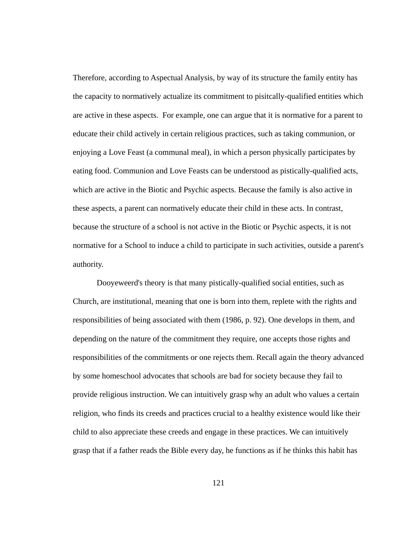Therefore, according to Aspectual Analysis, by way of its structure the family entity has the capacity to normatively actualize its commitment to pisitcally-qualified entities which are active in these aspects. For example, one can argue that it is normative for a parent to educate their child actively in certain religious practices, such as taking communion, or enjoying a Love Feast (a communal meal), in which a person physically participates by eating food. Communion and Love Feasts can be understood as pistically-qualified acts, which are active in the Biotic and Psychic aspects. Because the family is also active in these aspects, a parent can normatively educate their child in these acts. In contrast, because the structure of a school is not active in the Biotic or Psychic aspects, it is not normative for a School to induce a child to participate in such activities, outside a parent's authority.

 Dooyeweerd's theory is that many pistically-qualified social entities, such as Church, are institutional, meaning that one is born into them, replete with the rights and responsibilities of being associated with them (1986, p. 92). One develops in them, and depending on the nature of the commitment they require, one accepts those rights and responsibilities of the commitments or one rejects them. Recall again the theory advanced by some homeschool advocates that schools are bad for society because they fail to provide religious instruction. We can intuitively grasp why an adult who values a certain religion, who finds its creeds and practices crucial to a healthy existence would like their child to also appreciate these creeds and engage in these practices. We can intuitively grasp that if a father reads the Bible every day, he functions as if he thinks this habit has

121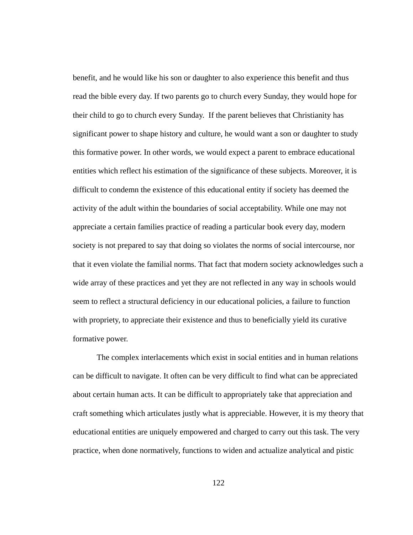benefit, and he would like his son or daughter to also experience this benefit and thus read the bible every day. If two parents go to church every Sunday, they would hope for their child to go to church every Sunday. If the parent believes that Christianity has significant power to shape history and culture, he would want a son or daughter to study this formative power. In other words, we would expect a parent to embrace educational entities which reflect his estimation of the significance of these subjects. Moreover, it is difficult to condemn the existence of this educational entity if society has deemed the activity of the adult within the boundaries of social acceptability. While one may not appreciate a certain families practice of reading a particular book every day, modern society is not prepared to say that doing so violates the norms of social intercourse, nor that it even violate the familial norms. That fact that modern society acknowledges such a wide array of these practices and yet they are not reflected in any way in schools would seem to reflect a structural deficiency in our educational policies, a failure to function with propriety, to appreciate their existence and thus to beneficially yield its curative formative power.

 The complex interlacements which exist in social entities and in human relations can be difficult to navigate. It often can be very difficult to find what can be appreciated about certain human acts. It can be difficult to appropriately take that appreciation and craft something which articulates justly what is appreciable. However, it is my theory that educational entities are uniquely empowered and charged to carry out this task. The very practice, when done normatively, functions to widen and actualize analytical and pistic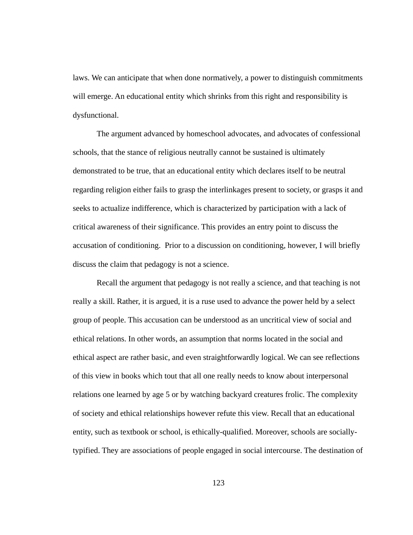laws. We can anticipate that when done normatively, a power to distinguish commitments will emerge. An educational entity which shrinks from this right and responsibility is dysfunctional.

 The argument advanced by homeschool advocates, and advocates of confessional schools, that the stance of religious neutrally cannot be sustained is ultimately demonstrated to be true, that an educational entity which declares itself to be neutral regarding religion either fails to grasp the interlinkages present to society, or grasps it and seeks to actualize indifference, which is characterized by participation with a lack of critical awareness of their significance. This provides an entry point to discuss the accusation of conditioning. Prior to a discussion on conditioning, however, I will briefly discuss the claim that pedagogy is not a science.

 Recall the argument that pedagogy is not really a science, and that teaching is not really a skill. Rather, it is argued, it is a ruse used to advance the power held by a select group of people. This accusation can be understood as an uncritical view of social and ethical relations. In other words, an assumption that norms located in the social and ethical aspect are rather basic, and even straightforwardly logical. We can see reflections of this view in books which tout that all one really needs to know about interpersonal relations one learned by age 5 or by watching backyard creatures frolic. The complexity of society and ethical relationships however refute this view. Recall that an educational entity, such as textbook or school, is ethically-qualified. Moreover, schools are sociallytypified. They are associations of people engaged in social intercourse. The destination of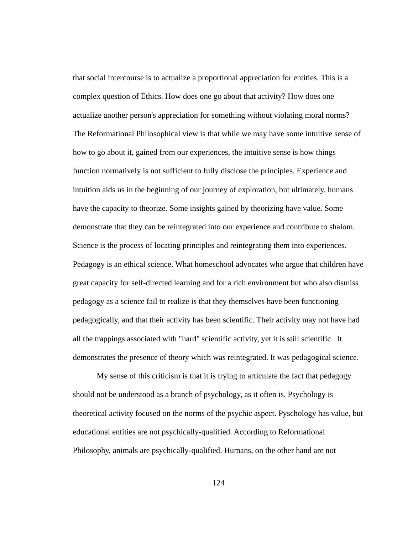that social intercourse is to actualize a proportional appreciation for entities. This is a complex question of Ethics. How does one go about that activity? How does one actualize another person's appreciation for something without violating moral norms? The Reformational Philosophical view is that while we may have some intuitive sense of how to go about it, gained from our experiences, the intuitive sense is how things function normatively is not sufficient to fully disclose the principles. Experience and intuition aids us in the beginning of our journey of exploration, but ultimately, humans have the capacity to theorize. Some insights gained by theorizing have value. Some demonstrate that they can be reintegrated into our experience and contribute to shalom. Science is the process of locating principles and reintegrating them into experiences. Pedagogy is an ethical science. What homeschool advocates who argue that children have great capacity for self-directed learning and for a rich environment but who also dismiss pedagogy as a science fail to realize is that they themselves have been functioning pedagogically, and that their activity has been scientific. Their activity may not have had all the trappings associated with "hard" scientific activity, yet it is still scientific. It demonstrates the presence of theory which was reintegrated. It was pedagogical science.

 My sense of this criticism is that it is trying to articulate the fact that pedagogy should not be understood as a branch of psychology, as it often is. Psychology is theoretical activity focused on the norms of the psychic aspect. Pyschology has value, but educational entities are not psychically-qualified. According to Reformational Philosophy, animals are psychically-qualified. Humans, on the other hand are not

124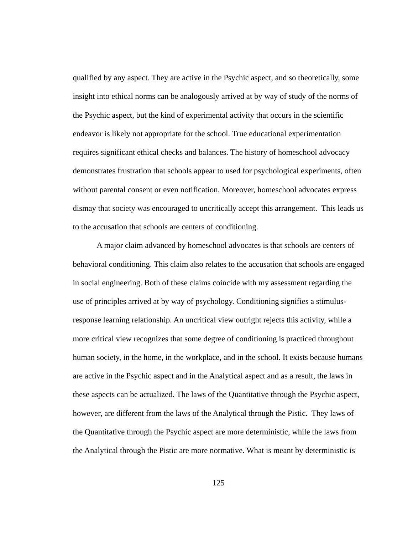qualified by any aspect. They are active in the Psychic aspect, and so theoretically, some insight into ethical norms can be analogously arrived at by way of study of the norms of the Psychic aspect, but the kind of experimental activity that occurs in the scientific endeavor is likely not appropriate for the school. True educational experimentation requires significant ethical checks and balances. The history of homeschool advocacy demonstrates frustration that schools appear to used for psychological experiments, often without parental consent or even notification. Moreover, homeschool advocates express dismay that society was encouraged to uncritically accept this arrangement. This leads us to the accusation that schools are centers of conditioning.

 A major claim advanced by homeschool advocates is that schools are centers of behavioral conditioning. This claim also relates to the accusation that schools are engaged in social engineering. Both of these claims coincide with my assessment regarding the use of principles arrived at by way of psychology. Conditioning signifies a stimulusresponse learning relationship. An uncritical view outright rejects this activity, while a more critical view recognizes that some degree of conditioning is practiced throughout human society, in the home, in the workplace, and in the school. It exists because humans are active in the Psychic aspect and in the Analytical aspect and as a result, the laws in these aspects can be actualized. The laws of the Quantitative through the Psychic aspect, however, are different from the laws of the Analytical through the Pistic. They laws of the Quantitative through the Psychic aspect are more deterministic, while the laws from the Analytical through the Pistic are more normative. What is meant by deterministic is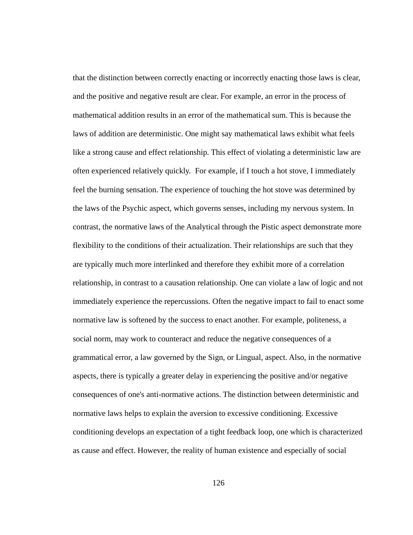that the distinction between correctly enacting or incorrectly enacting those laws is clear, and the positive and negative result are clear. For example, an error in the process of mathematical addition results in an error of the mathematical sum. This is because the laws of addition are deterministic. One might say mathematical laws exhibit what feels like a strong cause and effect relationship. This effect of violating a deterministic law are often experienced relatively quickly. For example, if I touch a hot stove, I immediately feel the burning sensation. The experience of touching the hot stove was determined by the laws of the Psychic aspect, which governs senses, including my nervous system. In contrast, the normative laws of the Analytical through the Pistic aspect demonstrate more flexibility to the conditions of their actualization. Their relationships are such that they are typically much more interlinked and therefore they exhibit more of a correlation relationship, in contrast to a causation relationship. One can violate a law of logic and not immediately experience the repercussions. Often the negative impact to fail to enact some normative law is softened by the success to enact another. For example, politeness, a social norm, may work to counteract and reduce the negative consequences of a grammatical error, a law governed by the Sign, or Lingual, aspect. Also, in the normative aspects, there is typically a greater delay in experiencing the positive and/or negative consequences of one's anti-normative actions. The distinction between deterministic and normative laws helps to explain the aversion to excessive conditioning. Excessive conditioning develops an expectation of a tight feedback loop, one which is characterized as cause and effect. However, the reality of human existence and especially of social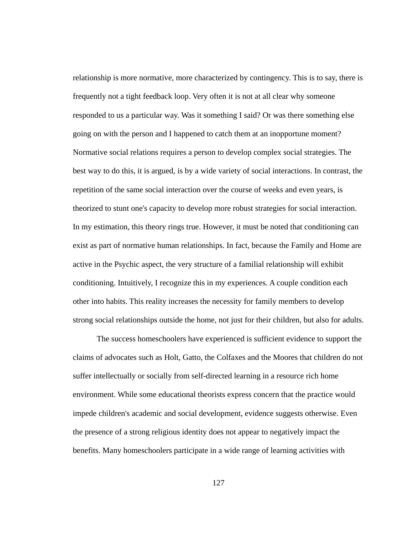relationship is more normative, more characterized by contingency. This is to say, there is frequently not a tight feedback loop. Very often it is not at all clear why someone responded to us a particular way. Was it something I said? Or was there something else going on with the person and I happened to catch them at an inopportune moment? Normative social relations requires a person to develop complex social strategies. The best way to do this, it is argued, is by a wide variety of social interactions. In contrast, the repetition of the same social interaction over the course of weeks and even years, is theorized to stunt one's capacity to develop more robust strategies for social interaction. In my estimation, this theory rings true. However, it must be noted that conditioning can exist as part of normative human relationships. In fact, because the Family and Home are active in the Psychic aspect, the very structure of a familial relationship will exhibit conditioning. Intuitively, I recognize this in my experiences. A couple condition each other into habits. This reality increases the necessity for family members to develop strong social relationships outside the home, not just for their children, but also for adults.

 The success homeschoolers have experienced is sufficient evidence to support the claims of advocates such as Holt, Gatto, the Colfaxes and the Moores that children do not suffer intellectually or socially from self-directed learning in a resource rich home environment. While some educational theorists express concern that the practice would impede children's academic and social development, evidence suggests otherwise. Even the presence of a strong religious identity does not appear to negatively impact the benefits. Many homeschoolers participate in a wide range of learning activities with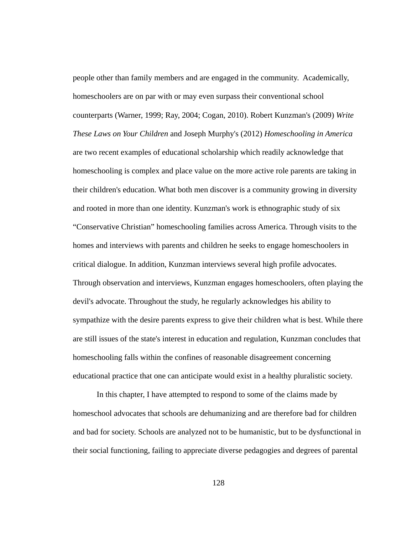people other than family members and are engaged in the community. Academically, homeschoolers are on par with or may even surpass their conventional school counterparts (Warner, 1999; Ray, 2004; Cogan, 2010). Robert Kunzman's (2009) *Write These Laws on Your Children* and Joseph Murphy's (2012) *Homeschooling in America* are two recent examples of educational scholarship which readily acknowledge that homeschooling is complex and place value on the more active role parents are taking in their children's education. What both men discover is a community growing in diversity and rooted in more than one identity. Kunzman's work is ethnographic study of six "Conservative Christian" homeschooling families across America. Through visits to the homes and interviews with parents and children he seeks to engage homeschoolers in critical dialogue. In addition, Kunzman interviews several high profile advocates. Through observation and interviews, Kunzman engages homeschoolers, often playing the devil's advocate. Throughout the study, he regularly acknowledges his ability to sympathize with the desire parents express to give their children what is best. While there are still issues of the state's interest in education and regulation, Kunzman concludes that homeschooling falls within the confines of reasonable disagreement concerning educational practice that one can anticipate would exist in a healthy pluralistic society.

 In this chapter, I have attempted to respond to some of the claims made by homeschool advocates that schools are dehumanizing and are therefore bad for children and bad for society. Schools are analyzed not to be humanistic, but to be dysfunctional in their social functioning, failing to appreciate diverse pedagogies and degrees of parental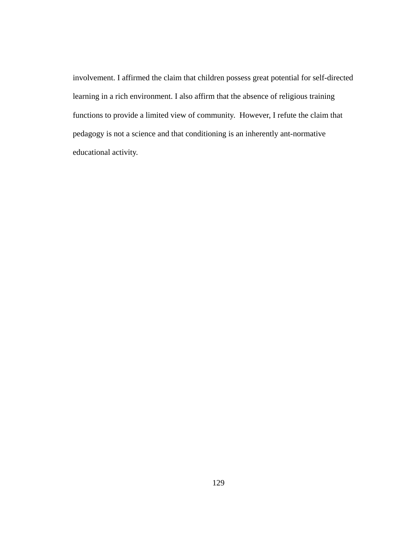involvement. I affirmed the claim that children possess great potential for self-directed learning in a rich environment. I also affirm that the absence of religious training functions to provide a limited view of community. However, I refute the claim that pedagogy is not a science and that conditioning is an inherently ant-normative educational activity.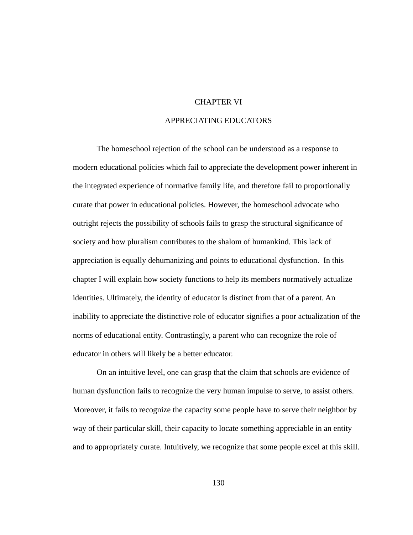### CHAPTER VI

# APPRECIATING EDUCATORS

 The homeschool rejection of the school can be understood as a response to modern educational policies which fail to appreciate the development power inherent in the integrated experience of normative family life, and therefore fail to proportionally curate that power in educational policies. However, the homeschool advocate who outright rejects the possibility of schools fails to grasp the structural significance of society and how pluralism contributes to the shalom of humankind. This lack of appreciation is equally dehumanizing and points to educational dysfunction. In this chapter I will explain how society functions to help its members normatively actualize identities. Ultimately, the identity of educator is distinct from that of a parent. An inability to appreciate the distinctive role of educator signifies a poor actualization of the norms of educational entity. Contrastingly, a parent who can recognize the role of educator in others will likely be a better educator.

 On an intuitive level, one can grasp that the claim that schools are evidence of human dysfunction fails to recognize the very human impulse to serve, to assist others. Moreover, it fails to recognize the capacity some people have to serve their neighbor by way of their particular skill, their capacity to locate something appreciable in an entity and to appropriately curate. Intuitively, we recognize that some people excel at this skill.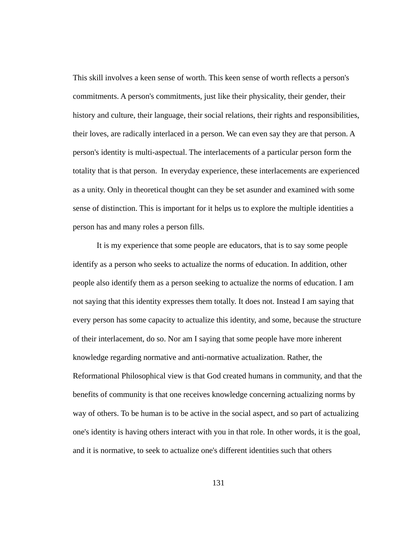This skill involves a keen sense of worth. This keen sense of worth reflects a person's commitments. A person's commitments, just like their physicality, their gender, their history and culture, their language, their social relations, their rights and responsibilities, their loves, are radically interlaced in a person. We can even say they are that person. A person's identity is multi-aspectual. The interlacements of a particular person form the totality that is that person. In everyday experience, these interlacements are experienced as a unity. Only in theoretical thought can they be set asunder and examined with some sense of distinction. This is important for it helps us to explore the multiple identities a person has and many roles a person fills.

 It is my experience that some people are educators, that is to say some people identify as a person who seeks to actualize the norms of education. In addition, other people also identify them as a person seeking to actualize the norms of education. I am not saying that this identity expresses them totally. It does not. Instead I am saying that every person has some capacity to actualize this identity, and some, because the structure of their interlacement, do so. Nor am I saying that some people have more inherent knowledge regarding normative and anti-normative actualization. Rather, the Reformational Philosophical view is that God created humans in community, and that the benefits of community is that one receives knowledge concerning actualizing norms by way of others. To be human is to be active in the social aspect, and so part of actualizing one's identity is having others interact with you in that role. In other words, it is the goal, and it is normative, to seek to actualize one's different identities such that others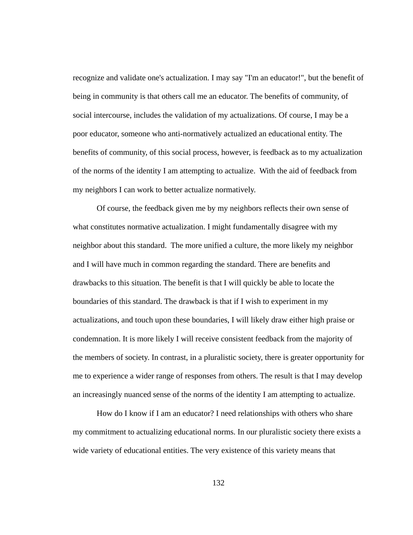recognize and validate one's actualization. I may say "I'm an educator!", but the benefit of being in community is that others call me an educator. The benefits of community, of social intercourse, includes the validation of my actualizations. Of course, I may be a poor educator, someone who anti-normatively actualized an educational entity. The benefits of community, of this social process, however, is feedback as to my actualization of the norms of the identity I am attempting to actualize. With the aid of feedback from my neighbors I can work to better actualize normatively.

 Of course, the feedback given me by my neighbors reflects their own sense of what constitutes normative actualization. I might fundamentally disagree with my neighbor about this standard. The more unified a culture, the more likely my neighbor and I will have much in common regarding the standard. There are benefits and drawbacks to this situation. The benefit is that I will quickly be able to locate the boundaries of this standard. The drawback is that if I wish to experiment in my actualizations, and touch upon these boundaries, I will likely draw either high praise or condemnation. It is more likely I will receive consistent feedback from the majority of the members of society. In contrast, in a pluralistic society, there is greater opportunity for me to experience a wider range of responses from others. The result is that I may develop an increasingly nuanced sense of the norms of the identity I am attempting to actualize.

 How do I know if I am an educator? I need relationships with others who share my commitment to actualizing educational norms. In our pluralistic society there exists a wide variety of educational entities. The very existence of this variety means that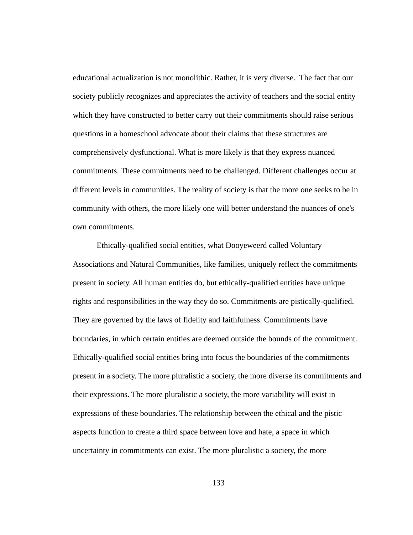educational actualization is not monolithic. Rather, it is very diverse. The fact that our society publicly recognizes and appreciates the activity of teachers and the social entity which they have constructed to better carry out their commitments should raise serious questions in a homeschool advocate about their claims that these structures are comprehensively dysfunctional. What is more likely is that they express nuanced commitments. These commitments need to be challenged. Different challenges occur at different levels in communities. The reality of society is that the more one seeks to be in community with others, the more likely one will better understand the nuances of one's own commitments.

 Ethically-qualified social entities, what Dooyeweerd called Voluntary Associations and Natural Communities, like families, uniquely reflect the commitments present in society. All human entities do, but ethically-qualified entities have unique rights and responsibilities in the way they do so. Commitments are pistically-qualified. They are governed by the laws of fidelity and faithfulness. Commitments have boundaries, in which certain entities are deemed outside the bounds of the commitment. Ethically-qualified social entities bring into focus the boundaries of the commitments present in a society. The more pluralistic a society, the more diverse its commitments and their expressions. The more pluralistic a society, the more variability will exist in expressions of these boundaries. The relationship between the ethical and the pistic aspects function to create a third space between love and hate, a space in which uncertainty in commitments can exist. The more pluralistic a society, the more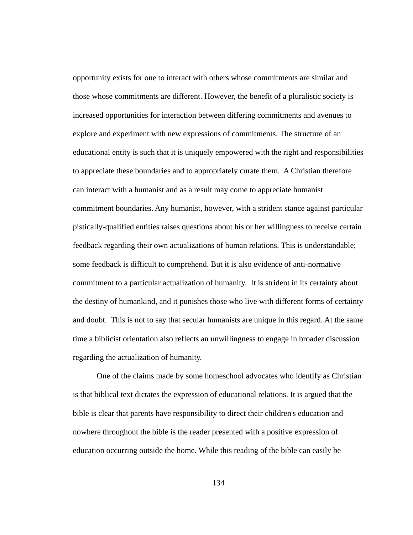opportunity exists for one to interact with others whose commitments are similar and those whose commitments are different. However, the benefit of a pluralistic society is increased opportunities for interaction between differing commitments and avenues to explore and experiment with new expressions of commitments. The structure of an educational entity is such that it is uniquely empowered with the right and responsibilities to appreciate these boundaries and to appropriately curate them. A Christian therefore can interact with a humanist and as a result may come to appreciate humanist commitment boundaries. Any humanist, however, with a strident stance against particular pistically-qualified entities raises questions about his or her willingness to receive certain feedback regarding their own actualizations of human relations. This is understandable; some feedback is difficult to comprehend. But it is also evidence of anti-normative commitment to a particular actualization of humanity. It is strident in its certainty about the destiny of humankind, and it punishes those who live with different forms of certainty and doubt. This is not to say that secular humanists are unique in this regard. At the same time a biblicist orientation also reflects an unwillingness to engage in broader discussion regarding the actualization of humanity.

 One of the claims made by some homeschool advocates who identify as Christian is that biblical text dictates the expression of educational relations. It is argued that the bible is clear that parents have responsibility to direct their children's education and nowhere throughout the bible is the reader presented with a positive expression of education occurring outside the home. While this reading of the bible can easily be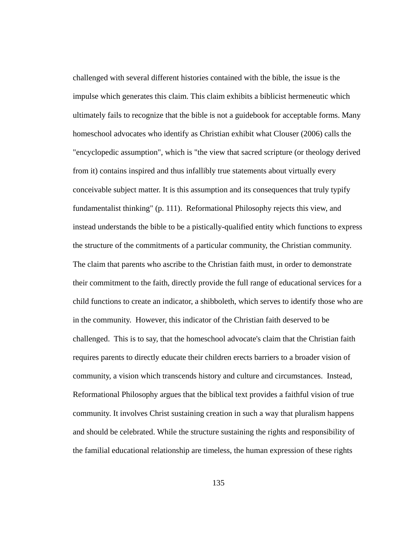challenged with several different histories contained with the bible, the issue is the impulse which generates this claim. This claim exhibits a biblicist hermeneutic which ultimately fails to recognize that the bible is not a guidebook for acceptable forms. Many homeschool advocates who identify as Christian exhibit what Clouser (2006) calls the "encyclopedic assumption", which is "the view that sacred scripture (or theology derived from it) contains inspired and thus infallibly true statements about virtually every conceivable subject matter. It is this assumption and its consequences that truly typify fundamentalist thinking" (p. 111). Reformational Philosophy rejects this view, and instead understands the bible to be a pistically-qualified entity which functions to express the structure of the commitments of a particular community, the Christian community. The claim that parents who ascribe to the Christian faith must, in order to demonstrate their commitment to the faith, directly provide the full range of educational services for a child functions to create an indicator, a shibboleth, which serves to identify those who are in the community. However, this indicator of the Christian faith deserved to be challenged. This is to say, that the homeschool advocate's claim that the Christian faith requires parents to directly educate their children erects barriers to a broader vision of community, a vision which transcends history and culture and circumstances. Instead, Reformational Philosophy argues that the biblical text provides a faithful vision of true community. It involves Christ sustaining creation in such a way that pluralism happens and should be celebrated. While the structure sustaining the rights and responsibility of the familial educational relationship are timeless, the human expression of these rights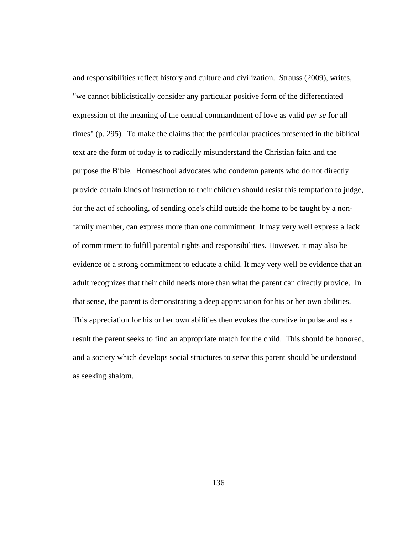and responsibilities reflect history and culture and civilization. Strauss (2009), writes, "we cannot biblicistically consider any particular positive form of the differentiated expression of the meaning of the central commandment of love as valid *per se* for all times" (p. 295). To make the claims that the particular practices presented in the biblical text are the form of today is to radically misunderstand the Christian faith and the purpose the Bible. Homeschool advocates who condemn parents who do not directly provide certain kinds of instruction to their children should resist this temptation to judge, for the act of schooling, of sending one's child outside the home to be taught by a nonfamily member, can express more than one commitment. It may very well express a lack of commitment to fulfill parental rights and responsibilities. However, it may also be evidence of a strong commitment to educate a child. It may very well be evidence that an adult recognizes that their child needs more than what the parent can directly provide. In that sense, the parent is demonstrating a deep appreciation for his or her own abilities. This appreciation for his or her own abilities then evokes the curative impulse and as a result the parent seeks to find an appropriate match for the child. This should be honored, and a society which develops social structures to serve this parent should be understood as seeking shalom.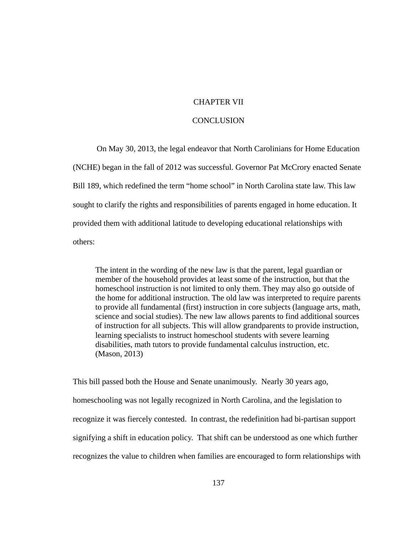# CHAPTER VII

### **CONCLUSION**

 On May 30, 2013, the legal endeavor that North Carolinians for Home Education (NCHE) began in the fall of 2012 was successful. Governor Pat McCrory enacted Senate Bill 189, which redefined the term "home school" in North Carolina state law. This law sought to clarify the rights and responsibilities of parents engaged in home education. It provided them with additional latitude to developing educational relationships with others:

The intent in the wording of the new law is that the parent, legal guardian or member of the household provides at least some of the instruction, but that the homeschool instruction is not limited to only them. They may also go outside of the home for additional instruction. The old law was interpreted to require parents to provide all fundamental (first) instruction in core subjects (language arts, math, science and social studies). The new law allows parents to find additional sources of instruction for all subjects. This will allow grandparents to provide instruction, learning specialists to instruct homeschool students with severe learning disabilities, math tutors to provide fundamental calculus instruction, etc. (Mason, 2013)

This bill passed both the House and Senate unanimously. Nearly 30 years ago, homeschooling was not legally recognized in North Carolina, and the legislation to recognize it was fiercely contested. In contrast, the redefinition had bi-partisan support signifying a shift in education policy. That shift can be understood as one which further recognizes the value to children when families are encouraged to form relationships with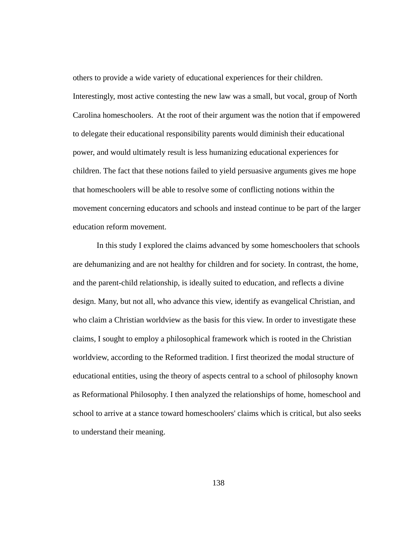others to provide a wide variety of educational experiences for their children. Interestingly, most active contesting the new law was a small, but vocal, group of North Carolina homeschoolers. At the root of their argument was the notion that if empowered to delegate their educational responsibility parents would diminish their educational power, and would ultimately result is less humanizing educational experiences for children. The fact that these notions failed to yield persuasive arguments gives me hope that homeschoolers will be able to resolve some of conflicting notions within the movement concerning educators and schools and instead continue to be part of the larger education reform movement.

 In this study I explored the claims advanced by some homeschoolers that schools are dehumanizing and are not healthy for children and for society. In contrast, the home, and the parent-child relationship, is ideally suited to education, and reflects a divine design. Many, but not all, who advance this view, identify as evangelical Christian, and who claim a Christian worldview as the basis for this view. In order to investigate these claims, I sought to employ a philosophical framework which is rooted in the Christian worldview, according to the Reformed tradition. I first theorized the modal structure of educational entities, using the theory of aspects central to a school of philosophy known as Reformational Philosophy. I then analyzed the relationships of home, homeschool and school to arrive at a stance toward homeschoolers' claims which is critical, but also seeks to understand their meaning.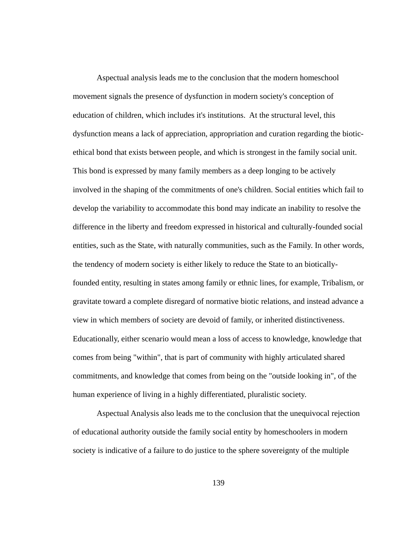Aspectual analysis leads me to the conclusion that the modern homeschool movement signals the presence of dysfunction in modern society's conception of education of children, which includes it's institutions. At the structural level, this dysfunction means a lack of appreciation, appropriation and curation regarding the bioticethical bond that exists between people, and which is strongest in the family social unit. This bond is expressed by many family members as a deep longing to be actively involved in the shaping of the commitments of one's children. Social entities which fail to develop the variability to accommodate this bond may indicate an inability to resolve the difference in the liberty and freedom expressed in historical and culturally-founded social entities, such as the State, with naturally communities, such as the Family. In other words, the tendency of modern society is either likely to reduce the State to an bioticallyfounded entity, resulting in states among family or ethnic lines, for example, Tribalism, or gravitate toward a complete disregard of normative biotic relations, and instead advance a view in which members of society are devoid of family, or inherited distinctiveness. Educationally, either scenario would mean a loss of access to knowledge, knowledge that comes from being "within", that is part of community with highly articulated shared commitments, and knowledge that comes from being on the "outside looking in", of the human experience of living in a highly differentiated, pluralistic society.

 Aspectual Analysis also leads me to the conclusion that the unequivocal rejection of educational authority outside the family social entity by homeschoolers in modern society is indicative of a failure to do justice to the sphere sovereignty of the multiple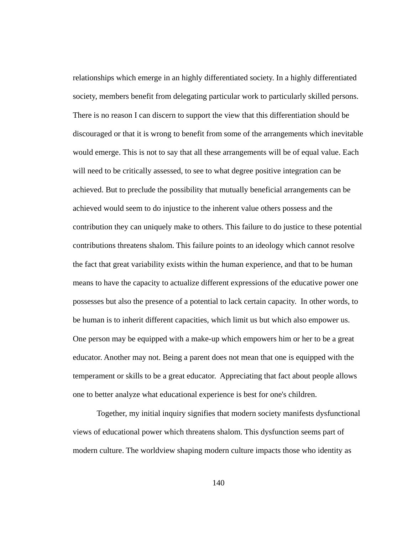relationships which emerge in an highly differentiated society. In a highly differentiated society, members benefit from delegating particular work to particularly skilled persons. There is no reason I can discern to support the view that this differentiation should be discouraged or that it is wrong to benefit from some of the arrangements which inevitable would emerge. This is not to say that all these arrangements will be of equal value. Each will need to be critically assessed, to see to what degree positive integration can be achieved. But to preclude the possibility that mutually beneficial arrangements can be achieved would seem to do injustice to the inherent value others possess and the contribution they can uniquely make to others. This failure to do justice to these potential contributions threatens shalom. This failure points to an ideology which cannot resolve the fact that great variability exists within the human experience, and that to be human means to have the capacity to actualize different expressions of the educative power one possesses but also the presence of a potential to lack certain capacity. In other words, to be human is to inherit different capacities, which limit us but which also empower us. One person may be equipped with a make-up which empowers him or her to be a great educator. Another may not. Being a parent does not mean that one is equipped with the temperament or skills to be a great educator. Appreciating that fact about people allows one to better analyze what educational experience is best for one's children.

 Together, my initial inquiry signifies that modern society manifests dysfunctional views of educational power which threatens shalom. This dysfunction seems part of modern culture. The worldview shaping modern culture impacts those who identity as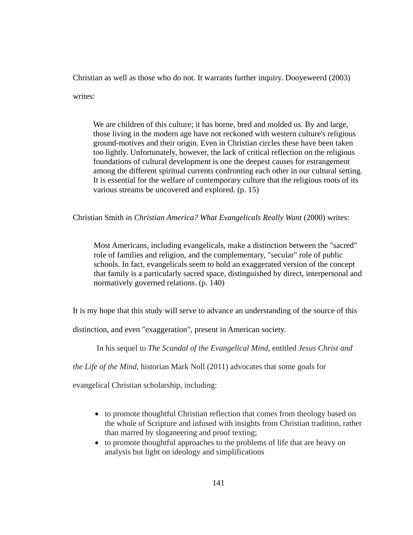Christian as well as those who do not. It warrants further inquiry. Dooyeweerd (2003)

writes:

We are children of this culture; it has borne, bred and molded us. By and large, those living in the modern age have not reckoned with western culture's religious ground-motives and their origin. Even in Christian circles these have been taken too lightly. Unfortunately, however, the lack of critical reflection on the religious foundations of cultural development is one the deepest causes for estrangement among the different spiritual currents confronting each other in our cultural setting. It is essential for the welfare of contemporary culture that the religious roots of its various streams be uncovered and explored. (p. 15)

Christian Smith in *Christian America? What Evangelicals Really Want* (2000) writes:

Most Americans, including evangelicals, make a distinction between the "sacred" role of families and religion, and the complementary, "secular" role of public schools. In fact, evangelicals seem to hold an exaggerated version of the concept that family is a particularly sacred space, distinguished by direct, interpersonal and normatively governed relations. (p. 140)

It is my hope that this study will serve to advance an understanding of the source of this

distinction, and even "exaggeration", present in American society.

In his sequel to *The Scandal of the Evangelical Mind*, entitled *Jesus Christ and* 

*the Life of the Mind*, historian Mark Noll (2011) advocates that some goals for

evangelical Christian scholarship, including:

- to promote thoughtful Christian reflection that comes from theology based on the whole of Scripture and infused with insights from Christian tradition, rather than marred by sloganeering and proof texting;
- to promote thoughtful approaches to the problems of life that are heavy on analysis but light on ideology and simplifications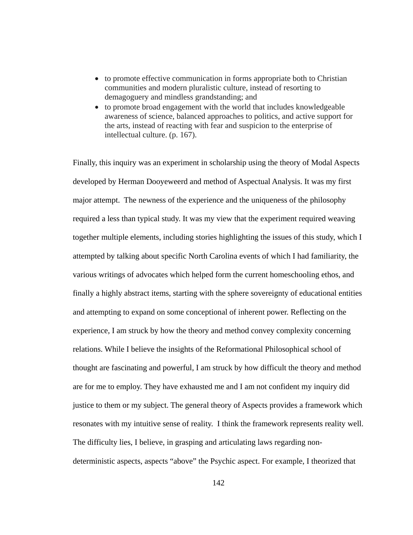- to promote effective communication in forms appropriate both to Christian communities and modern pluralistic culture, instead of resorting to demagoguery and mindless grandstanding; and
- to promote broad engagement with the world that includes knowledgeable awareness of science, balanced approaches to politics, and active support for the arts, instead of reacting with fear and suspicion to the enterprise of intellectual culture. (p. 167).

Finally, this inquiry was an experiment in scholarship using the theory of Modal Aspects developed by Herman Dooyeweerd and method of Aspectual Analysis. It was my first major attempt. The newness of the experience and the uniqueness of the philosophy required a less than typical study. It was my view that the experiment required weaving together multiple elements, including stories highlighting the issues of this study, which I attempted by talking about specific North Carolina events of which I had familiarity, the various writings of advocates which helped form the current homeschooling ethos, and finally a highly abstract items, starting with the sphere sovereignty of educational entities and attempting to expand on some conceptional of inherent power. Reflecting on the experience, I am struck by how the theory and method convey complexity concerning relations. While I believe the insights of the Reformational Philosophical school of thought are fascinating and powerful, I am struck by how difficult the theory and method are for me to employ. They have exhausted me and I am not confident my inquiry did justice to them or my subject. The general theory of Aspects provides a framework which resonates with my intuitive sense of reality. I think the framework represents reality well. The difficulty lies, I believe, in grasping and articulating laws regarding nondeterministic aspects, aspects "above" the Psychic aspect. For example, I theorized that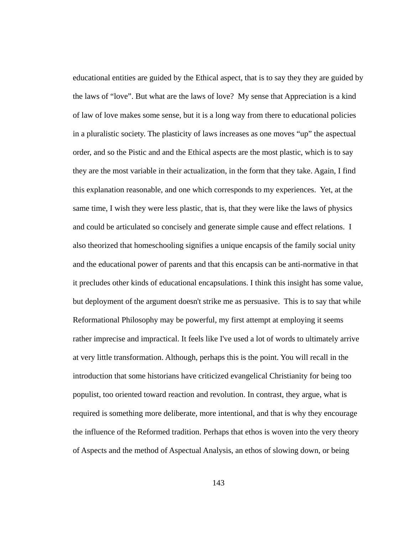educational entities are guided by the Ethical aspect, that is to say they they are guided by the laws of "love". But what are the laws of love? My sense that Appreciation is a kind of law of love makes some sense, but it is a long way from there to educational policies in a pluralistic society. The plasticity of laws increases as one moves "up" the aspectual order, and so the Pistic and and the Ethical aspects are the most plastic, which is to say they are the most variable in their actualization, in the form that they take. Again, I find this explanation reasonable, and one which corresponds to my experiences. Yet, at the same time, I wish they were less plastic, that is, that they were like the laws of physics and could be articulated so concisely and generate simple cause and effect relations. I also theorized that homeschooling signifies a unique encapsis of the family social unity and the educational power of parents and that this encapsis can be anti-normative in that it precludes other kinds of educational encapsulations. I think this insight has some value, but deployment of the argument doesn't strike me as persuasive. This is to say that while Reformational Philosophy may be powerful, my first attempt at employing it seems rather imprecise and impractical. It feels like I've used a lot of words to ultimately arrive at very little transformation. Although, perhaps this is the point. You will recall in the introduction that some historians have criticized evangelical Christianity for being too populist, too oriented toward reaction and revolution. In contrast, they argue, what is required is something more deliberate, more intentional, and that is why they encourage the influence of the Reformed tradition. Perhaps that ethos is woven into the very theory of Aspects and the method of Aspectual Analysis, an ethos of slowing down, or being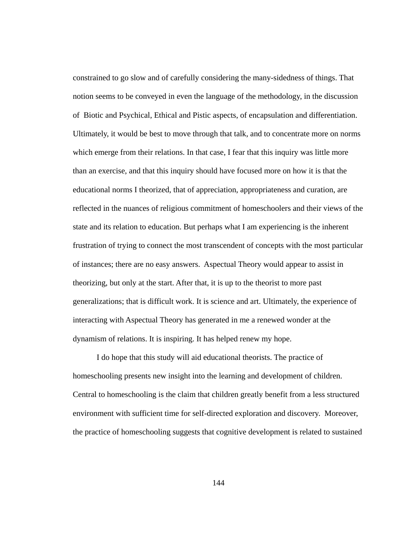constrained to go slow and of carefully considering the many-sidedness of things. That notion seems to be conveyed in even the language of the methodology, in the discussion of Biotic and Psychical, Ethical and Pistic aspects, of encapsulation and differentiation. Ultimately, it would be best to move through that talk, and to concentrate more on norms which emerge from their relations. In that case, I fear that this inquiry was little more than an exercise, and that this inquiry should have focused more on how it is that the educational norms I theorized, that of appreciation, appropriateness and curation, are reflected in the nuances of religious commitment of homeschoolers and their views of the state and its relation to education. But perhaps what I am experiencing is the inherent frustration of trying to connect the most transcendent of concepts with the most particular of instances; there are no easy answers. Aspectual Theory would appear to assist in theorizing, but only at the start. After that, it is up to the theorist to more past generalizations; that is difficult work. It is science and art. Ultimately, the experience of interacting with Aspectual Theory has generated in me a renewed wonder at the dynamism of relations. It is inspiring. It has helped renew my hope.

 I do hope that this study will aid educational theorists. The practice of homeschooling presents new insight into the learning and development of children. Central to homeschooling is the claim that children greatly benefit from a less structured environment with sufficient time for self-directed exploration and discovery. Moreover, the practice of homeschooling suggests that cognitive development is related to sustained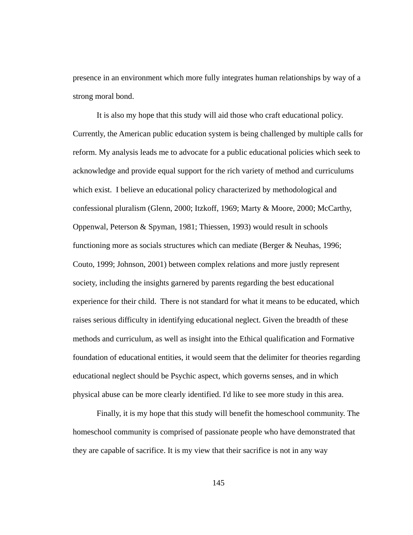presence in an environment which more fully integrates human relationships by way of a strong moral bond.

 It is also my hope that this study will aid those who craft educational policy. Currently, the American public education system is being challenged by multiple calls for reform. My analysis leads me to advocate for a public educational policies which seek to acknowledge and provide equal support for the rich variety of method and curriculums which exist. I believe an educational policy characterized by methodological and confessional pluralism (Glenn, 2000; Itzkoff, 1969; Marty & Moore, 2000; McCarthy, Oppenwal, Peterson & Spyman, 1981; Thiessen, 1993) would result in schools functioning more as socials structures which can mediate (Berger & Neuhas, 1996; Couto, 1999; Johnson, 2001) between complex relations and more justly represent society, including the insights garnered by parents regarding the best educational experience for their child. There is not standard for what it means to be educated, which raises serious difficulty in identifying educational neglect. Given the breadth of these methods and curriculum, as well as insight into the Ethical qualification and Formative foundation of educational entities, it would seem that the delimiter for theories regarding educational neglect should be Psychic aspect, which governs senses, and in which physical abuse can be more clearly identified. I'd like to see more study in this area.

 Finally, it is my hope that this study will benefit the homeschool community. The homeschool community is comprised of passionate people who have demonstrated that they are capable of sacrifice. It is my view that their sacrifice is not in any way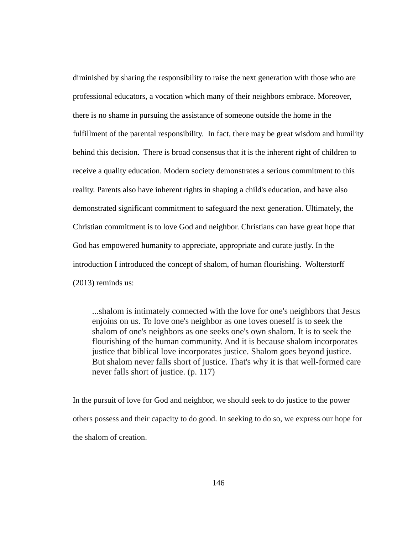diminished by sharing the responsibility to raise the next generation with those who are professional educators, a vocation which many of their neighbors embrace. Moreover, there is no shame in pursuing the assistance of someone outside the home in the fulfillment of the parental responsibility. In fact, there may be great wisdom and humility behind this decision. There is broad consensus that it is the inherent right of children to receive a quality education. Modern society demonstrates a serious commitment to this reality. Parents also have inherent rights in shaping a child's education, and have also demonstrated significant commitment to safeguard the next generation. Ultimately, the Christian commitment is to love God and neighbor. Christians can have great hope that God has empowered humanity to appreciate, appropriate and curate justly. In the introduction I introduced the concept of shalom, of human flourishing. Wolterstorff (2013) reminds us:

...shalom is intimately connected with the love for one's neighbors that Jesus enjoins on us. To love one's neighbor as one loves oneself is to seek the shalom of one's neighbors as one seeks one's own shalom. It is to seek the flourishing of the human community. And it is because shalom incorporates justice that biblical love incorporates justice. Shalom goes beyond justice. But shalom never falls short of justice. That's why it is that well-formed care never falls short of justice. (p. 117)

In the pursuit of love for God and neighbor, we should seek to do justice to the power others possess and their capacity to do good. In seeking to do so, we express our hope for the shalom of creation.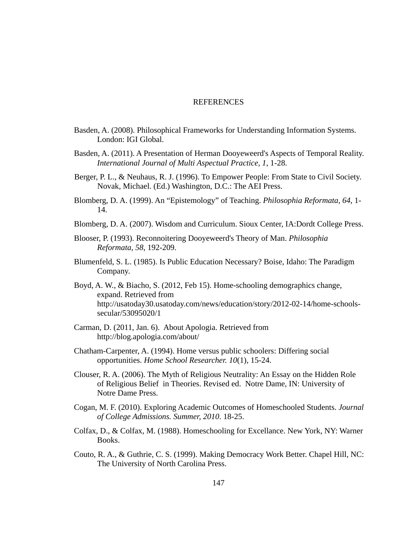## **REFERENCES**

- Basden, A. (2008). Philosophical Frameworks for Understanding Information Systems. London: IGI Global.
- Basden, A. (2011). A Presentation of Herman Dooyeweerd's Aspects of Temporal Reality. *International Journal of Multi Aspectual Practice, 1*, 1-28.
- Berger, P. L., & Neuhaus, R. J. (1996). To Empower People: From State to Civil Society. Novak, Michael. (Ed.) Washington, D.C.: The AEI Press.
- Blomberg, D. A. (1999). An "Epistemology" of Teaching. *Philosophia Reformata, 64*, 1- 14.
- Blomberg, D. A. (2007). Wisdom and Curriculum. Sioux Center, IA:Dordt College Press.
- Blooser, P. (1993). Reconnoitering Dooyeweerd's Theory of Man. *Philosophia Reformata, 58*, 192-209.
- Blumenfeld, S. L. (1985). Is Public Education Necessary? Boise, Idaho: The Paradigm Company.
- Boyd, A. W., & Biacho, S. (2012, Feb 15). Home-schooling demographics change, expand. Retrieved from http://usatoday30.usatoday.com/news/education/story/2012-02-14/home-schoolssecular/53095020/1
- Carman, D. (2011, Jan. 6). About Apologia. Retrieved from http://blog.apologia.com/about/
- Chatham-Carpenter, A. (1994). Home versus public schoolers: Differing social opportunities. *Home School Researcher. 10*(1), 15-24.
- Clouser, R. A. (2006). The Myth of Religious Neutrality: An Essay on the Hidden Role of Religious Belief in Theories. Revised ed. Notre Dame, IN: University of Notre Dame Press.
- Cogan, M. F. (2010). Exploring Academic Outcomes of Homeschooled Students. *Journal of College Admissions. Summer, 2010*. 18-25.
- Colfax, D., & Colfax, M. (1988). Homeschooling for Excellance. New York, NY: Warner Books.
- Couto, R. A., & Guthrie, C. S. (1999). Making Democracy Work Better. Chapel Hill, NC: The University of North Carolina Press.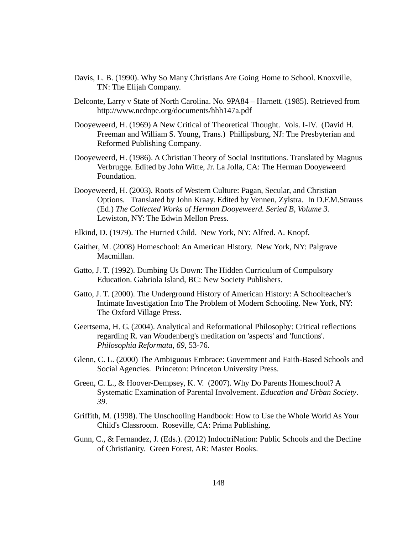- Davis, L. B. (1990). Why So Many Christians Are Going Home to School. Knoxville, TN: The Elijah Company.
- Delconte, Larry v State of North Carolina. No. 9PA84 Harnett. (1985). Retrieved from http://www.ncdnpe.org/documents/hhh147a.pdf
- Dooyeweerd, H. (1969) A New Critical of Theoretical Thought. Vols. I-IV. (David H. Freeman and William S. Young, Trans.) Phillipsburg, NJ: The Presbyterian and Reformed Publishing Company.
- Dooyeweerd, H. (1986). A Christian Theory of Social Institutions. Translated by Magnus Verbrugge. Edited by John Witte, Jr. La Jolla, CA: The Herman Dooyeweerd Foundation.
- Dooyeweerd, H. (2003). Roots of Western Culture: Pagan, Secular, and Christian Options. Translated by John Kraay. Edited by Vennen, Zylstra. In D.F.M.Strauss (Ed.) *The Collected Works of Herman Dooyeweerd. Seried B, Volume 3.* Lewiston, NY: The Edwin Mellon Press.
- Elkind, D. (1979). The Hurried Child. New York, NY: Alfred. A. Knopf.
- Gaither, M. (2008) Homeschool: An American History. New York, NY: Palgrave Macmillan.
- Gatto, J. T. (1992). Dumbing Us Down: The Hidden Curriculum of Compulsory Education. Gabriola Island, BC: New Society Publishers.
- Gatto, J. T. (2000). The Underground History of American History: A Schoolteacher's Intimate Investigation Into The Problem of Modern Schooling. New York, NY: The Oxford Village Press.
- Geertsema, H. G. (2004). Analytical and Reformational Philosophy: Critical reflections regarding R. van Woudenberg's meditation on 'aspects' and 'functions'. *Philosophia Reformata, 69*, 53-76.
- Glenn, C. L. (2000) The Ambiguous Embrace: Government and Faith-Based Schools and Social Agencies. Princeton: Princeton University Press.
- Green, C. L., & Hoover-Dempsey, K. V. (2007). Why Do Parents Homeschool? A Systematic Examination of Parental Involvement. *Education and Urban Society*. *39*.
- Griffith, M. (1998). The Unschooling Handbook: How to Use the Whole World As Your Child's Classroom. Roseville, CA: Prima Publishing.
- Gunn, C., & Fernandez, J. (Eds.). (2012) IndoctriNation: Public Schools and the Decline of Christianity. Green Forest, AR: Master Books.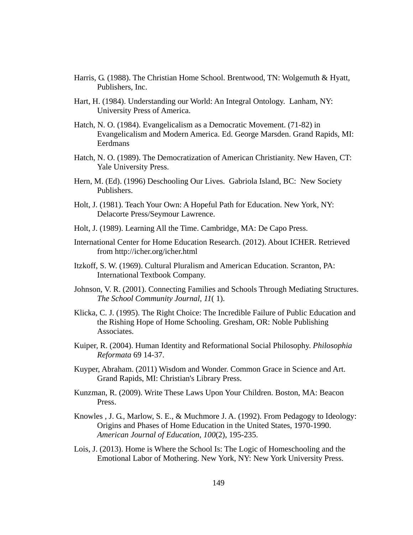- Harris, G. (1988). The Christian Home School. Brentwood, TN: Wolgemuth & Hyatt, Publishers, Inc.
- Hart, H. (1984). Understanding our World: An Integral Ontology. Lanham, NY: University Press of America.
- Hatch, N. O. (1984). Evangelicalism as a Democratic Movement. (71-82) in Evangelicalism and Modern America. Ed. George Marsden. Grand Rapids, MI: Eerdmans
- Hatch, N. O. (1989). The Democratization of American Christianity. New Haven, CT: Yale University Press.
- Hern, M. (Ed). (1996) Deschooling Our Lives. Gabriola Island, BC: New Society Publishers.
- Holt, J. (1981). Teach Your Own: A Hopeful Path for Education. New York, NY: Delacorte Press/Seymour Lawrence.
- Holt, J. (1989). Learning All the Time. Cambridge, MA: De Capo Press.
- International Center for Home Education Research. (2012). About ICHER. Retrieved from http://icher.org/icher.html
- Itzkoff, S. W. (1969). Cultural Pluralism and American Education. Scranton, PA: International Textbook Company.
- Johnson, V. R. (2001). Connecting Families and Schools Through Mediating Structures. *The School Community Journal*, *11*( 1).
- Klicka, C. J. (1995). The Right Choice: The Incredible Failure of Public Education and the Rishing Hope of Home Schooling. Gresham, OR: Noble Publishing Associates.
- Kuiper, R. (2004). Human Identity and Reformational Social Philosophy. *Philosophia Reformata* 69 14-37.
- Kuyper, Abraham. (2011) Wisdom and Wonder. Common Grace in Science and Art. Grand Rapids, MI: Christian's Library Press.
- Kunzman, R. (2009). Write These Laws Upon Your Children. Boston, MA: Beacon Press.
- Knowles , J. G., Marlow, S. E., & Muchmore J. A. (1992). From Pedagogy to Ideology: Origins and Phases of Home Education in the United States, 1970-1990. *American Journal of Education, 100*(2), 195-235.
- Lois, J. (2013). Home is Where the School Is: The Logic of Homeschooling and the Emotional Labor of Mothering. New York, NY: New York University Press.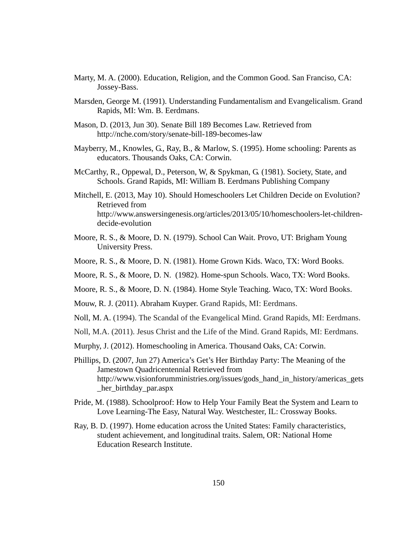- Marty, M. A. (2000). Education, Religion, and the Common Good. San Franciso, CA: Jossey-Bass.
- Marsden, George M. (1991). Understanding Fundamentalism and Evangelicalism. Grand Rapids, MI: Wm. B. Eerdmans.
- Mason, D. (2013, Jun 30). Senate Bill 189 Becomes Law. Retrieved from http://nche.com/story/senate-bill-189-becomes-law
- Mayberry, M., Knowles, G., Ray, B., & Marlow, S. (1995). Home schooling: Parents as educators. Thousands Oaks, CA: Corwin.
- McCarthy, R., Oppewal, D., Peterson, W, & Spykman, G. (1981). Society, State, and Schools. Grand Rapids, MI: William B. Eerdmans Publishing Company
- Mitchell, E. (2013, May 10). Should Homeschoolers Let Children Decide on Evolution? Retrieved from http://www.answersingenesis.org/articles/2013/05/10/homeschoolers-let-childrendecide-evolution
- Moore, R. S., & Moore, D. N. (1979). School Can Wait. Provo, UT: Brigham Young University Press.
- Moore, R. S., & Moore, D. N. (1981). Home Grown Kids. Waco, TX: Word Books.
- Moore, R. S., & Moore, D. N. (1982). Home-spun Schools. Waco, TX: Word Books.
- Moore, R. S., & Moore, D. N. (1984). Home Style Teaching. Waco, TX: Word Books.
- Mouw, R. J. (2011). Abraham Kuyper. Grand Rapids, MI: Eerdmans.
- Noll, M. A. (1994). The Scandal of the Evangelical Mind. Grand Rapids, MI: Eerdmans.
- Noll, M.A. (2011). Jesus Christ and the Life of the Mind. Grand Rapids, MI: Eerdmans.
- Murphy, J. (2012). Homeschooling in America. Thousand Oaks, CA: Corwin.
- Phillips, D. (2007, Jun 27) America's Get's Her Birthday Party: The Meaning of the Jamestown Quadricentennial Retrieved from http://www.visionforumministries.org/issues/gods\_hand\_in\_history/americas\_gets \_her\_birthday\_par.aspx
- Pride, M. (1988). Schoolproof: How to Help Your Family Beat the System and Learn to Love Learning-The Easy, Natural Way. Westchester, IL: Crossway Books.
- Ray, B. D. (1997). Home education across the United States: Family characteristics, student achievement, and longitudinal traits. Salem, OR: National Home Education Research Institute.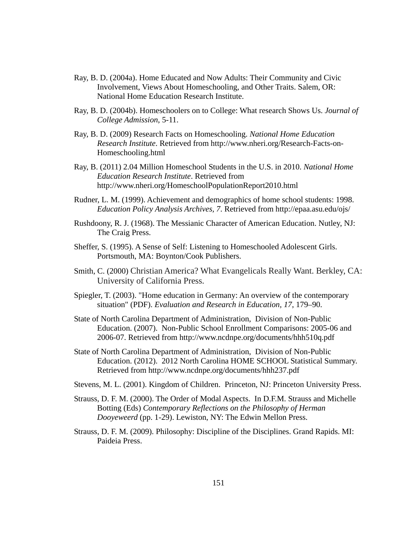- Ray, B. D. (2004a). Home Educated and Now Adults: Their Community and Civic Involvement, Views About Homeschooling, and Other Traits. Salem, OR: National Home Education Research Institute.
- Ray, B. D. (2004b). Homeschoolers on to College: What research Shows Us. *Journal of College Admission*, 5-11.
- Ray, B. D. (2009) Research Facts on Homeschooling. *National Home Education Research Institute*. Retrieved from http://www.nheri.org/Research-Facts-on-Homeschooling.html
- Ray, B. (2011) 2.04 Million Homeschool Students in the U.S. in 2010. *National Home Education Research Institute*. Retrieved from http://www.nheri.org/HomeschoolPopulationReport2010.html
- Rudner, L. M. (1999). Achievement and demographics of home school students: 1998. *Education Policy Analysis Archives, 7*. Retrieved from http://epaa.asu.edu/ojs/
- Rushdoony, R. J. (1968). The Messianic Character of American Education. Nutley, NJ: The Craig Press.
- Sheffer, S. (1995). A Sense of Self: Listening to Homeschooled Adolescent Girls. Portsmouth, MA: Boynton/Cook Publishers.
- Smith, C. (2000) Christian America? What Evangelicals Really Want. Berkley, CA: University of California Press.
- Spiegler, T. (2003). "Home education in Germany: An overview of the contemporary situation" (PDF). *Evaluation and Research in Education, 17*, 179–90.
- State of North Carolina Department of Administration, Division of Non-Public Education. (2007). Non-Public School Enrollment Comparisons: 2005-06 and 2006-07. Retrieved from http://www.ncdnpe.org/documents/hhh510q.pdf
- State of North Carolina Department of Administration, Division of Non-Public Education. (2012). 2012 North Carolina HOME SCHOOL Statistical Summary. Retrieved from http://www.ncdnpe.org/documents/hhh237.pdf
- Stevens, M. L. (2001). Kingdom of Children. Princeton, NJ: Princeton University Press.
- Strauss, D. F. M. (2000). The Order of Modal Aspects. In D.F.M. Strauss and Michelle Botting (Eds) *Contemporary Reflections on the Philosophy of Herman Dooyeweerd* (pp. 1-29). Lewiston, NY: The Edwin Mellon Press.
- Strauss, D. F. M. (2009). Philosophy: Discipline of the Disciplines. Grand Rapids. MI: Paideia Press.